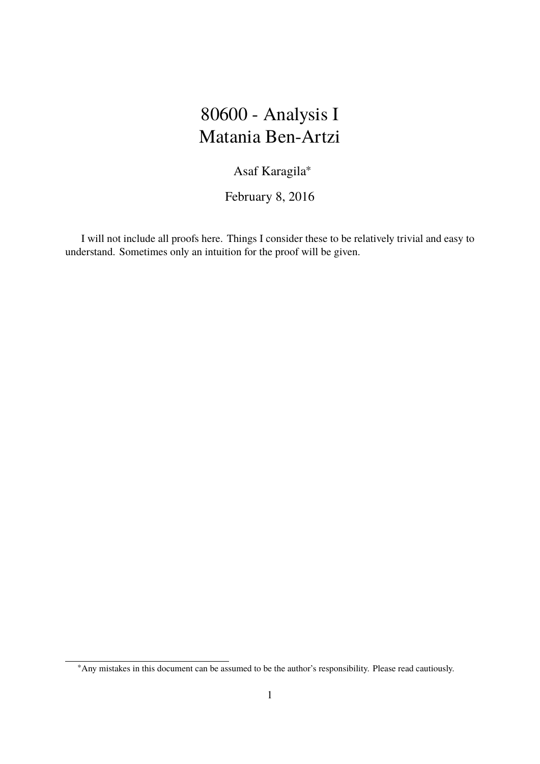### 80600 - Analysis I Matania Ben-Artzi

Asaf Karagila<sup>∗</sup>

February 8, 2016

I will not include all proofs here. Things I consider these to be relatively trivial and easy to understand. Sometimes only an intuition for the proof will be given.

<sup>∗</sup>Any mistakes in this document can be assumed to be the author's responsibility. Please read cautiously.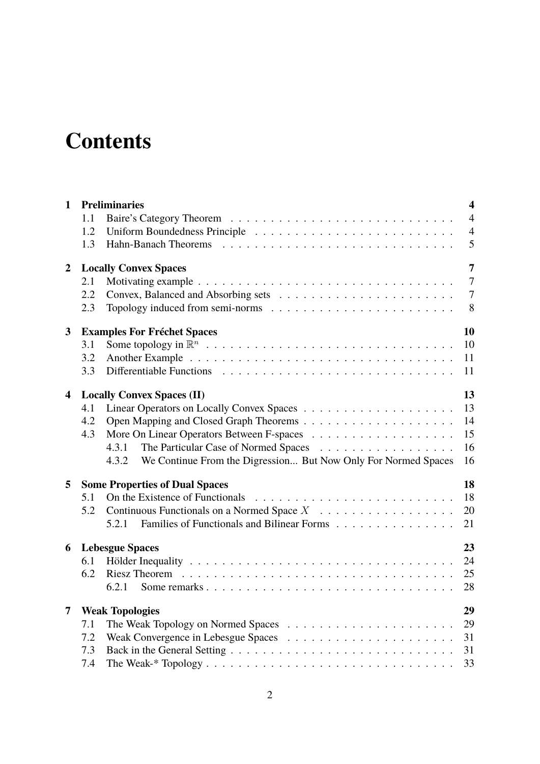# **Contents**

| $\overline{4}$<br>1.1<br>$\overline{4}$<br>1.2<br>5<br>1.3<br>$\overline{7}$<br>$\overline{2}$<br><b>Locally Convex Spaces</b><br>$\overline{7}$<br>2.1<br>$\overline{7}$<br>2.2<br>8<br>2.3<br>10<br><b>Examples For Fréchet Spaces</b><br>3<br>10<br>3.1<br>11<br>3.2<br>11<br>3.3<br>13<br><b>Locally Convex Spaces (II)</b><br>4<br>13<br>4.1<br>4.2<br>15<br>4.3<br>16<br>4.3.1<br>16<br>We Continue From the Digression But Now Only For Normed Spaces<br>4.3.2<br>18<br><b>Some Properties of Dual Spaces</b><br>5<br>18<br>On the Existence of Functionals<br>5.1<br>Continuous Functionals on a Normed Space $X$<br>20<br>5.2<br>Families of Functionals and Bilinear Forms<br>21<br>5.2.1<br>23<br>6<br><b>Lebesgue Spaces</b><br>24<br>6.1<br>25<br>6.2<br>Riesz Theorem $\ldots \ldots \ldots \ldots \ldots \ldots \ldots \ldots \ldots \ldots \ldots \ldots$<br>28<br>6.2.1<br>29<br>$\overline{7}$<br><b>Weak Topologies</b><br>29<br>7.1<br>31<br>7.2<br>31<br>7.3<br>33 | $\mathbf{1}$ | <b>Preliminaries</b><br>$\overline{\mathbf{4}}$ |  |  |  |  |  |  |
|-----------------------------------------------------------------------------------------------------------------------------------------------------------------------------------------------------------------------------------------------------------------------------------------------------------------------------------------------------------------------------------------------------------------------------------------------------------------------------------------------------------------------------------------------------------------------------------------------------------------------------------------------------------------------------------------------------------------------------------------------------------------------------------------------------------------------------------------------------------------------------------------------------------------------------------------------------------------------------------------|--------------|-------------------------------------------------|--|--|--|--|--|--|
| 14                                                                                                                                                                                                                                                                                                                                                                                                                                                                                                                                                                                                                                                                                                                                                                                                                                                                                                                                                                                      |              |                                                 |  |  |  |  |  |  |
|                                                                                                                                                                                                                                                                                                                                                                                                                                                                                                                                                                                                                                                                                                                                                                                                                                                                                                                                                                                         |              |                                                 |  |  |  |  |  |  |
|                                                                                                                                                                                                                                                                                                                                                                                                                                                                                                                                                                                                                                                                                                                                                                                                                                                                                                                                                                                         |              |                                                 |  |  |  |  |  |  |
|                                                                                                                                                                                                                                                                                                                                                                                                                                                                                                                                                                                                                                                                                                                                                                                                                                                                                                                                                                                         |              |                                                 |  |  |  |  |  |  |
|                                                                                                                                                                                                                                                                                                                                                                                                                                                                                                                                                                                                                                                                                                                                                                                                                                                                                                                                                                                         |              |                                                 |  |  |  |  |  |  |
|                                                                                                                                                                                                                                                                                                                                                                                                                                                                                                                                                                                                                                                                                                                                                                                                                                                                                                                                                                                         |              |                                                 |  |  |  |  |  |  |
|                                                                                                                                                                                                                                                                                                                                                                                                                                                                                                                                                                                                                                                                                                                                                                                                                                                                                                                                                                                         |              |                                                 |  |  |  |  |  |  |
|                                                                                                                                                                                                                                                                                                                                                                                                                                                                                                                                                                                                                                                                                                                                                                                                                                                                                                                                                                                         |              |                                                 |  |  |  |  |  |  |
|                                                                                                                                                                                                                                                                                                                                                                                                                                                                                                                                                                                                                                                                                                                                                                                                                                                                                                                                                                                         |              |                                                 |  |  |  |  |  |  |
|                                                                                                                                                                                                                                                                                                                                                                                                                                                                                                                                                                                                                                                                                                                                                                                                                                                                                                                                                                                         |              |                                                 |  |  |  |  |  |  |
|                                                                                                                                                                                                                                                                                                                                                                                                                                                                                                                                                                                                                                                                                                                                                                                                                                                                                                                                                                                         |              |                                                 |  |  |  |  |  |  |
|                                                                                                                                                                                                                                                                                                                                                                                                                                                                                                                                                                                                                                                                                                                                                                                                                                                                                                                                                                                         |              |                                                 |  |  |  |  |  |  |
|                                                                                                                                                                                                                                                                                                                                                                                                                                                                                                                                                                                                                                                                                                                                                                                                                                                                                                                                                                                         |              |                                                 |  |  |  |  |  |  |
|                                                                                                                                                                                                                                                                                                                                                                                                                                                                                                                                                                                                                                                                                                                                                                                                                                                                                                                                                                                         |              |                                                 |  |  |  |  |  |  |
|                                                                                                                                                                                                                                                                                                                                                                                                                                                                                                                                                                                                                                                                                                                                                                                                                                                                                                                                                                                         |              |                                                 |  |  |  |  |  |  |
|                                                                                                                                                                                                                                                                                                                                                                                                                                                                                                                                                                                                                                                                                                                                                                                                                                                                                                                                                                                         |              |                                                 |  |  |  |  |  |  |
|                                                                                                                                                                                                                                                                                                                                                                                                                                                                                                                                                                                                                                                                                                                                                                                                                                                                                                                                                                                         |              |                                                 |  |  |  |  |  |  |
|                                                                                                                                                                                                                                                                                                                                                                                                                                                                                                                                                                                                                                                                                                                                                                                                                                                                                                                                                                                         |              |                                                 |  |  |  |  |  |  |
|                                                                                                                                                                                                                                                                                                                                                                                                                                                                                                                                                                                                                                                                                                                                                                                                                                                                                                                                                                                         |              |                                                 |  |  |  |  |  |  |
|                                                                                                                                                                                                                                                                                                                                                                                                                                                                                                                                                                                                                                                                                                                                                                                                                                                                                                                                                                                         |              |                                                 |  |  |  |  |  |  |
|                                                                                                                                                                                                                                                                                                                                                                                                                                                                                                                                                                                                                                                                                                                                                                                                                                                                                                                                                                                         |              |                                                 |  |  |  |  |  |  |
|                                                                                                                                                                                                                                                                                                                                                                                                                                                                                                                                                                                                                                                                                                                                                                                                                                                                                                                                                                                         |              |                                                 |  |  |  |  |  |  |
|                                                                                                                                                                                                                                                                                                                                                                                                                                                                                                                                                                                                                                                                                                                                                                                                                                                                                                                                                                                         |              |                                                 |  |  |  |  |  |  |
|                                                                                                                                                                                                                                                                                                                                                                                                                                                                                                                                                                                                                                                                                                                                                                                                                                                                                                                                                                                         |              |                                                 |  |  |  |  |  |  |
|                                                                                                                                                                                                                                                                                                                                                                                                                                                                                                                                                                                                                                                                                                                                                                                                                                                                                                                                                                                         |              |                                                 |  |  |  |  |  |  |
|                                                                                                                                                                                                                                                                                                                                                                                                                                                                                                                                                                                                                                                                                                                                                                                                                                                                                                                                                                                         |              |                                                 |  |  |  |  |  |  |
|                                                                                                                                                                                                                                                                                                                                                                                                                                                                                                                                                                                                                                                                                                                                                                                                                                                                                                                                                                                         |              |                                                 |  |  |  |  |  |  |
|                                                                                                                                                                                                                                                                                                                                                                                                                                                                                                                                                                                                                                                                                                                                                                                                                                                                                                                                                                                         |              |                                                 |  |  |  |  |  |  |
|                                                                                                                                                                                                                                                                                                                                                                                                                                                                                                                                                                                                                                                                                                                                                                                                                                                                                                                                                                                         |              |                                                 |  |  |  |  |  |  |
|                                                                                                                                                                                                                                                                                                                                                                                                                                                                                                                                                                                                                                                                                                                                                                                                                                                                                                                                                                                         |              | 7.4                                             |  |  |  |  |  |  |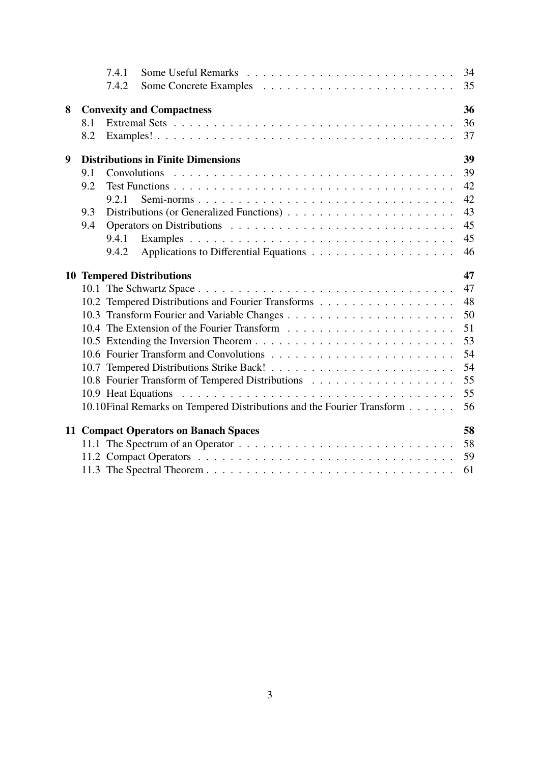|   |                                                 | 7.4.1 |                                                                         | 34       |  |  |  |
|---|-------------------------------------------------|-------|-------------------------------------------------------------------------|----------|--|--|--|
|   |                                                 | 7.4.2 |                                                                         | 35       |  |  |  |
| 8 | <b>Convexity and Compactness</b><br>36          |       |                                                                         |          |  |  |  |
|   | 8.1                                             |       |                                                                         | 36       |  |  |  |
|   | 8.2                                             |       |                                                                         | 37       |  |  |  |
| 9 | <b>Distributions in Finite Dimensions</b><br>39 |       |                                                                         |          |  |  |  |
|   | 9.1                                             |       | Convolutions                                                            | 39       |  |  |  |
|   | 9.2                                             |       |                                                                         | 42       |  |  |  |
|   |                                                 | 9.2.1 |                                                                         | 42       |  |  |  |
|   | 9.3                                             |       |                                                                         | 43       |  |  |  |
|   | 9.4                                             |       |                                                                         | 45       |  |  |  |
|   |                                                 | 9.4.1 |                                                                         | 45       |  |  |  |
|   |                                                 | 9.4.2 |                                                                         | 46       |  |  |  |
|   |                                                 |       | <b>10 Tempered Distributions</b>                                        | 47       |  |  |  |
|   |                                                 |       |                                                                         | 47       |  |  |  |
|   |                                                 |       | 10.2 Tempered Distributions and Fourier Transforms                      | 48       |  |  |  |
|   |                                                 |       |                                                                         | 50       |  |  |  |
|   |                                                 |       |                                                                         |          |  |  |  |
|   |                                                 |       |                                                                         |          |  |  |  |
|   |                                                 |       |                                                                         | 53<br>54 |  |  |  |
|   |                                                 |       |                                                                         | 54       |  |  |  |
|   |                                                 |       |                                                                         | 55       |  |  |  |
|   |                                                 |       |                                                                         | 55       |  |  |  |
|   |                                                 |       | 10.10 Final Remarks on Tempered Distributions and the Fourier Transform | 56       |  |  |  |
|   |                                                 |       | 11 Compact Operators on Banach Spaces                                   | 58       |  |  |  |
|   |                                                 |       |                                                                         | 58       |  |  |  |
|   |                                                 |       |                                                                         | 59       |  |  |  |
|   |                                                 |       |                                                                         | 61       |  |  |  |
|   |                                                 |       |                                                                         |          |  |  |  |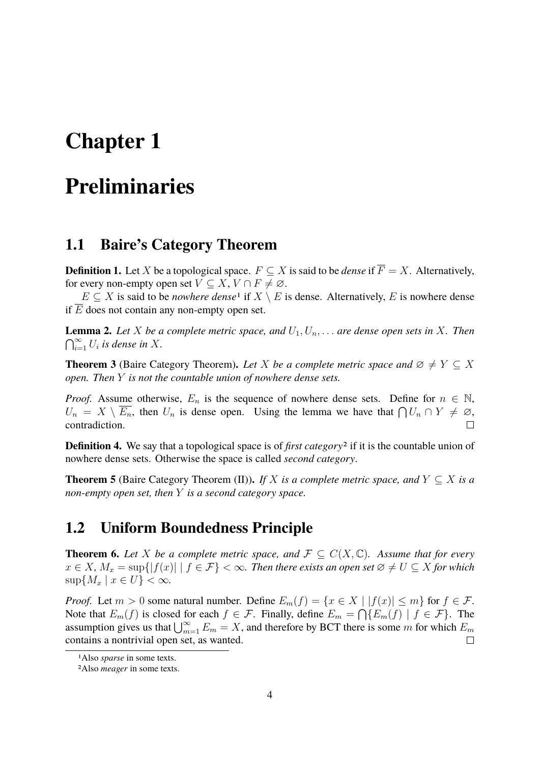## <span id="page-3-0"></span>**Chapter 1**

## **Preliminaries**

### <span id="page-3-1"></span>**1.1 Baire's Category Theorem**

**Definition 1.** Let X be a topological space.  $F \subseteq X$  is said to be *dense* if  $\overline{F} = X$ . Alternatively, for every non-empty open set  $V \subseteq X, V \cap F \neq \emptyset$ .

 $E \subseteq X$  is said to be *nowhere dense*<sup>[1](#page-3-3)</sup> if  $X \setminus E$  is dense. Alternatively, E is nowhere dense if  $\overline{E}$  does not contain any non-empty open set.

**Lemma 2.** Let X be a complete metric space, and  $U_1, U_n, \ldots$  are dense open sets in X. Then  $\bigcap_{i=1}^{\infty} U_i$  is dense in X.

**Theorem 3** (Baire Category Theorem). Let X be a complete metric space and  $\emptyset \neq Y \subseteq X$ *open. Then* Y *is not the countable union of nowhere dense sets.*

*Proof.* Assume otherwise,  $E_n$  is the sequence of nowhere dense sets. Define for  $n \in \mathbb{N}$ ,  $U_n = X \setminus \overline{E_n}$ , then  $U_n$  is dense open. Using the lemma we have that  $\bigcap U_n \cap Y \neq \emptyset$ , contradiction.  $\Box$ 

**Definition 4.** We say that a topological space is of *first category*[2](#page-3-4) if it is the countable union of nowhere dense sets. Otherwise the space is called *second category*.

**Theorem 5** (Baire Category Theorem (II)). *If* X *is a complete metric space, and*  $Y \subseteq X$  *is a non-empty open set, then* Y *is a second category space.*

### <span id="page-3-2"></span>**1.2 Uniform Boundedness Principle**

**Theorem 6.** Let X be a complete metric space, and  $\mathcal{F} \subset C(X, \mathbb{C})$ . Assume that for every  $x \in X$ ,  $M_x = \sup\{|f(x)| \mid f \in \mathcal{F}\} < \infty$ . Then there exists an open set  $\emptyset \neq U \subseteq X$  for which  $\sup\{M_x \mid x \in U\} < \infty$ .

*Proof.* Let  $m > 0$  some natural number. Define  $E_m(f) = \{x \in X \mid |f(x)| \le m\}$  for  $f \in \mathcal{F}$ . Note that  $E_m(f)$  is closed for each  $f \in \mathcal{F}$ . Finally, define  $E_m = \bigcap \{E_m(f) \mid f \in \mathcal{F}\}\.$  The assumption gives us that  $\bigcup_{m=1}^{\infty} E_m = X$ , and therefore by BCT there is some m for which  $E_m$ contains a nontrivial open set, as wanted.  $\Box$ 

<span id="page-3-3"></span><sup>1</sup>Also *sparse* in some texts.

<span id="page-3-4"></span><sup>2</sup>Also *meager* in some texts.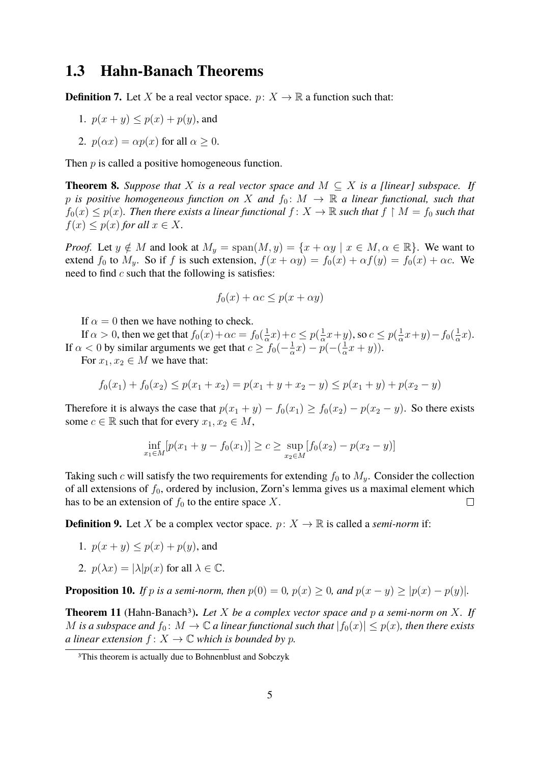### <span id="page-4-0"></span>**1.3 Hahn-Banach Theorems**

**Definition 7.** Let X be a real vector space.  $p: X \to \mathbb{R}$  a function such that:

- 1.  $p(x + y) \leq p(x) + p(y)$ , and
- 2.  $p(\alpha x) = \alpha p(x)$  for all  $\alpha > 0$ .

Then  $p$  is called a positive homogeneous function.

**Theorem 8.** Suppose that X is a real vector space and  $M \subset X$  is a [linear] subspace. If p is positive homogeneous function on X and  $f_0: M \to \mathbb{R}$  a linear functional, such that  $f_0(x) \leq p(x)$ . Then there exists a linear functional  $f: X \to \mathbb{R}$  such that  $f \restriction M = f_0$  such that  $f(x) \leq p(x)$  *for all*  $x \in X$ .

*Proof.* Let  $y \notin M$  and look at  $M_y = \text{span}(M, y) = \{x + \alpha y \mid x \in M, \alpha \in \mathbb{R}\}.$  We want to extend  $f_0$  to  $M_y$ . So if f is such extension,  $f(x + \alpha y) = f_0(x) + \alpha f(y) = f_0(x) + \alpha c$ . We need to find  $c$  such that the following is satisfies:

$$
f_0(x) + \alpha c \le p(x + \alpha y)
$$

If  $\alpha = 0$  then we have nothing to check.

If  $\alpha > 0$ , then we get that  $f_0(x) + \alpha c = f_0(\frac{1}{\alpha})$  $(\frac{1}{\alpha}x)+c \leq p(\frac{1}{\alpha})$  $\frac{1}{\alpha}x+y$ ), so  $c \leq p(\frac{1}{\alpha})$  $\frac{1}{\alpha}x+y$ ) –  $f_0(\frac{1}{\alpha}$  $\frac{1}{\alpha}x$ ). If  $\alpha < 0$  by similar arguments we get that  $c \geq f_0(-\frac{1}{\alpha})$  $\frac{1}{\alpha}x$ ) –  $p^{-\alpha}(-\left(\frac{1}{\alpha}\right)$  $\frac{1}{\alpha}x+y$ ).

For  $x_1, x_2 \in M$  we have that:

$$
f_0(x_1) + f_0(x_2) \le p(x_1 + x_2) = p(x_1 + y + x_2 - y) \le p(x_1 + y) + p(x_2 - y)
$$

Therefore it is always the case that  $p(x_1 + y) - f_0(x_1) \ge f_0(x_2) - p(x_2 - y)$ . So there exists some  $c \in \mathbb{R}$  such that for every  $x_1, x_2 \in M$ ,

$$
\inf_{x_1 \in M} [p(x_1 + y - f_0(x_1)] \ge c \ge \sup_{x_2 \in M} [f_0(x_2) - p(x_2 - y)]
$$

Taking such c will satisfy the two requirements for extending  $f_0$  to  $M_y$ . Consider the collection of all extensions of  $f_0$ , ordered by inclusion, Zorn's lemma gives us a maximal element which has to be an extension of  $f_0$  to the entire space X.  $\Box$ 

**Definition 9.** Let X be a complex vector space.  $p: X \to \mathbb{R}$  is called a *semi-norm* if:

- 1.  $p(x + y) \leq p(x) + p(y)$ , and
- 2.  $p(\lambda x) = |\lambda| p(x)$  for all  $\lambda \in \mathbb{C}$ .

**Proposition 10.** *If* p *is a semi-norm, then*  $p(0) = 0$ ,  $p(x) > 0$ , and  $p(x - y) > |p(x) - p(y)|$ *.* 

**Theorem 11** (Hahn-Banach[3](#page-4-1))**.** *Let* X *be a complex vector space and* p *a semi-norm on* X*. If* M is a subspace and  $f_0: M \to \mathbb{C}$  a linear functional such that  $|f_0(x)| \leq p(x)$ , then there exists *a linear extension*  $f: X \to \mathbb{C}$  *which is bounded by p.* 

<span id="page-4-1"></span><sup>3</sup>This theorem is actually due to Bohnenblust and Sobczyk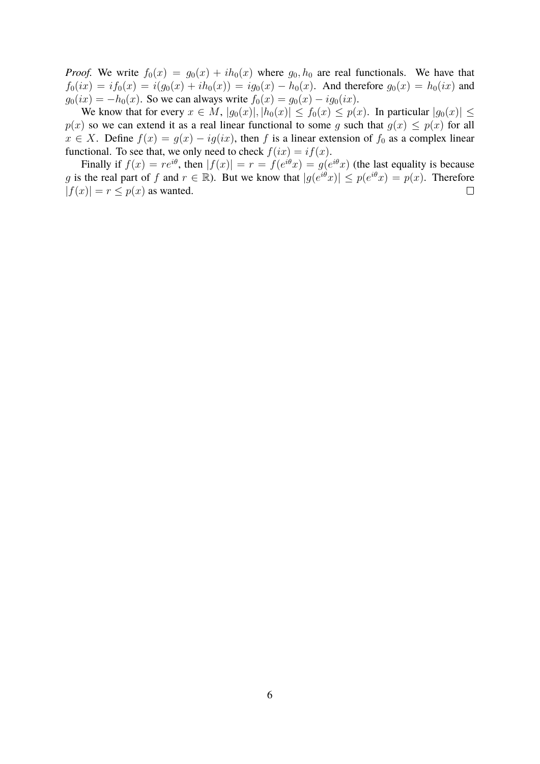*Proof.* We write  $f_0(x) = g_0(x) + ih_0(x)$  where  $g_0, h_0$  are real functionals. We have that  $f_0(ix) = if_0(x) = i(g_0(x) + ih_0(x)) = ig_0(x) - h_0(x)$ . And therefore  $g_0(x) = h_0(ix)$  and  $g_0(ix) = -h_0(x)$ . So we can always write  $f_0(x) = g_0(x) - ig_0(ix)$ .

We know that for every  $x \in M$ ,  $|g_0(x)|, |h_0(x)| \le f_0(x) \le p(x)$ . In particular  $|g_0(x)| \le$  $p(x)$  so we can extend it as a real linear functional to some g such that  $g(x) \leq p(x)$  for all  $x \in X$ . Define  $f(x) = g(x) - ig(ix)$ , then f is a linear extension of  $f_0$  as a complex linear functional. To see that, we only need to check  $f(ix) = if(x)$ .

Finally if  $f(x) = re^{i\theta}$ , then  $|f(x)| = r = f(e^{i\theta}x) = g(e^{i\theta}x)$  (the last equality is because g is the real part of f and  $r \in \mathbb{R}$ ). But we know that  $|g(e^{i\theta}x)| \leq p(e^{i\theta}x) = p(x)$ . Therefore  $|f(x)| = r \le p(x)$  as wanted.  $\Box$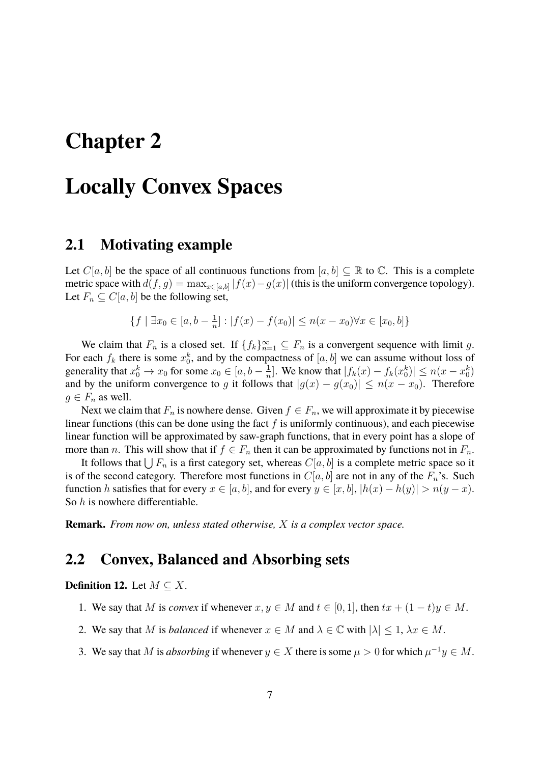## <span id="page-6-0"></span>**Chapter 2**

## **Locally Convex Spaces**

#### <span id="page-6-1"></span>**2.1 Motivating example**

Let  $C[a, b]$  be the space of all continuous functions from  $[a, b] \subseteq \mathbb{R}$  to  $\mathbb{C}$ . This is a complete metric space with  $d(f,g) = \max_{x \in [a,b]} |f(x) - g(x)|$  (this is the uniform convergence topology). Let  $F_n \subseteq C[a, b]$  be the following set,

$$
\{f \mid \exists x_0 \in [a, b - \frac{1}{n}] : |f(x) - f(x_0)| \le n(x - x_0) \forall x \in [x_0, b] \}
$$

We claim that  $F_n$  is a closed set. If  $\{f_k\}_{n=1}^{\infty} \subseteq F_n$  is a convergent sequence with limit g. For each  $f_k$  there is some  $x_0^k$ , and by the compactness of  $[a, b]$  we can assume without loss of generality that  $x_0^k \to x_0$  for some  $x_0 \in [a, b - \frac{1}{n}]$  $\frac{1}{n}$ . We know that  $|f_k(x) - f_k(x_0^k)| \le n(x - x_0^k)$ and by the uniform convergence to g it follows that  $|g(x) - g(x_0)| \le n(x - x_0)$ . Therefore  $g \in F_n$  as well.

Next we claim that  $F_n$  is nowhere dense. Given  $f \in F_n$ , we will approximate it by piecewise linear functions (this can be done using the fact  $f$  is uniformly continuous), and each piecewise linear function will be approximated by saw-graph functions, that in every point has a slope of more than *n*. This will show that if  $f \in F_n$  then it can be approximated by functions not in  $F_n$ .

It follows that  $\bigcup F_n$  is a first category set, whereas  $C[a, b]$  is a complete metric space so it is of the second category. Therefore most functions in  $C[a, b]$  are not in any of the  $F_n$ 's. Such function h satisfies that for every  $x \in [a, b]$ , and for every  $y \in [x, b]$ ,  $|h(x) - h(y)| > n(y - x)$ . So h is nowhere differentiable.

**Remark.** *From now on, unless stated otherwise,* X *is a complex vector space.*

### <span id="page-6-2"></span>**2.2 Convex, Balanced and Absorbing sets**

**Definition 12.** Let  $M \subseteq X$ .

- 1. We say that M is *convex* if whenever  $x, y \in M$  and  $t \in [0, 1]$ , then  $tx + (1 t)y \in M$ .
- 2. We say that M is *balanced* if whenever  $x \in M$  and  $\lambda \in \mathbb{C}$  with  $|\lambda| \leq 1$ ,  $\lambda x \in M$ .
- 3. We say that M is *absorbing* if whenever  $y \in X$  there is some  $\mu > 0$  for which  $\mu^{-1}y \in M$ .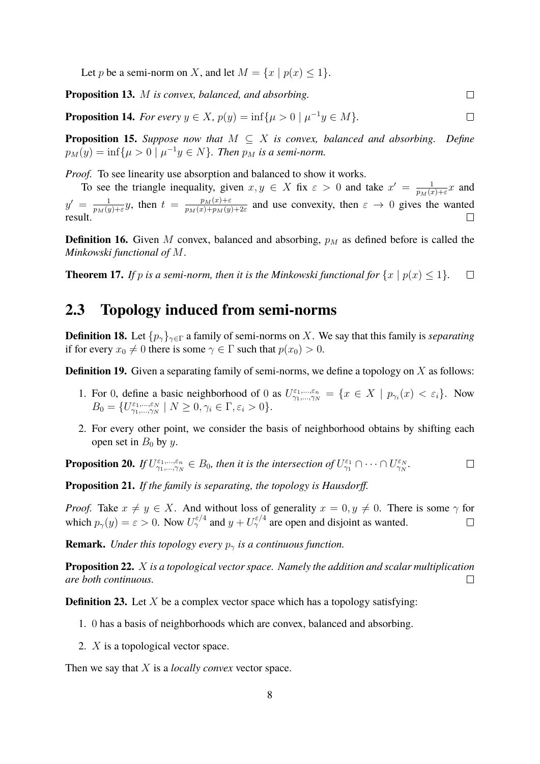Let p be a semi-norm on X, and let  $M = \{x \mid p(x) \leq 1\}.$ 

**Proposition 13.** M *is convex, balanced, and absorbing.*

**Proposition 14.** *For every*  $y \in X$ ,  $p(y) = \inf\{\mu > 0 \mid \mu^{-1}y \in M\}.$  $\Box$ 

**Proposition 15.** *Suppose now that*  $M \subseteq X$  *is convex, balanced and absorbing. Define*  $p_M(y) = \inf\{\mu > 0 \mid \mu^{-1}y \in N\}$ . Then  $p_M$  is a semi-norm.

*Proof.* To see linearity use absorption and balanced to show it works.

To see the triangle inequality, given  $x, y \in X$  fix  $\varepsilon > 0$  and take  $x' = \frac{1}{n \cdot x^{(i)}}$  $\frac{1}{p_M(x)+\varepsilon}x$  and  $\frac{1}{p_M(y)+\varepsilon}y$ , then  $t = \frac{p_M(x)+\varepsilon}{p_M(x)+p_M(y)}$  $y' = \frac{1}{n \sqrt{u}}$  $\frac{p_M(x)+\varepsilon}{p_M(x)+p_M(y)+2\varepsilon}$  and use convexity, then  $\varepsilon \to 0$  gives the wanted result.  $\Box$ 

**Definition 16.** Given  $M$  convex, balanced and absorbing,  $p_M$  as defined before is called the *Minkowski functional of* M.

**Theorem 17.** *If* p *is a semi-norm, then it is the Minkowski functional for*  $\{x \mid p(x) \leq 1\}$ *.*  $\Box$ 

#### <span id="page-7-0"></span>**2.3 Topology induced from semi-norms**

**Definition 18.** Let  $\{p_\gamma\}_{\gamma \in \Gamma}$  a family of semi-norms on X. We say that this family is *separating* if for every  $x_0 \neq 0$  there is some  $\gamma \in \Gamma$  such that  $p(x_0) > 0$ .

**Definition 19.** Given a separating family of semi-norms, we define a topology on X as follows:

- 1. For 0, define a basic neighborhood of 0 as  $U_{\gamma_1,\dots,\gamma_N}^{\varepsilon_1,\dots,\varepsilon_n} = \{x \in X \mid p_{\gamma_i}(x) < \varepsilon_i\}$ . Now  $B_0 = \{U^{\varepsilon_1,\dots,\varepsilon_N}_{\gamma_1,\dots,\gamma_N} \mid N \ge 0, \gamma_i \in \Gamma, \varepsilon_i > 0\}.$
- 2. For every other point, we consider the basis of neighborhood obtains by shifting each open set in  $B_0$  by y.

**Proposition 20.** If 
$$
U_{\gamma_1,\dots,\gamma_N}^{\varepsilon_1,\dots,\varepsilon_n} \in B_0
$$
, then it is the intersection of  $U_{\gamma_1}^{\varepsilon_1} \cap \cdots \cap U_{\gamma_N}^{\varepsilon_N}$ .

**Proposition 21.** *If the family is separating, the topology is Hausdorff.*

*Proof.* Take  $x \neq y \in X$ . And without loss of generality  $x = 0, y \neq 0$ . There is some  $\gamma$  for which  $p_{\gamma}(y) = \varepsilon > 0$ . Now  $U^{\varepsilon/4}_{\gamma}$  and  $y + U^{\varepsilon/4}_{\gamma}$  are open and disjoint as wanted.  $\Box$ 

**Remark.** *Under this topology every*  $p_{\gamma}$  *is a continuous function.* 

**Proposition 22.** X *is a topological vector space. Namely the addition and scalar multiplication are both continuous.*  $\Box$ 

**Definition 23.** Let  $X$  be a complex vector space which has a topology satisfying:

- 1. 0 has a basis of neighborhoods which are convex, balanced and absorbing.
- 2. X is a topological vector space.

Then we say that X is a *locally convex* vector space.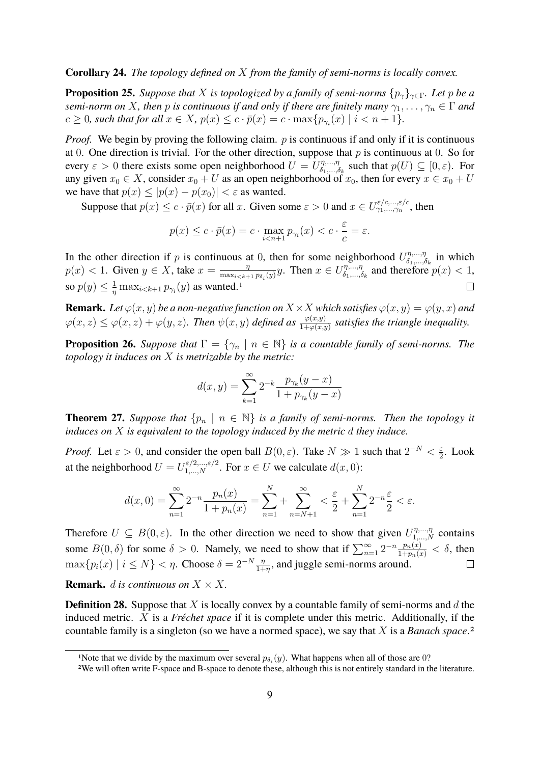#### **Corollary 24.** *The topology defined on* X *from the family of semi-norms is locally convex.*

**Proposition 25.** *Suppose that* X *is topologized by a family of semi-norms*  $\{p_{\gamma}\}_{\gamma \in \Gamma}$ *. Let* p *be a semi-norm on* X, then *p is continuous if and only if there are finitely many*  $\gamma_1, \ldots, \gamma_n \in \Gamma$  *and*  $c \geq 0$ *, such that for all*  $x \in X$ *,*  $p(x) \leq c \cdot \overline{p}(x) = c \cdot \max\{p_{\gamma_i}(x) \mid i < n+1\}.$ 

*Proof.* We begin by proving the following claim. p is continuous if and only if it is continuous at 0. One direction is trivial. For the other direction, suppose that  $p$  is continuous at 0. So for every  $\varepsilon > 0$  there exists some open neighborhood  $U = U_{\delta_1,...,\delta_n}^{\eta_1,...,\eta_n}$  $\zeta_{1,\ldots,\delta_k}^{\eta,\ldots,\eta}$  such that  $p(U) \subseteq [0,\varepsilon)$ . For any given  $x_0 \in X$ , consider  $x_0 + U$  as an open neighborhood of  $x_0$ , then for every  $x \in x_0 + U$ we have that  $p(x) \le |p(x) - p(x_0)| < \varepsilon$  as wanted.

Suppose that  $p(x) \leq c \cdot \bar{p}(x)$  for all x. Given some  $\varepsilon > 0$  and  $x \in U_{\gamma_1,\dots,\gamma_n}^{\varepsilon/c,\dots,\varepsilon/c}$ , then

$$
p(x) \le c \cdot \bar{p}(x) = c \cdot \max_{i \le n+1} p_{\gamma_i}(x) < c \cdot \frac{\varepsilon}{c} = \varepsilon.
$$

In the other direction if p is continuous at 0, then for some neighborhood  $U_{\delta_1,\ldots,\delta_n}^{\eta,\ldots,\eta}$  $\delta_1, \ldots, \delta_k$  in which  $p(x) < 1$ . Given  $y \in X$ , take  $x = \frac{\eta}{\max(x)}$  $\frac{\eta}{\max_{i \leq k+1} p_{\delta_i}(y)} y$ . Then  $x \in U_{\delta_1,\dots,\delta_n}^{\eta,\dots,\eta}$  $\zeta_{1,\dots,\delta_k}^{\eta,\dots,\eta}$  and therefore  $p(x) < 1$ ,  $\frac{1}{\eta} \max_{i \leq k+1} p_{\gamma_i}(y)$  $\frac{1}{\eta} \max_{i \leq k+1} p_{\gamma_i}(y)$  $\frac{1}{\eta} \max_{i \leq k+1} p_{\gamma_i}(y)$  as wanted.<sup>1</sup> so  $p(y) \leq \frac{1}{n}$  $\Box$ 

**Remark.** *Let*  $\varphi(x, y)$  *be a non-negative function on*  $X \times X$  *which satisfies*  $\varphi(x, y) = \varphi(y, x)$  *and*  $\varphi(x,z)\leq\varphi(x,z)+\varphi(y,z)$ . Then  $\psi(x,y)$  defined as  $\frac{\varphi(x,y)}{1+\varphi(x,y)}$  satisfies the triangle inequality.

**Proposition 26.** *Suppose that*  $\Gamma = \{ \gamma_n \mid n \in \mathbb{N} \}$  *is a countable family of semi-norms. The topology it induces on* X *is metrizable by the metric:*

$$
d(x, y) = \sum_{k=1}^{\infty} 2^{-k} \frac{p_{\gamma_k}(y - x)}{1 + p_{\gamma_k}(y - x)}
$$

**Theorem 27.** *Suppose that*  $\{p_n \mid n \in \mathbb{N}\}$  *is a family of semi-norms. Then the topology it induces on* X *is equivalent to the topology induced by the metric* d *they induce.*

*Proof.* Let  $\varepsilon > 0$ , and consider the open ball  $B(0, \varepsilon)$ . Take  $N \gg 1$  such that  $2^{-N} < \frac{\varepsilon}{2}$  $\frac{\varepsilon}{2}$ . Look at the neighborhood  $U = U_{1,...,N}^{\varepsilon/2,...,\varepsilon/2}$ . For  $x \in U$  we calculate  $d(x, 0)$ :

$$
d(x,0) = \sum_{n=1}^{\infty} 2^{-n} \frac{p_n(x)}{1 + p_n(x)} = \sum_{n=1}^{N} \frac{1}{2} + \sum_{n=N+1}^{\infty} \frac{1}{2} + \sum_{n=1}^{N} 2^{-n} \frac{1}{2} < \varepsilon.
$$

Therefore  $U \subseteq B(0, \varepsilon)$ . In the other direction we need to show that given  $U_{1,...,N}^{\eta,...,\eta}$  contains some  $B(0, \delta)$  for some  $\delta > 0$ . Namely, we need to show that if  $\sum_{n=1}^{\infty} 2^{-n} \frac{p_n(x)}{1 + p_n(x)} < \delta$ , then  $\max\{p_i(x) \mid i \leq N\} < \eta$ . Choose  $\delta = 2^{-N} \frac{\eta}{1+\eta}$ , and juggle semi-norms around.  $\Box$ 

**Remark.** *d is continuous on*  $X \times X$ .

**Definition 28.** Suppose that X is locally convex by a countable family of semi-norms and d the induced metric. X is a *Fréchet space* if it is complete under this metric. Additionally, if the countable family is a singleton (so we have a normed space), we say that X is a *Banach space*.[2](#page-8-1)

<span id="page-8-0"></span><sup>&</sup>lt;sup>1</sup>Note that we divide by the maximum over several  $p_{\delta_i}(y)$ . What happens when all of those are 0?

<span id="page-8-1"></span><sup>2</sup>We will often write F-space and B-space to denote these, although this is not entirely standard in the literature.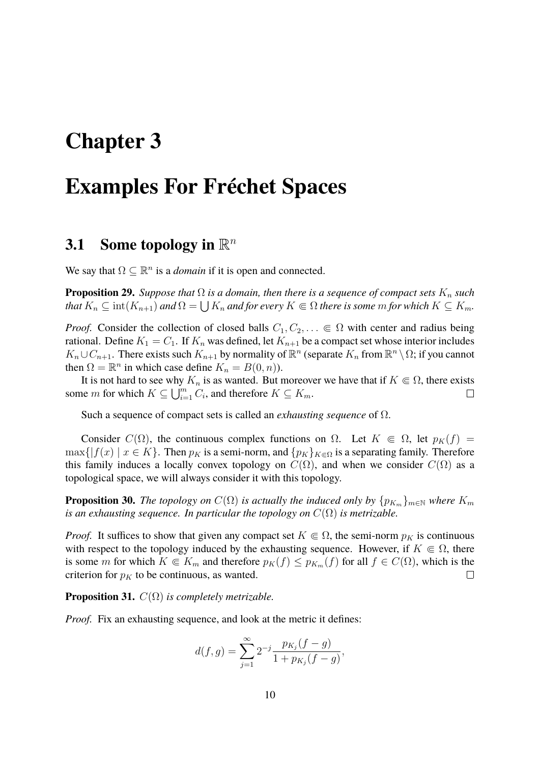## <span id="page-9-0"></span>**Chapter 3**

## **Examples For Fréchet Spaces**

### <span id="page-9-1"></span>**3.1** Some topology in  $\mathbb{R}^n$

We say that  $\Omega \subseteq \mathbb{R}^n$  is a *domain* if it is open and connected.

**Proposition 29.** *Suppose that*  $\Omega$  *is a domain, then there is a sequence of compact sets*  $K_n$  *such that*  $K_n \subseteq \text{int}(K_{n+1})$  *and*  $\Omega = \bigcup K_n$  *and for every*  $K \Subset \Omega$  *there is some m for which*  $K \subseteq K_m$ *.* 

*Proof.* Consider the collection of closed balls  $C_1, C_2, \ldots \in \Omega$  with center and radius being rational. Define  $K_1 = C_1$ . If  $K_n$  was defined, let  $K_{n+1}$  be a compact set whose interior includes  $K_n \cup C_{n+1}$ . There exists such  $K_{n+1}$  by normality of  $\mathbb{R}^n$  (separate  $K_n$  from  $\mathbb{R}^n \setminus \Omega$ ; if you cannot then  $\Omega = \mathbb{R}^n$  in which case define  $K_n = B(0, n)$ ).

It is not hard to see why  $K_n$  is as wanted. But moreover we have that if  $K \subseteq \Omega$ , there exists some *m* for which  $K \subseteq \bigcup_{i=1}^{m} C_i$ , and therefore  $K \subseteq K_m$ .  $\Box$ 

Such a sequence of compact sets is called an *exhausting sequence* of Ω.

Consider  $C(\Omega)$ , the continuous complex functions on  $\Omega$ . Let  $K \in \Omega$ , let  $p_K(f) =$  $\max\{|f(x)|, x \in K\}$ . Then  $p_K$  is a semi-norm, and  $\{p_K\}_{K\in\Omega}$  is a separating family. Therefore this family induces a locally convex topology on  $C(\Omega)$ , and when we consider  $C(\Omega)$  as a topological space, we will always consider it with this topology.

**Proposition 30.** *The topology on*  $C(\Omega)$  *is actually the induced only by*  $\{p_{K_m}\}_{m\in\mathbb{N}}$  *where*  $K_m$ *is an exhausting sequence. In particular the topology on*  $C(\Omega)$  *is metrizable.* 

*Proof.* It suffices to show that given any compact set  $K \in \Omega$ , the semi-norm  $p_K$  is continuous with respect to the topology induced by the exhausting sequence. However, if  $K \subseteq \Omega$ , there is some m for which  $K \in K_m$  and therefore  $p_K(f) \leq p_{K_m}(f)$  for all  $f \in C(\Omega)$ , which is the criterion for  $p<sub>K</sub>$  to be continuous, as wanted.  $\Box$ 

**Proposition 31.**  $C(\Omega)$  *is completely metrizable.* 

*Proof.* Fix an exhausting sequence, and look at the metric it defines:

$$
d(f,g) = \sum_{j=1}^{\infty} 2^{-j} \frac{p_{K_j}(f-g)}{1 + p_{K_j}(f-g)},
$$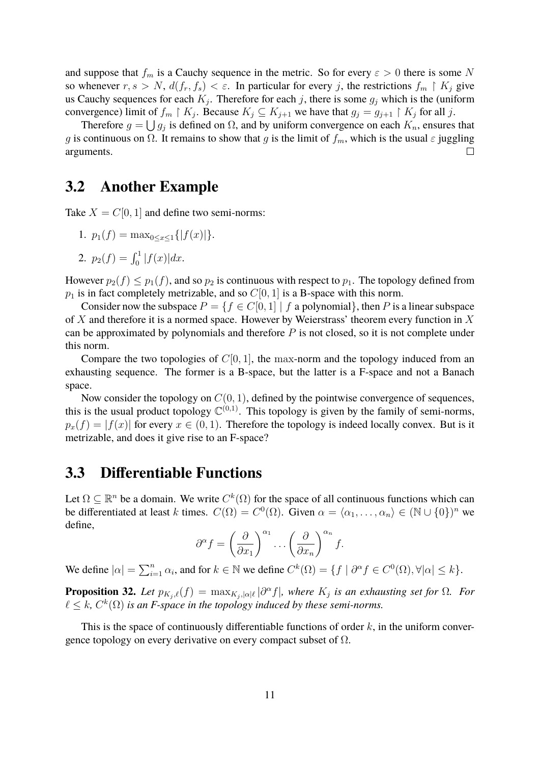and suppose that  $f_m$  is a Cauchy sequence in the metric. So for every  $\varepsilon > 0$  there is some N so whenever  $r, s > N$ ,  $d(f_r, f_s) < \varepsilon$ . In particular for every j, the restrictions  $f_m \restriction K_j$  give us Cauchy sequences for each  $K_j$ . Therefore for each j, there is some  $g_j$  which is the (uniform convergence) limit of  $f_m \restriction K_j$ . Because  $K_j \subseteq K_{j+1}$  we have that  $g_j = g_{j+1} \restriction K_j$  for all j.

Therefore  $g = \bigcup g_j$  is defined on  $\Omega$ , and by uniform convergence on each  $K_n$ , ensures that g is continuous on  $\Omega$ . It remains to show that g is the limit of  $f_m$ , which is the usual  $\varepsilon$  juggling arguments.  $\Box$ 

#### <span id="page-10-0"></span>**3.2 Another Example**

Take  $X = C[0, 1]$  and define two semi-norms:

1. 
$$
p_1(f) = \max_{0 \le x \le 1} \{|f(x)|\}.
$$

2. 
$$
p_2(f) = \int_0^1 |f(x)| dx
$$
.

However  $p_2(f) \leq p_1(f)$ , and so  $p_2$  is continuous with respect to  $p_1$ . The topology defined from  $p_1$  is in fact completely metrizable, and so  $C[0, 1]$  is a B-space with this norm.

Consider now the subspace  $P = \{f \in C[0,1] \mid f \text{ a polynomial}\},\$  then P is a linear subspace of  $X$  and therefore it is a normed space. However by Weierstrass' theorem every function in  $X$ can be approximated by polynomials and therefore  $P$  is not closed, so it is not complete under this norm.

Compare the two topologies of  $C[0, 1]$ , the max-norm and the topology induced from an exhausting sequence. The former is a B-space, but the latter is a F-space and not a Banach space.

Now consider the topology on  $C(0, 1)$ , defined by the pointwise convergence of sequences, this is the usual product topology  $\mathbb{C}^{(0,1)}$ . This topology is given by the family of semi-norms,  $p_x(f) = |f(x)|$  for every  $x \in (0, 1)$ . Therefore the topology is indeed locally convex. But is it metrizable, and does it give rise to an F-space?

#### <span id="page-10-1"></span>**3.3 Differentiable Functions**

Let  $\Omega \subseteq \mathbb{R}^n$  be a domain. We write  $C^k(\Omega)$  for the space of all continuous functions which can be differentiated at least k times.  $C(\Omega) = C^{0}(\Omega)$ . Given  $\alpha = \langle \alpha_1, \ldots, \alpha_n \rangle \in (\mathbb{N} \cup \{0\})^n$  we define,

$$
\partial^{\alpha} f = \left(\frac{\partial}{\partial x_1}\right)^{\alpha_1} \dots \left(\frac{\partial}{\partial x_n}\right)^{\alpha_n} f.
$$

We define  $|\alpha| = \sum_{i=1}^n \alpha_i$ , and for  $k \in \mathbb{N}$  we define  $C^k(\Omega) = \{f \mid \partial^{\alpha} f \in C^0(\Omega), \forall |\alpha| \leq k\}.$ 

**Proposition 32.** Let  $p_{K_j,\ell}(f) = \max_{K_j,|\alpha|\ell} |\partial^{\alpha} f|$ , where  $K_j$  is an exhausting set for  $\Omega$ . For  $\ell \leq k$ ,  $C^k(\Omega)$  *is an F-space in the topology induced by these semi-norms.* 

This is the space of continuously differentiable functions of order  $k$ , in the uniform convergence topology on every derivative on every compact subset of  $\Omega$ .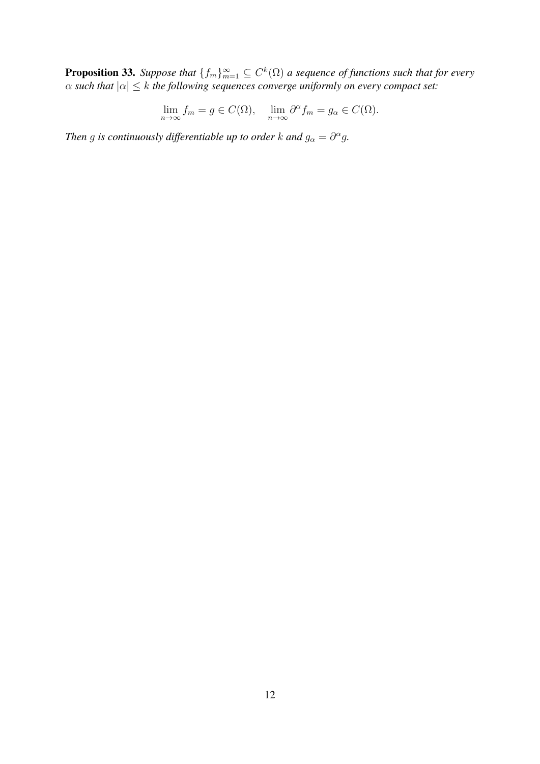**Proposition 33.** Suppose that  $\{f_m\}_{m=1}^{\infty} \subseteq C^k(\Omega)$  a sequence of functions such that for every  $\alpha$  such that  $|\alpha| \leq k$  the following sequences converge uniformly on every compact set:

$$
\lim_{n \to \infty} f_m = g \in C(\Omega), \quad \lim_{n \to \infty} \partial^{\alpha} f_m = g_{\alpha} \in C(\Omega).
$$

*Then* g is continuously differentiable up to order k and  $g_{\alpha} = \partial^{\alpha} g$ .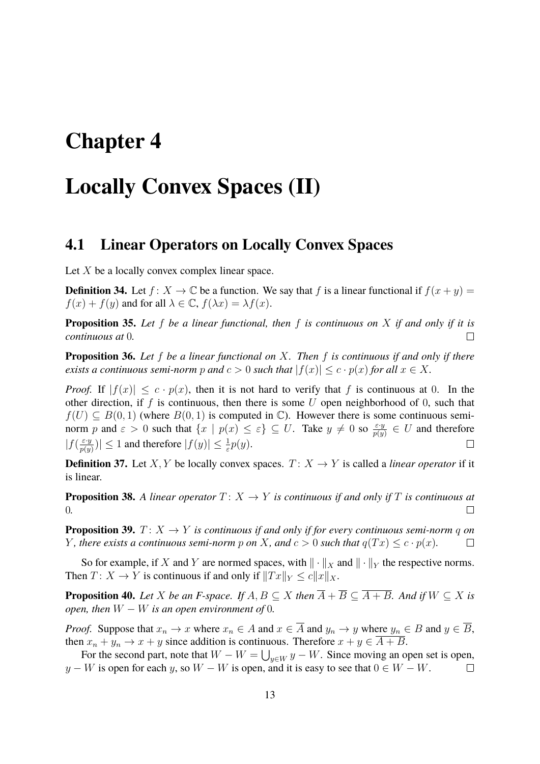## <span id="page-12-0"></span>**Chapter 4**

## **Locally Convex Spaces (II)**

#### <span id="page-12-1"></span>**4.1 Linear Operators on Locally Convex Spaces**

Let  $X$  be a locally convex complex linear space.

**Definition 34.** Let  $f: X \to \mathbb{C}$  be a function. We say that f is a linear functional if  $f(x + y) =$  $f(x) + f(y)$  and for all  $\lambda \in \mathbb{C}$ ,  $f(\lambda x) = \lambda f(x)$ .

**Proposition 35.** *Let* f *be a linear functional, then* f *is continuous on* X *if and only if it is continuous at* 0*.*  $\Box$ 

**Proposition 36.** *Let* f *be a linear functional on* X*. Then* f *is continuous if and only if there exists a continuous semi-norm* p and  $c > 0$  *such that*  $|f(x)| \leq c \cdot p(x)$  *for all*  $x \in X$ *.* 

*Proof.* If  $|f(x)| \leq c \cdot p(x)$ , then it is not hard to verify that f is continuous at 0. In the other direction, if  $f$  is continuous, then there is some  $U$  open neighborhood of 0, such that  $f(U) \subseteq B(0,1)$  (where  $B(0,1)$  is computed in  $\mathbb{C}$ ). However there is some continuous seminorm p and  $\varepsilon > 0$  such that  $\{x \mid p(x) \leq \varepsilon\} \subseteq U$ . Take  $y \neq 0$  so  $\frac{\varepsilon \cdot y}{p(y)} \in U$  and therefore  $|f(\frac{\varepsilon \cdot y}{n(w))}|$  $|\frac{\varepsilon \cdot y}{p(y)}| \leq 1$  and therefore  $|f(y)| \leq \frac{1}{\varepsilon} p(y)$ .  $\Box$ 

**Definition 37.** Let X, Y be locally convex spaces.  $T: X \rightarrow Y$  is called a *linear operator* if it is linear.

**Proposition 38.** A linear operator  $T: X \to Y$  is continuous if and only if T is continuous at  $\Box$ 0*.*

**Proposition 39.**  $T: X \rightarrow Y$  *is continuous if and only if for every continuous semi-norm q on Y*, there exists a continuous semi-norm p on X, and  $c > 0$  such that  $q(Tx) \leq c \cdot p(x)$ .  $\Box$ 

So for example, if X and Y are normed spaces, with  $\|\cdot\|_X$  and  $\|\cdot\|_Y$  the respective norms. Then  $T: X \to Y$  is continuous if and only if  $||Tx||_Y \le c||x||_X$ .

**Proposition 40.** *Let* X *be an F-space. If*  $A, B \subseteq X$  *then*  $\overline{A} + \overline{B} \subseteq \overline{A + B}$ *. And if*  $W \subseteq X$  *is open, then*  $W - W$  *is an open environment of* 0*.* 

*Proof.* Suppose that  $x_n \to x$  where  $x_n \in A$  and  $x \in \overline{A}$  and  $y_n \to y$  where  $y_n \in B$  and  $y \in \overline{B}$ , then  $x_n + y_n \to x + y$  since addition is continuous. Therefore  $x + y \in \overline{A + B}$ .

For the second part, note that  $W - W = \bigcup_{y \in W} y - W$ . Since moving an open set is open,  $y - W$  is open for each y, so  $W - W$  is open, and it is easy to see that  $0 \in W - W$ .  $\Box$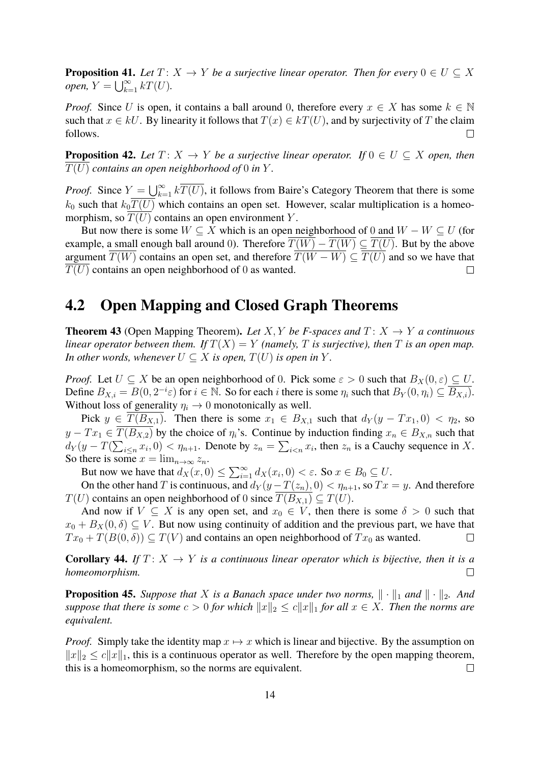**Proposition 41.** *Let*  $T: X \to Y$  *be a surjective linear operator. Then for every*  $0 \in U \subseteq X$ *open,*  $Y = \bigcup_{k=1}^{\infty} kT(U)$ *.* 

*Proof.* Since U is open, it contains a ball around 0, therefore every  $x \in X$  has some  $k \in \mathbb{N}$ such that  $x \in kU$ . By linearity it follows that  $T(x) \in kT(U)$ , and by surjectivity of T the claim follows.  $\Box$ 

**Proposition 42.** Let  $T: X \to Y$  be a surjective linear operator. If  $0 \in U \subseteq X$  open, then  $\overline{T(U)}$  contains an open neighborhood of 0 in Y.

*Proof.* Since  $Y = \bigcup_{k=1}^{\infty} k\overline{T(U)}$ , it follows from Baire's Category Theorem that there is some  $k_0$  such that  $k_0\overline{T(U)}$  which contains an open set. However, scalar multiplication is a homeomorphism, so  $\overline{T(U)}$  contains an open environment Y.

But now there is some  $W \subseteq X$  which is an open neighborhood of 0 and  $W - W \subseteq U$  (for example, a small enough ball around 0). Therefore  $\overline{T(W)} - \overline{T(W)} \subseteq \overline{T(U)}$ . But by the above argument  $\overline{T(W)}$  contains an open set, and therefore  $\overline{T(W-W)} \subseteq \overline{T(U)}$  and so we have that  $T(U)$  contains an open neighborhood of 0 as wanted.  $\Box$ 

#### <span id="page-13-0"></span>**4.2 Open Mapping and Closed Graph Theorems**

**Theorem 43** (Open Mapping Theorem). Let X, Y be F-spaces and  $T: X \rightarrow Y$  a continuous *linear operator between them. If*  $T(X) = Y$  *(namely, T is surjective), then* T *is an open map. In other words, whenever*  $U \subseteq X$  *is open,*  $T(U)$  *is open in*  $Y$ *.* 

*Proof.* Let  $U \subseteq X$  be an open neighborhood of 0. Pick some  $\varepsilon > 0$  such that  $B_X(0, \varepsilon) \subseteq U$ . Define  $B_{X,i} = B(0, 2^{-i}\varepsilon)$  for  $i \in \mathbb{N}$ . So for each i there is some  $\eta_i$  such that  $B_Y(0, \eta_i) \subseteq \overline{B_{X,i}}$ . Without loss of generality  $\eta_i \to 0$  monotonically as well.

Pick  $y \in T(B_{X,1})$ . Then there is some  $x_1 \in B_{X,1}$  such that  $d_Y(y - Tx_1, 0) < \eta_2$ , so  $y - Tx_1 \in \overline{T(B_{X,2})}$  by the choice of  $\eta_i$ 's. Continue by induction finding  $x_n \in B_{X,n}$  such that  $d_Y(y - T(\sum_{i \leq n} x_i, 0) < \eta_{n+1}$ . Denote by  $z_n = \sum_{i \leq n} x_i$ , then  $z_n$  is a Cauchy sequence in X. So there is some  $x = \lim_{n \to \infty} z_n$ .

But now we have that  $d_X(x, 0) \le \sum_{i=1}^{\infty} d_X(x_i, 0) < \varepsilon$ . So  $x \in B_0 \subseteq U$ .

On the other hand T is continuous, and  $d_Y(y-T(z_n), 0) < \eta_{n+1}$ , so  $Tx = y$ . And therefore  $T(U)$  contains an open neighborhood of 0 since  $\overline{T(B_{X,1})} \subseteq T(U)$ .

And now if  $V \subseteq X$  is any open set, and  $x_0 \in V$ , then there is some  $\delta > 0$  such that  $x_0 + B_X(0, \delta) \subseteq V$ . But now using continuity of addition and the previous part, we have that  $Tx_0 + T(B(0, \delta)) \subseteq T(V)$  and contains an open neighborhood of  $Tx_0$  as wanted.  $\Box$ 

**Corollary 44.** If  $T: X \to Y$  is a continuous linear operator which is bijective, then it is a *homeomorphism.*  $\Box$ 

**Proposition 45.** Suppose that X is a Banach space under two norms,  $\|\cdot\|_1$  and  $\|\cdot\|_2$ . And *suppose that there is some*  $c > 0$  *for which*  $||x||_2 \le c||x||_1$  *for all*  $x \in X$ *. Then the norms are equivalent.*

*Proof.* Simply take the identity map  $x \mapsto x$  which is linear and bijective. By the assumption on  $||x||_2 \le c||x||_1$ , this is a continuous operator as well. Therefore by the open mapping theorem, this is a homeomorphism, so the norms are equivalent.  $\Box$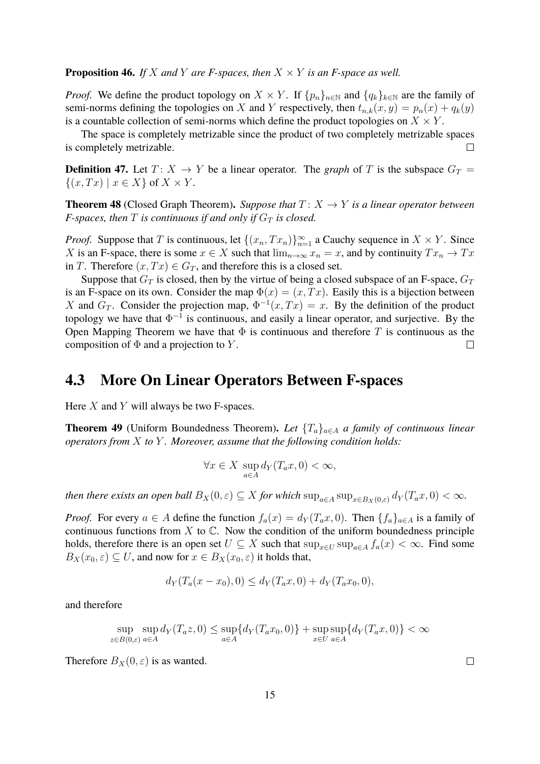**Proposition 46.** *If* X and Y are *F*-spaces, then  $X \times Y$  *is an F-space as well.* 

*Proof.* We define the product topology on  $X \times Y$ . If  $\{p_n\}_{n\in\mathbb{N}}$  and  $\{q_k\}_{k\in\mathbb{N}}$  are the family of semi-norms defining the topologies on X and Y respectively, then  $t_{n,k}(x, y) = p_n(x) + q_k(y)$ is a countable collection of semi-norms which define the product topologies on  $X \times Y$ .

The space is completely metrizable since the product of two completely metrizable spaces is completely metrizable.  $\Box$ 

**Definition 47.** Let  $T: X \rightarrow Y$  be a linear operator. The *graph* of T is the subspace  $G_T =$  $\{(x, Tx) \mid x \in X\}$  of  $X \times Y$ .

**Theorem 48** (Closed Graph Theorem). *Suppose that*  $T: X \rightarrow Y$  *is a linear operator between F-spaces, then*  $T$  *is continuous if and only if*  $G_T$  *is closed.* 

*Proof.* Suppose that T is continuous, let  $\{(x_n, Tx_n)\}_{n=1}^{\infty}$  a Cauchy sequence in  $X \times Y$ . Since X is an F-space, there is some  $x \in X$  such that  $\lim_{n\to\infty} x_n = x$ , and by continuity  $Tx_n \to Tx$ in T. Therefore  $(x, Tx) \in G_T$ , and therefore this is a closed set.

Suppose that  $G_T$  is closed, then by the virtue of being a closed subspace of an F-space,  $G_T$ is an F-space on its own. Consider the map  $\Phi(x) = (x, Tx)$ . Easily this is a bijection between X and  $G_T$ . Consider the projection map,  $\Phi^{-1}(x,Tx) = x$ . By the definition of the product topology we have that  $\Phi^{-1}$  is continuous, and easily a linear operator, and surjective. By the Open Mapping Theorem we have that  $\Phi$  is continuous and therefore T is continuous as the composition of  $\Phi$  and a projection to Y.  $\Box$ 

#### <span id="page-14-0"></span>**4.3 More On Linear Operators Between F-spaces**

Here  $X$  and  $Y$  will always be two F-spaces.

**Theorem 49** (Uniform Boundedness Theorem). Let  $\{T_a\}_{a \in A}$  *a family of continuous linear operators from* X *to* Y *. Moreover, assume that the following condition holds:*

$$
\forall x \in X \, \sup_{a \in A} d_Y(T_a x, 0) < \infty,
$$

*then there exists an open ball*  $B_X(0, \varepsilon) \subseteq X$  *for which*  $\sup_{a \in A} \sup_{x \in B_X(0, \varepsilon)} d_Y(T_a x, 0) < \infty$ *.* 

*Proof.* For every  $a \in A$  define the function  $f_a(x) = d_Y(T_a x, 0)$ . Then  $\{f_a\}_{a \in A}$  is a family of continuous functions from  $X$  to  $\mathbb{C}$ . Now the condition of the uniform boundedness principle holds, therefore there is an open set  $U \subseteq X$  such that  $\sup_{x \in U} \sup_{a \in A} f_a(x) < \infty$ . Find some  $B_X(x_0, \varepsilon) \subseteq U$ , and now for  $x \in B_X(x_0, \varepsilon)$  it holds that,

$$
d_Y(T_a(x - x_0), 0) \le d_Y(T_a x, 0) + d_Y(T_a x_0, 0),
$$

and therefore

$$
\sup_{z \in B(0,\varepsilon)} \sup_{a \in A} d_Y(T_a z, 0) \le \sup_{a \in A} \{ d_Y(T_a x_0, 0) \} + \sup_{x \in U} \sup_{a \in A} \{ d_Y(T_a x, 0) \} < \infty
$$

Therefore  $B_X(0, \varepsilon)$  is as wanted.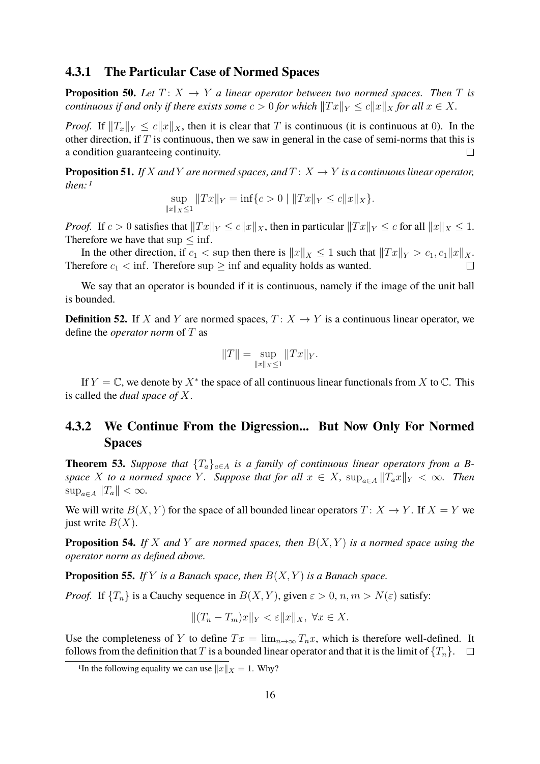#### <span id="page-15-0"></span>**4.3.1 The Particular Case of Normed Spaces**

**Proposition 50.** Let  $T: X \rightarrow Y$  *a linear operator between two normed spaces. Then* T *is continuous if and only if there exists some*  $c > 0$  *for which*  $||Tx||_Y \le c||x||_X$  *for all*  $x \in X$ *.* 

*Proof.* If  $||T_x||_Y \le c||x||_X$ , then it is clear that T is continuous (it is continuous at 0). In the other direction, if  $T$  is continuous, then we saw in general in the case of semi-norms that this is a condition guaranteeing continuity.  $\Box$ 

**Proposition 51.** *If* X and Y are normed spaces, and  $T: X \rightarrow Y$  is a continuous linear operator, *then:[1](#page-15-2)*

$$
\sup_{\|x\|_X\le 1} \|Tx\|_Y = \inf\{c > 0 \mid \|Tx\|_Y \le c\|x\|_X\}.
$$

*Proof.* If  $c > 0$  satisfies that  $||Tx||_Y \le c||x||_X$ , then in particular  $||Tx||_Y \le c$  for all  $||x||_X \le 1$ . Therefore we have that  $\sup \leq \inf$ .

In the other direction, if  $c_1 < \sup$  then there is  $||x||_X \leq 1$  such that  $||Tx||_Y > c_1, c_1||x||_X$ . Therefore  $c_1 < \inf$ . Therefore sup  $\geq \inf$  and equality holds as wanted.  $\Box$ 

We say that an operator is bounded if it is continuous, namely if the image of the unit ball is bounded.

**Definition 52.** If X and Y are normed spaces,  $T: X \rightarrow Y$  is a continuous linear operator, we define the *operator norm* of T as

$$
||T|| = \sup_{||x||_X \le 1} ||Tx||_Y.
$$

If  $Y = \mathbb{C}$ , we denote by  $X^*$  the space of all continuous linear functionals from X to  $\mathbb{C}$ . This is called the *dual space of* X.

#### <span id="page-15-1"></span>**4.3.2 We Continue From the Digression... But Now Only For Normed Spaces**

**Theorem 53.** *Suppose that*  $\{T_a\}_{a \in A}$  *is a family of continuous linear operators from a Bspace* X *to a normed space* Y. Suppose that for all  $x \in X$ ,  $\sup_{a \in A} ||T_a x||_Y < \infty$ . Then  $\sup_{a \in A} ||T_a|| < \infty$ .

We will write  $B(X, Y)$  for the space of all bounded linear operators  $T: X \to Y$ . If  $X = Y$  we just write  $B(X)$ .

**Proposition 54.** *If* X *and* Y *are normed spaces, then* B(X, Y ) *is a normed space using the operator norm as defined above.*

**Proposition 55.** *If*  $Y$  *is a Banach space, then*  $B(X, Y)$  *is a Banach space.* 

*Proof.* If  $\{T_n\}$  is a Cauchy sequence in  $B(X, Y)$ , given  $\varepsilon > 0$ ,  $n, m > N(\varepsilon)$  satisfy:

$$
||(T_n - T_m)x||_Y < \varepsilon ||x||_X, \ \forall x \in X.
$$

Use the completeness of Y to define  $Tx = \lim_{n\to\infty} T_n x$ , which is therefore well-defined. It follows from the definition that T is a bounded linear operator and that it is the limit of  $\{T_n\}$ .

<span id="page-15-2"></span><sup>&</sup>lt;sup>1</sup>In the following equality we can use  $||x||_X = 1$ . Why?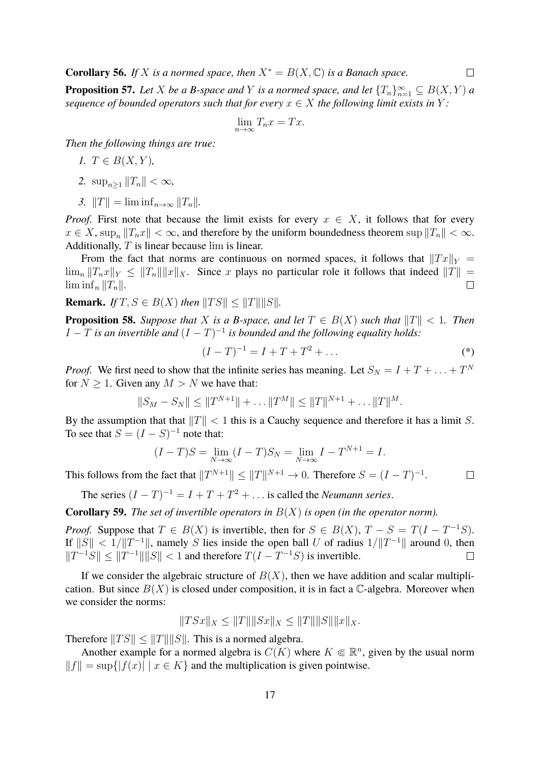**Corollary 56.** *If* X *is a normed space, then*  $X^* = B(X, \mathbb{C})$  *is a Banach space.* 

**Proposition 57.** *Let*  $X$  *be a B-space and*  $Y$  *is a normed space, and let*  ${T_n}_{n=1}^{\infty} \subseteq B(X, Y)$  *a sequence of bounded operators such that for every*  $x \in X$  *the following limit exists in* Y:

$$
\lim_{n \to \infty} T_n x = Tx.
$$

*Then the following things are true:*

$$
I. T \in B(X, Y),
$$

- 2.  $\sup_{n>1} ||T_n|| < \infty$ ,
- *3.*  $||T|| = \liminf_{n \to \infty} ||T_n||$ .

*Proof.* First note that because the limit exists for every  $x \in X$ , it follows that for every  $x \in X$ ,  $\sup_n ||T_n x|| < \infty$ , and therefore by the uniform boundedness theorem  $\sup ||T_n|| < \infty$ . Additionally,  $T$  is linear because lim is linear.

From the fact that norms are continuous on normed spaces, it follows that  $\|Tx\|_Y =$  $\lim_{n} ||T_n x||_Y \leq ||T_n|| ||x||_X$ . Since x plays no particular role it follows that indeed  $||T|| =$  $\liminf_n ||T_n||.$  $\Box$ 

**Remark.** *If*  $T, S \in B(X)$  *then*  $||TS|| < ||T|| ||S||$ *.* 

**Proposition 58.** Suppose that X is a B-space, and let  $T \in B(X)$  such that  $||T|| < 1$ . Then  $I - T$  is an invertible and  $(I - T)^{-1}$  is bounded and the following equality holds:

$$
(I - T)^{-1} = I + T + T^2 + \dots
$$
 (\*)

*Proof.* We first need to show that the infinite series has meaning. Let  $S_N = I + T + ... + T^N$ for  $N > 1$ . Given any  $M > N$  we have that:

$$
||S_M - S_N|| \le ||T^{N+1}|| + \dots ||T^M|| \le ||T||^{N+1} + \dots ||T||^M.
$$

By the assumption that that  $||T|| < 1$  this is a Cauchy sequence and therefore it has a limit S. To see that  $S = (I - S)^{-1}$  note that:

$$
(I - T)S = \lim_{N \to \infty} (I - T)S_N = \lim_{N \to \infty} I - T^{N+1} = I.
$$

This follows from the fact that  $||T^{N+1}|| \le ||T||^{N+1} \to 0$ . Therefore  $S = (I - T)^{-1}$ .  $\Box$ 

The series  $(I - T)^{-1} = I + T + T^2 + \dots$  is called the *Neumann series*.

**Corollary 59.** *The set of invertible operators in* B(X) *is open (in the operator norm).*

*Proof.* Suppose that  $T \in B(X)$  is invertible, then for  $S \in B(X)$ ,  $T - S = T(I - T^{-1}S)$ . If  $||S|| < 1/||T^{-1}||$ , namely S lies inside the open ball U of radius  $1/||T^{-1}||$  around 0, then  $||T^{-1}S|| \le ||T^{-1}|| ||S|| < 1$  and therefore  $T(I - T^{-1}S)$  is invertible.  $\Box$ 

If we consider the algebraic structure of  $B(X)$ , then we have addition and scalar multiplication. But since  $B(X)$  is closed under composition, it is in fact a C-algebra. Moreover when we consider the norms:

$$
||TSx||_X \le ||T|| ||Sx||_X \le ||T|| ||S|| ||x||_X.
$$

Therefore  $||TS|| \le ||T|| ||S||$ . This is a normed algebra.

Another example for a normed algebra is  $C(K)$  where  $K \in \mathbb{R}^n$ , given by the usual norm  $||f|| = \sup\{|f(x)| | x \in K\}$  and the multiplication is given pointwise.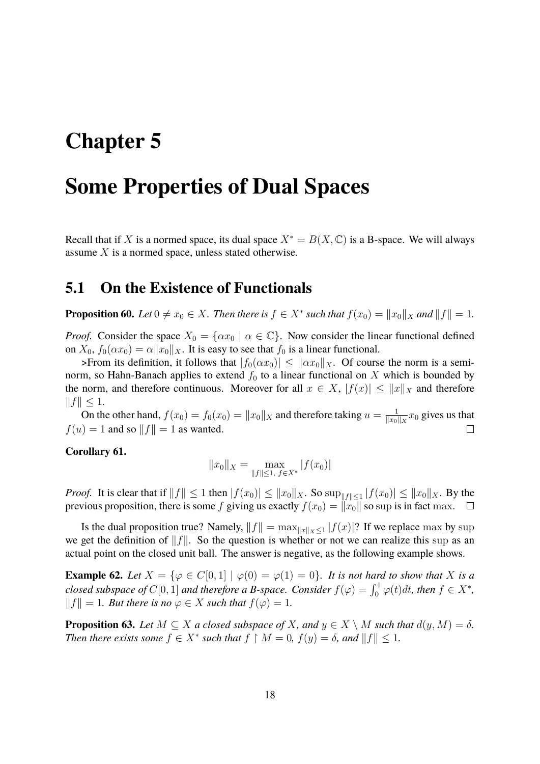# <span id="page-17-0"></span>**Chapter 5**

## **Some Properties of Dual Spaces**

Recall that if X is a normed space, its dual space  $X^* = B(X, \mathbb{C})$  is a B-space. We will always assume X is a normed space, unless stated otherwise.

### <span id="page-17-1"></span>**5.1 On the Existence of Functionals**

**Proposition 60.** *Let*  $0 \neq x_0 \in X$ *. Then there is*  $f \in X^*$  *such that*  $f(x_0) = ||x_0||_X$  *and*  $||f|| = 1$ *.* 

*Proof.* Consider the space  $X_0 = \{ \alpha x_0 \mid \alpha \in \mathbb{C} \}$ . Now consider the linear functional defined on  $X_0$ ,  $f_0(\alpha x_0) = \alpha ||x_0||_X$ . It is easy to see that  $f_0$  is a linear functional.

>From its definition, it follows that  $|f_0(\alpha x_0)| \leq ||\alpha x_0||_X$ . Of course the norm is a seminorm, so Hahn-Banach applies to extend  $f_0$  to a linear functional on X which is bounded by the norm, and therefore continuous. Moreover for all  $x \in X$ ,  $|f(x)| \le ||x||_X$  and therefore  $||f|| \leq 1.$ 

On the other hand,  $f(x_0) = f_0(x_0) = ||x_0||_X$  and therefore taking  $u = \frac{1}{||x_0||}$  $\frac{1}{\|x_0\|_X}x_0$  gives us that  $f(u) = 1$  and so  $||f|| = 1$  as wanted.  $\Box$ 

#### **Corollary 61.**

$$
||x_0||_X = \max_{||f|| \le 1, f \in X^*} |f(x_0)|
$$

*Proof.* It is clear that if  $||f|| \le 1$  then  $|f(x_0)| \le ||x_0||_X$ . So  $\sup_{||f|| \le 1} |f(x_0)| \le ||x_0||_X$ . By the previous proposition, there is some f giving us exactly  $f(x_0) = ||x_0||$  so sup is in fact max.  $\Box$ 

Is the dual proposition true? Namely,  $||f|| = \max_{||x|| \leq 1} |f(x)|$ ? If we replace max by sup we get the definition of  $||f||$ . So the question is whether or not we can realize this sup as an actual point on the closed unit ball. The answer is negative, as the following example shows.

**Example 62.** Let  $X = \{ \varphi \in C[0,1] \mid \varphi(0) = \varphi(1) = 0 \}$ . It is not hard to show that X is a *closed subspace of*  $C[0, 1]$  *and therefore a B-space. Consider*  $f(\varphi) = \int_0^1 \varphi(t)dt$ , *then*  $f \in X^*$ ,  $||f|| = 1$ *. But there is no*  $\varphi \in X$  *such that*  $f(\varphi) = 1$ *.* 

<span id="page-17-2"></span>**Proposition 63.** *Let*  $M \subseteq X$  *a closed subspace of* X, and  $y \in X \setminus M$  *such that*  $d(y, M) = \delta$ *. Then there exists some*  $f \in X^*$  *such that*  $f \upharpoonright M = 0$ ,  $f(y) = \delta$ , and  $||f|| \leq 1$ .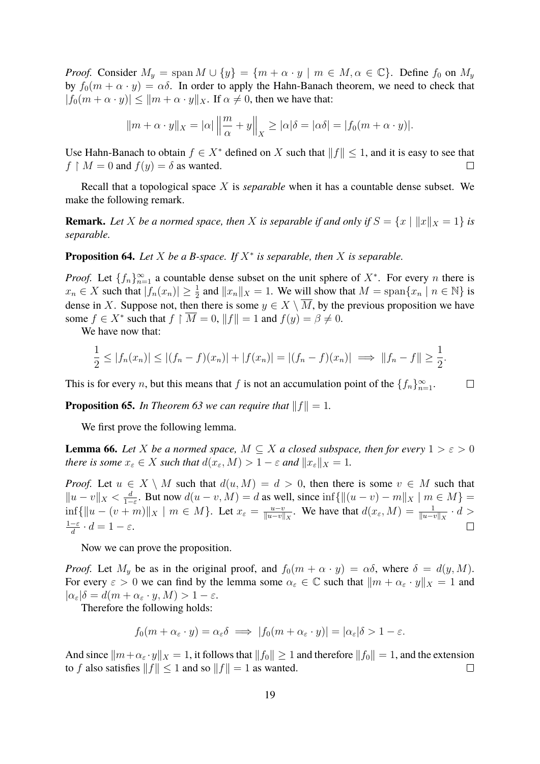*Proof.* Consider  $M_y = \text{span } M \cup \{y\} = \{m + \alpha \cdot y \mid m \in M, \alpha \in \mathbb{C}\}\$ . Define  $f_0$  on  $M_y$ by  $f_0(m + \alpha \cdot y) = \alpha \delta$ . In order to apply the Hahn-Banach theorem, we need to check that  $|f_0(m + \alpha \cdot y)| \le ||m + \alpha \cdot y||_X$ . If  $\alpha \ne 0$ , then we have that:

$$
||m + \alpha \cdot y||_X = |\alpha| \left\|\frac{m}{\alpha} + y\right\|_X \ge |\alpha|\delta = |\alpha\delta| = |f_0(m + \alpha \cdot y)|.
$$

Use Hahn-Banach to obtain  $f \in X^*$  defined on X such that  $||f|| \leq 1$ , and it is easy to see that  $f \restriction M = 0$  and  $f(y) = \delta$  as wanted.  $\Box$ 

Recall that a topological space X is *separable* when it has a countable dense subset. We make the following remark.

**Remark.** Let X be a normed space, then X is separable if and only if  $S = \{x \mid ||x||_X = 1\}$  is *separable.*

#### **Proposition 64.** Let  $X$  be a B-space. If  $X^*$  is separable, then  $X$  is separable.

*Proof.* Let  $\{f_n\}_{n=1}^{\infty}$  a countable dense subset on the unit sphere of  $X^*$ . For every n there is  $x_n \in X$  such that  $|\bar{f}_n(x_n)| \geq \frac{1}{2}$  and  $||x_n||_X = 1$ . We will show that  $M = \text{span}\{x_n \mid n \in \mathbb{N}\}\$ is dense in X. Suppose not, then there is some  $y \in X \setminus \overline{M}$ , by the previous proposition we have some  $f \in X^*$  such that  $f \upharpoonright \overline{M} = 0$ ,  $||f|| = 1$  and  $f(y) = \beta \neq 0$ .

We have now that:

$$
\frac{1}{2} \le |f_n(x_n)| \le |(f_n - f)(x_n)| + |f(x_n)| = |(f_n - f)(x_n)| \implies ||f_n - f|| \ge \frac{1}{2}.
$$

This is for every *n*, but this means that *f* is not an accumulation point of the  $\{f_n\}_{n=1}^{\infty}$ .  $\Box$ 

**Proposition 65.** *In [Theorem 63](#page-17-2) we can require that*  $||f|| = 1$ *.* 

We first prove the following lemma.

**Lemma 66.** Let *X* be a normed space,  $M \subseteq X$  a closed subspace, then for every  $1 > \varepsilon > 0$ *there is some*  $x_{\varepsilon} \in X$  *such that*  $d(x_{\varepsilon}, M) > 1 - \varepsilon$  *and*  $||x_{\varepsilon}||_X = 1$ *.* 

*Proof.* Let  $u \in X \setminus M$  such that  $d(u, M) = d > 0$ , then there is some  $v \in M$  such that  $||u - v||_X < \frac{d}{1 -}$  $\frac{d}{1-\varepsilon}$ . But now  $d(u-v, M) = d$  as well, since  $\inf \{ ||(u-v) - m||_X \mid m \in M \} =$  $\inf \{ ||u - (v + m)||_X \mid m \in M \}.$  Let  $x_{\varepsilon} = \frac{u - v}{||u - v||}$  $\frac{u-v}{\|u-v\|_X}$ . We have that  $d(x_\varepsilon, M) = \frac{1}{\|u-v\|_X} \cdot d >$  $1-\varepsilon$  $\frac{-\varepsilon}{d} \cdot d = 1 - \varepsilon.$  $\Box$ 

Now we can prove the proposition.

*Proof.* Let  $M_y$  be as in the original proof, and  $f_0(m + \alpha \cdot y) = \alpha \delta$ , where  $\delta = d(y, M)$ . For every  $\varepsilon > 0$  we can find by the lemma some  $\alpha_{\varepsilon} \in \mathbb{C}$  such that  $||m + \alpha_{\varepsilon} \cdot y||_X = 1$  and  $|\alpha_{\varepsilon}| \delta = d(m + \alpha_{\varepsilon} \cdot y, M) > 1 - \varepsilon.$ 

Therefore the following holds:

$$
f_0(m + \alpha_{\varepsilon} \cdot y) = \alpha_{\varepsilon} \delta \implies |f_0(m + \alpha_{\varepsilon} \cdot y)| = |\alpha_{\varepsilon}| \delta > 1 - \varepsilon.
$$

And since  $\|m+\alpha_{\varepsilon} \cdot y\|_{X} = 1$ , it follows that  $\|f_0\| \geq 1$  and therefore  $\|f_0\| = 1$ , and the extension to f also satisfies  $||f|| \le 1$  and so  $||f|| = 1$  as wanted.  $\Box$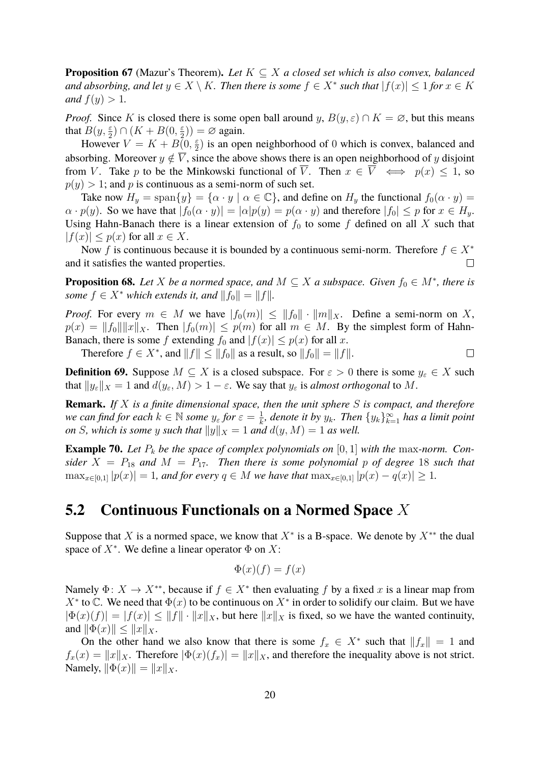**Proposition 67** (Mazur's Theorem)**.** *Let* K ⊆ X *a closed set which is also convex, balanced and absorbing, and let*  $y \in X \setminus K$ *. Then there is some*  $f \in X^*$  *such that*  $|f(x)| \leq 1$  *for*  $x \in K$ *and*  $f(y) > 1$ *.* 

*Proof.* Since K is closed there is some open ball around y,  $B(y, \varepsilon) \cap K = \emptyset$ , but this means that  $B(y, \frac{\varepsilon}{2}) \cap (K + B(0, \frac{\varepsilon}{2}))$  $(\frac{\varepsilon}{2})$ ) =  $\varnothing$  again.

However  $V = K + B(0, \frac{\varepsilon}{2})$  $\frac{\epsilon}{2}$ ) is an open neighborhood of 0 which is convex, balanced and absorbing. Moreover  $y \notin \overline{V}$ , since the above shows there is an open neighborhood of y disjoint from V. Take p to be the Minkowski functional of  $\overline{V}$ . Then  $x \in \overline{V} \iff p(x) \leq 1$ , so  $p(y) > 1$ ; and p is continuous as a semi-norm of such set.

Take now  $H_y = \text{span}\{y\} = \{\alpha \cdot y \mid \alpha \in \mathbb{C}\}\$ , and define on  $H_y$  the functional  $f_0(\alpha \cdot y) =$  $\alpha \cdot p(y)$ . So we have that  $|f_0(\alpha \cdot y)| = |\alpha|p(y) = p(\alpha \cdot y)$  and therefore  $|f_0| \leq p$  for  $x \in H_y$ . Using Hahn-Banach there is a linear extension of  $f_0$  to some f defined on all X such that  $|f(x)| \leq p(x)$  for all  $x \in X$ .

Now f is continuous because it is bounded by a continuous semi-norm. Therefore  $f \in X^*$ and it satisfies the wanted properties.  $\Box$ 

**Proposition 68.** Let X be a normed space, and  $M \subseteq X$  a subspace. Given  $f_0 \in M^*$ , there is *some*  $f \in X^*$  *which extends it, and*  $||f_0|| = ||f||$ *.* 

*Proof.* For every  $m \in M$  we have  $|f_0(m)| \le ||f_0|| \cdot ||m||_X$ . Define a semi-norm on X,  $p(x) = ||f_0|| ||x||_X$ . Then  $|f_0(m)| \leq p(m)$  for all  $m \in M$ . By the simplest form of Hahn-Banach, there is some f extending  $f_0$  and  $|f(x)| \leq p(x)$  for all x.

Therefore  $f \in X^*$ , and  $||f|| \le ||f_0||$  as a result, so  $||f_0|| = ||f||$ .  $\Box$ 

**Definition 69.** Suppose  $M \subseteq X$  is a closed subspace. For  $\varepsilon > 0$  there is some  $y_{\varepsilon} \in X$  such that  $||y_{\varepsilon}||_X = 1$  and  $d(y_{\varepsilon}, M) > 1 - \varepsilon$ . We say that  $y_{\varepsilon}$  is *almost orthogonal* to M.

**Remark.** *If* X *is a finite dimensional space, then the unit sphere* S *is compact, and therefore we can find for each*  $k \in \mathbb{N}$  *some*  $y_{\varepsilon}$  *for*  $\varepsilon = \frac{1}{k}$  $\frac{1}{k}$ , denote it by  $y_k$ . Then  $\{y_k\}_{k=1}^{\infty}$  has a limit point *on S*, which is some y such that  $||y||_X = 1$  and  $d(y, M) = 1$  as well.

**Example 70.** Let  $P_k$  be the space of complex polynomials on  $[0, 1]$  with the max-norm. Con*sider*  $X = P_{18}$  *and*  $M = P_{17}$ *. Then there is some polynomial p of degree* 18 *such that*  $\max_{x \in [0,1]} |p(x)| = 1$ *, and for every*  $q \in M$  *we have that*  $\max_{x \in [0,1]} |p(x) - q(x)| \ge 1$ *.* 

### <span id="page-19-0"></span>**5.2 Continuous Functionals on a Normed Space** X

Suppose that X is a normed space, we know that  $X^*$  is a B-space. We denote by  $X^{**}$  the dual space of  $X^*$ . We define a linear operator  $\Phi$  on  $X$ :

$$
\Phi(x)(f) = f(x)
$$

Namely  $\Phi: X \to X^{**}$ , because if  $f \in X^*$  then evaluating f by a fixed x is a linear map from  $X^*$  to  $\mathbb C$ . We need that  $\Phi(x)$  to be continuous on  $X^*$  in order to solidify our claim. But we have  $|\Phi(x)(f)| = |f(x)| \le ||f|| \cdot ||x||_X$ , but here  $||x||_X$  is fixed, so we have the wanted continuity, and  $\|\Phi(x)\| \leq \|x\|_X$ .

On the other hand we also know that there is some  $f_x \in X^*$  such that  $||f_x|| = 1$  and  $f_x(x) = ||x||_X$ . Therefore  $|\Phi(x)(f_x)| = ||x||_X$ , and therefore the inequality above is not strict. Namely,  $\|\Phi(x)\| = \|x\|_X$ .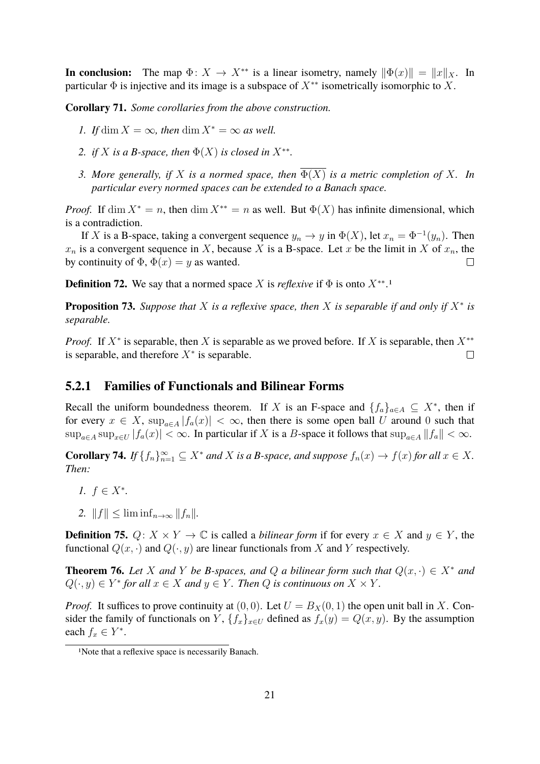**In conclusion:** The map  $\Phi: X \to X^{**}$  is a linear isometry, namely  $\|\Phi(x)\| = \|x\|_X$ . In particular  $\Phi$  is injective and its image is a subspace of  $X^{**}$  isometrically isomorphic to X.

**Corollary 71.** *Some corollaries from the above construction.*

- *1.* If dim  $X = \infty$ , then dim  $X^* = \infty$  as well.
- 2. *if* X *is a B-space, then*  $\Phi(X)$  *is closed in*  $X^{**}$ .
- *3. More generally, if* X *is a normed space, then* Φ(X) *is a metric completion of* X*. In particular every normed spaces can be extended to a Banach space.*

*Proof.* If dim  $X^* = n$ , then dim  $X^{**} = n$  as well. But  $\Phi(X)$  has infinite dimensional, which is a contradiction.

If X is a B-space, taking a convergent sequence  $y_n \to y$  in  $\Phi(X)$ , let  $x_n = \Phi^{-1}(y_n)$ . Then  $x_n$  is a convergent sequence in X, because X is a B-space. Let x be the limit in X of  $x_n$ , the by continuity of  $\Phi$ ,  $\Phi(x) = y$  as wanted.  $\Box$ 

**Definition 72.** We say that a normed space X is *reflexive* if  $\Phi$  is onto  $X^{**}$ .<sup>[1](#page-20-1)</sup>

**Proposition 73.** Suppose that X is a reflexive space, then X is separable if and only if  $X^*$  is *separable.*

*Proof.* If  $X^*$  is separable, then X is separable as we proved before. If X is separable, then  $X^{**}$ is separable, and therefore  $X^*$  is separable.  $\Box$ 

#### <span id="page-20-0"></span>**5.2.1 Families of Functionals and Bilinear Forms**

Recall the uniform boundedness theorem. If X is an F-space and  $\{f_a\}_{a \in A} \subseteq X^*$ , then if for every  $x \in X$ ,  $\sup_{a \in A} |f_a(x)| < \infty$ , then there is some open ball U around 0 such that  $\sup_{a\in A} \sup_{x\in U} |f_a(x)| < \infty$ . In particular if X is a B-space it follows that  $\sup_{a\in A} ||f_a|| < \infty$ .

**Corollary 74.** *If*  $\{f_n\}_{n=1}^{\infty} \subseteq X^*$  *and* X *is a B-space, and suppose*  $f_n(x) \to f(x)$  *for all*  $x \in X$ *. Then:*

- *1.*  $f \in X^*$ .
- 2.  $||f|| \leq \liminf_{n \to \infty} ||f_n||.$

**Definition 75.**  $Q: X \times Y \to \mathbb{C}$  is called a *bilinear form* if for every  $x \in X$  and  $y \in Y$ , the functional  $Q(x, \cdot)$  and  $Q(\cdot, y)$  are linear functionals from X and Y respectively.

<span id="page-20-2"></span>**Theorem 76.** *Let* X *and* Y *be* B-spaces, and Q *a* bilinear form such that  $Q(x, \cdot) \in X^*$  and  $Q(\cdot, y) \in Y^*$  for all  $x \in X$  and  $y \in Y$ . Then  $Q$  is continuous on  $X \times Y$ .

*Proof.* It suffices to prove continuity at  $(0, 0)$ . Let  $U = B_X(0, 1)$  the open unit ball in X. Consider the family of functionals on Y,  ${f_x}_{x\in U}$  defined as  $f_x(y) = Q(x, y)$ . By the assumption each  $f_x \in Y^*$ .

<span id="page-20-1"></span><sup>1</sup>Note that a reflexive space is necessarily Banach.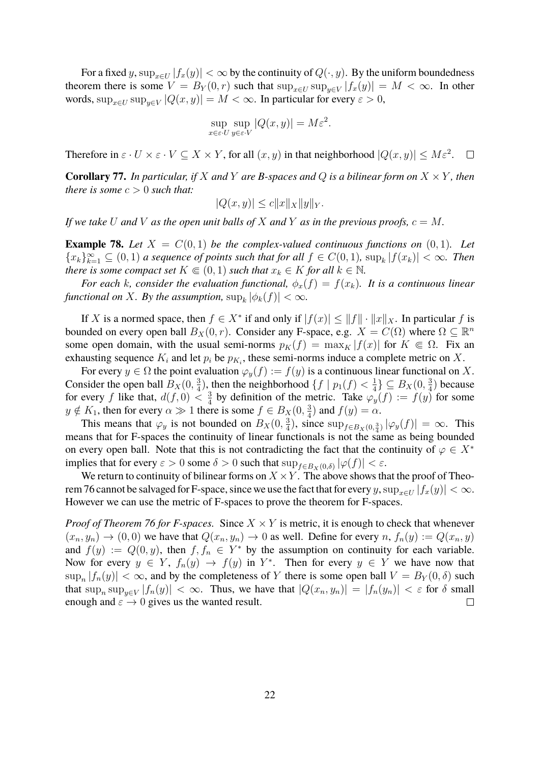For a fixed y,  $\sup_{x \in U} |f_x(y)| < \infty$  by the continuity of  $Q(\cdot, y)$ . By the uniform boundedness theorem there is some  $V = B_Y(0,r)$  such that  $\sup_{x \in U} \sup_{y \in V} |f_x(y)| = M < \infty$ . In other words,  $\sup_{x \in U} \sup_{y \in V} |Q(x, y)| = M < \infty$ . In particular for every  $\varepsilon > 0$ ,

$$
\sup_{x \in \varepsilon \cdot U} \sup_{y \in \varepsilon \cdot V} |Q(x, y)| = M \varepsilon^2.
$$

Therefore in  $\varepsilon \cdot U \times \varepsilon \cdot V \subseteq X \times Y$ , for all  $(x, y)$  in that neighborhood  $|Q(x, y)| \le M \varepsilon^2$ .  $\Box$ 

**Corollary 77.** *In particular, if* X *and* Y *are B-spaces and* Q *is a bilinear form on*  $X \times Y$ *, then there is some*  $c > 0$  *such that:* 

$$
|Q(x,y)| \le c||x||_X ||y||_Y.
$$

*If we take* U and V as the open unit balls of X and Y as in the previous proofs,  $c = M$ .

**Example 78.** Let  $X = C(0, 1)$  be the complex-valued continuous functions on  $(0, 1)$ . Let  ${x_k}_{k=1}^{\infty} \subseteq (0,1)$  *a sequence of points such that for all*  $f \in C(0,1)$ *,*  $\sup_k |f(x_k)| < \infty$ *. Then there is some compact set*  $K \in (0, 1)$  *such that*  $x_k \in K$  *for all*  $k \in \mathbb{N}$ *.* 

*For each k, consider the evaluation functional,*  $\phi_x(f) = f(x_k)$ *. It is a continuous linear functional on X. By the assumption,*  $\sup_k |\phi_k(f)| < \infty$ .

If X is a normed space, then  $f \in X^*$  if and only if  $|f(x)| \le ||f|| \cdot ||x||_X$ . In particular f is bounded on every open ball  $B_X(0,r)$ . Consider any F-space, e.g.  $X = C(\Omega)$  where  $\Omega \subseteq \mathbb{R}^n$ some open domain, with the usual semi-norms  $p_K(f) = \max_K |f(x)|$  for  $K \in \Omega$ . Fix an exhausting sequence  $K_i$  and let  $p_i$  be  $p_{K_i}$ , these semi-norms induce a complete metric on X.

For every  $y \in \Omega$  the point evaluation  $\varphi_y(f) := f(y)$  is a continuous linear functional on X. Consider the open ball  $B_X(0, \frac{3}{4})$  $\frac{3}{4}$ ), then the neighborhood  $\{f \mid p_1(f) < \frac{1}{4}\}$  $\frac{1}{4}$   $\subseteq B_X(0, \frac{3}{4})$  $\frac{3}{4}$ ) because for every f like that,  $d(f, 0) < \frac{3}{4}$  $\frac{3}{4}$  by definition of the metric. Take  $\varphi_y(f) := f(y)$  for some  $y \notin K_1$ , then for every  $\alpha \gg 1$  there is some  $f \in B_X(0, \frac{3}{4})$  $\frac{3}{4}$ ) and  $f(y) = \alpha$ .

This means that  $\varphi_y$  is not bounded on  $B_X(0, \frac{3}{4})$  $\frac{3}{4}$ ), since  $\sup_{f \in B_X(0, \frac{3}{4})} |\varphi_y(f)| = \infty$ . This means that for F-spaces the continuity of linear functionals is not the same as being bounded on every open ball. Note that this is not contradicting the fact that the continuity of  $\varphi \in X^*$ implies that for every  $\varepsilon > 0$  some  $\delta > 0$  such that  $\sup_{f \in B_X(0,\delta)} |\varphi(f)| < \varepsilon$ .

We return to continuity of bilinear forms on  $X \times Y$ . The above shows that the proof of [Theo](#page-20-2)[rem 76](#page-20-2) cannot be salvaged for F-space, since we use the fact that for every y,  $\sup_{x\in U}|f_x(y)| < \infty$ . However we can use the metric of F-spaces to prove the theorem for F-spaces.

*Proof of [Theorem 76](#page-20-2) for F-spaces.* Since  $X \times Y$  is metric, it is enough to check that whenever  $(x_n, y_n) \to (0, 0)$  we have that  $Q(x_n, y_n) \to 0$  as well. Define for every  $n, f_n(y) := Q(x_n, y)$ and  $f(y) := Q(0, y)$ , then  $f, f_n \in Y^*$  by the assumption on continuity for each variable. Now for every  $y \in Y$ ,  $f_n(y) \to f(y)$  in  $Y^*$ . Then for every  $y \in Y$  we have now that  $|\sup_n |f_n(y)| < \infty$ , and by the completeness of Y there is some open ball  $V = B_Y(0, \delta)$  such that  $\sup_n \sup_{y \in V} |f_n(y)| < \infty$ . Thus, we have that  $|Q(x_n, y_n)| = |f_n(y_n)| < \varepsilon$  for  $\delta$  small enough and  $\varepsilon \to 0$  gives us the wanted result.  $\Box$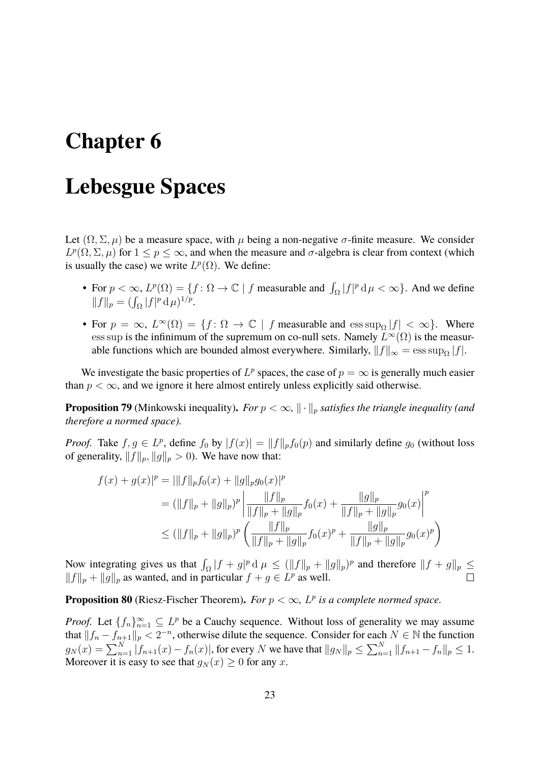# <span id="page-22-0"></span>**Chapter 6**

# **Lebesgue Spaces**

Let  $(\Omega, \Sigma, \mu)$  be a measure space, with  $\mu$  being a non-negative  $\sigma$ -finite measure. We consider  $L^p(\Omega, \Sigma, \mu)$  for  $1 \le p \le \infty$ , and when the measure and  $\sigma$ -algebra is clear from context (which is usually the case) we write  $L^p(\Omega)$ . We define:

- For  $p < \infty$ ,  $L^p(\Omega) = \{f : \Omega \to \mathbb{C} \mid f$  measurable and  $\int_{\Omega} |f|^p d\mu < \infty\}$ . And we define  $||f||_p = (\int_{\Omega} |f|^p \, d\mu)^{1/p}.$
- For  $p = \infty$ ,  $L^{\infty}(\Omega) = \{f : \Omega \to \mathbb{C} \mid f \text{ measurable and } \text{ess sup}_{\Omega} |f| < \infty \}.$  Where ess sup is the infinimum of the supremum on co-null sets. Namely  $L^{\infty}(\Omega)$  is the measurable functions which are bounded almost everywhere. Similarly,  $||f||_{\infty} = \operatorname{ess} \operatorname{sup}_{\Omega} |f|$ .

We investigate the basic properties of  $L^p$  spaces, the case of  $p = \infty$  is generally much easier than  $p < \infty$ , and we ignore it here almost entirely unless explicitly said otherwise.

**Proposition 79** (Minkowski inequality). For  $p < \infty$ ,  $\|\cdot\|_p$  satisfies the triangle inequality (and *therefore a normed space).*

*Proof.* Take  $f, g \in L^p$ , define  $f_0$  by  $|f(x)| = ||f||_p f_0(p)$  and similarly define  $g_0$  (without loss of generality,  $||f||_p$ ,  $||g||_p > 0$ ). We have now that:

$$
f(x) + g(x)|^p = |||f||_p f_0(x) + ||g||_p g_0(x)|^p
$$
  
\n
$$
= (||f||_p + ||g||_p)^p \left| \frac{||f||_p}{||f||_p + ||g||_p} f_0(x) + \frac{||g||_p}{||f||_p + ||g||_p} g_0(x) \right|^p
$$
  
\n
$$
\leq (||f||_p + ||g||_p)^p \left( \frac{||f||_p}{||f||_p + ||g||_p} f_0(x)^p + \frac{||g||_p}{||f||_p + ||g||_p} g_0(x)^p \right)
$$

Now integrating gives us that  $\int_{\Omega} |f + g|^p d\mu \leq (||f||_p + ||g||_p)^p$  and therefore  $||f + g||_p \leq$  $||f||_p + ||g||_p$  as wanted, and in particular  $f + g \in L^p$  as well.

#### **Proposition 80** (Riesz-Fischer Theorem). For  $p < \infty$ ,  $L^p$  is a complete normed space.

*Proof.* Let  $\{f_n\}_{n=1}^{\infty} \subseteq L^p$  be a Cauchy sequence. Without loss of generality we may assume that  $||f_n - f_{n+1}||_p < 2^{-n}$ , otherwise dilute the sequence. Consider for each  $N \in \mathbb{N}$  the function  $g_N(x) = \sum_{n=1}^N |f_{n+1}(x) - f_n(x)|$ , for every N we have that  $||g_N||_p \le \sum_{n=1}^N ||f_{n+1} - f_n||_p \le 1$ . Moreover it is easy to see that  $g_N(x) \geq 0$  for any x.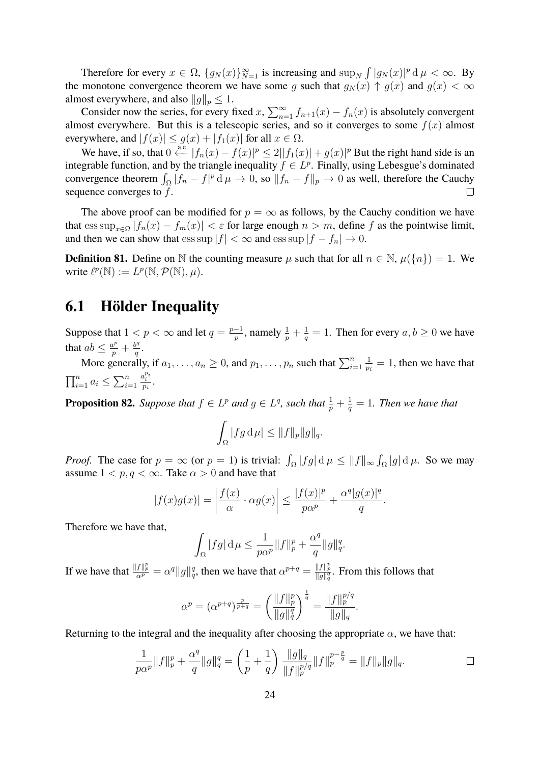Therefore for every  $x \in \Omega$ ,  $\{g_N(x)\}_{N=1}^{\infty}$  is increasing and  $\sup_N \int |g_N(x)|^p d\mu < \infty$ . By the monotone convergence theorem we have some g such that  $g_N(x) \uparrow g(x)$  and  $g(x) < \infty$ almost everywhere, and also  $||g||_p \leq 1$ .

Consider now the series, for every fixed x,  $\sum_{n=1}^{\infty} f_{n+1}(x) - f_n(x)$  is absolutely convergent almost everywhere. But this is a telescopic series, and so it converges to some  $f(x)$  almost everywhere, and  $|f(x)| \le g(x) + |f_1(x)|$  for all  $x \in \Omega$ .

We have, if so, that  $0 \stackrel{\text{a.e}}{\longleftarrow} |f_n(x) - f(x)|^p \le 2||f_1(x)| + g(x)|^p$  But the right hand side is an integrable function, and by the triangle inequality  $f \in L^p$ . Finally, using Lebesgue's dominated convergence theorem  $\int_{\Omega} |f_n - f|^p d\mu \to 0$ , so  $||f_n - f||_p \to 0$  as well, therefore the Cauchy sequence converges to  $f$ .  $\Box$ 

The above proof can be modified for  $p = \infty$  as follows, by the Cauchy condition we have that  $\text{ess sup}_{x \in \Omega} |f_n(x) - f_m(x)| < \varepsilon$  for large enough  $n > m$ , define f as the pointwise limit, and then we can show that  $\operatorname{ess} \sup |f| < \infty$  and  $\operatorname{ess} \sup |f - f_n| \to 0$ .

**Definition 81.** Define on N the counting measure  $\mu$  such that for all  $n \in \mathbb{N}$ ,  $\mu({n}) = 1$ . We write  $\ell^p(\mathbb{N}) := L^p(\mathbb{N}, \mathcal{P}(\mathbb{N}), \mu).$ 

### <span id="page-23-0"></span>**6.1 Hölder Inequality**

Suppose that  $1 < p < \infty$  and let  $q = \frac{p-1}{p}$  $\frac{-1}{p}$ , namely  $\frac{1}{p} + \frac{1}{q}$  $\frac{1}{q} = 1$ . Then for every  $a, b \ge 0$  we have that  $ab \leq \frac{a^p}{p} + \frac{b^q}{q}$  $\frac{q^q}{q}$  .

More generally, if  $a_1, \ldots, a_n \geq 0$ , and  $p_1, \ldots, p_n$  such that  $\sum_{i=1}^n$ 1  $\frac{1}{p_i} = 1$ , then we have that  $\prod_{i=1}^n a_i \leq \sum_{i=1}^n$  $\frac{a_i^{p_i}}{p_i}$ .

**Proposition 82.** *Suppose that*  $f \in L^p$  *and*  $g \in L^q$ *, such that*  $\frac{1}{p} + \frac{1}{q}$  $\frac{1}{q} = 1$ . Then we have that

$$
\int_{\Omega} |fg \, \mathrm{d}\,\mu| \leq \|f\|_{p} \|g\|_{q}.
$$

*Proof.* The case for  $p = \infty$  (or  $p = 1$ ) is trivial:  $\int_{\Omega} |fg| d\mu \le ||f||_{\infty} \int_{\Omega} |g| d\mu$ . So we may assume  $1 < p, q < \infty$ . Take  $\alpha > 0$  and have that

$$
|f(x)g(x)| = \left|\frac{f(x)}{\alpha} \cdot \alpha g(x)\right| \le \frac{|f(x)|^p}{p\alpha^p} + \frac{\alpha^q |g(x)|^q}{q}.
$$

Therefore we have that,

$$
\int_{\Omega} |fg| \, \mathrm{d}\mu \le \frac{1}{p\alpha^p} \|f\|_p^p + \frac{\alpha^q}{q} \|g\|_q^q.
$$

If we have that  $\frac{||f||_p^p}{\alpha^p} = \alpha^q ||g||_q^q$ , then we have that  $\alpha^{p+q} = \frac{||f||_p^p}{||g||_q^q}$ . From this follows that

$$
\alpha^{p} = (\alpha^{p+q})^{\frac{p}{p+q}} = \left(\frac{\|f\|_{p}^{p}}{\|g\|_{q}^{q}}\right)^{\frac{1}{q}} = \frac{\|f\|_{p}^{p/q}}{\|g\|_{q}}.
$$

Returning to the integral and the inequality after choosing the appropriate  $\alpha$ , we have that:

$$
\frac{1}{p\alpha^p}||f||_p^p + \frac{\alpha^q}{q}||g||_q^q = \left(\frac{1}{p} + \frac{1}{q}\right) \frac{||g||_q}{||f||_p^{p/q}} ||f||_p^{p-\frac{p}{q}} = ||f||_p ||g||_q.
$$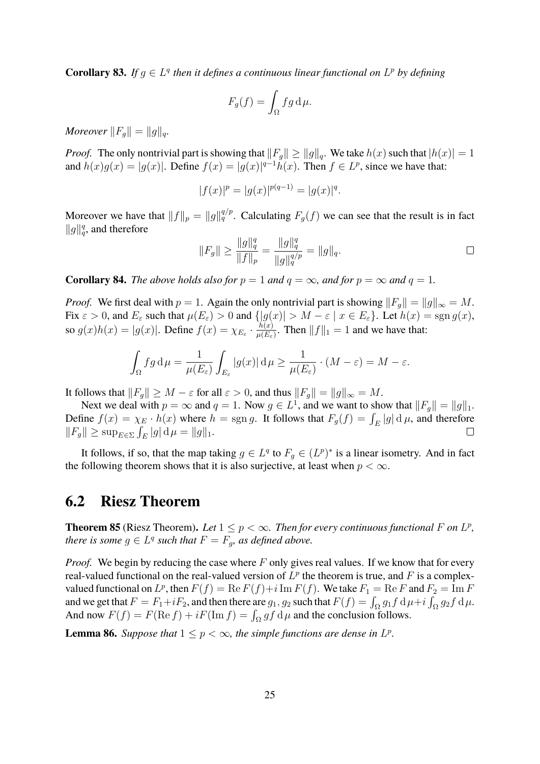**Corollary 83.** If  $g \in L^q$  then it defines a continuous linear functional on  $L^p$  by defining

$$
F_g(f) = \int_{\Omega} fg \, d\mu.
$$

*Moreover*  $||F_g|| = ||g||_q$ .

*Proof.* The only nontrivial part is showing that  $||F_{g}|| \ge ||g||_{g}$ . We take  $h(x)$  such that  $|h(x)| = 1$ and  $h(x)g(x) = |g(x)|$ . Define  $f(x) = |g(x)|^{q-1}h(x)$ . Then  $f \in L^p$ , since we have that:

$$
|f(x)|^p = |g(x)|^{p(q-1)} = |g(x)|^q.
$$

Moreover we have that  $||f||_p = ||g||_q^{q/p}$ . Calculating  $F_g(f)$  we can see that the result is in fact  $||g||_q^q$ , and therefore

$$
||F_g|| \ge \frac{||g||_q^q}{||f||_p} = \frac{||g||_q^q}{||g||_q^{q/p}} = ||g||_q.
$$

**Corollary 84.** *The above holds also for*  $p = 1$  *and*  $q = \infty$ *, and for*  $p = \infty$  *and*  $q = 1$ *.* 

*Proof.* We first deal with  $p = 1$ . Again the only nontrivial part is showing  $||F_q|| = ||g||_{\infty} = M$ . Fix  $\varepsilon > 0$ , and  $E_{\varepsilon}$  such that  $\mu(E_{\varepsilon}) > 0$  and  $\{|g(x)| > M - \varepsilon \mid x \in E_{\varepsilon}\}\)$ . Let  $h(x) = \operatorname{sgn} g(x)$ , so  $g(x)h(x) = |g(x)|$ . Define  $f(x) = \chi_{E_{\varepsilon}} \cdot \frac{h(x)}{\mu(E_{\varepsilon})}$  $\frac{h(x)}{\mu(E_{\varepsilon})}$ . Then  $||f||_1 = 1$  and we have that:

$$
\int_{\Omega} fg \, d\mu = \frac{1}{\mu(E_{\varepsilon})} \int_{E_{\varepsilon}} |g(x)| \, d\mu \ge \frac{1}{\mu(E_{\varepsilon})} \cdot (M - \varepsilon) = M - \varepsilon.
$$

It follows that  $||F_g|| \geq M - \varepsilon$  for all  $\varepsilon > 0$ , and thus  $||F_g|| = ||g||_{\infty} = M$ .

Next we deal with  $p = \infty$  and  $q = 1$ . Now  $g \in L^1$ , and we want to show that  $||F_g|| = ||g||_1$ . Define  $f(x) = \chi_E \cdot h(x)$  where  $h = \text{sgn } g$ . It follows that  $F_g(f) = \int_E |g| \, d\mu$ , and therefore  $||F_g|| \ge \sup_{E \in \Sigma} \int_E |g| \, \mathrm{d}\mu = ||g||_1.$  $\Box$ 

It follows, if so, that the map taking  $g \in L^q$  to  $F_g \in (L^p)^*$  is a linear isometry. And in fact the following theorem shows that it is also surjective, at least when  $p < \infty$ .

#### <span id="page-24-0"></span>**6.2 Riesz Theorem**

**Theorem 85** (Riesz Theorem). Let  $1 \leq p < \infty$ . Then for every continuous functional F on  $L^p$ , *there is some*  $g \in L^q$  *such that*  $F = F_g$ *, as defined above.* 

*Proof.* We begin by reducing the case where F only gives real values. If we know that for every real-valued functional on the real-valued version of  $L^p$  the theorem is true, and F is a complexvalued functional on  $L^p$ , then  $F(f) = \text{Re } F(f) + i \text{Im } F(f)$ . We take  $F_1 = \text{Re } F$  and  $F_2 = \text{Im } F$ and we get that  $F = F_1 + iF_2$ , and then there are  $g_1, g_2$  such that  $F(f) = \int_{\Omega} g_1 f d\mu + i \int_{\Omega} g_2 f d\mu$ . And now  $F(f) = F(\text{Re } f) + iF(\text{Im } f) = \int_{\Omega} gf \, d\mu$  and the conclusion follows.

**Lemma 86.** Suppose that  $1 \leq p < \infty$ , the simple functions are dense in  $L^p$ .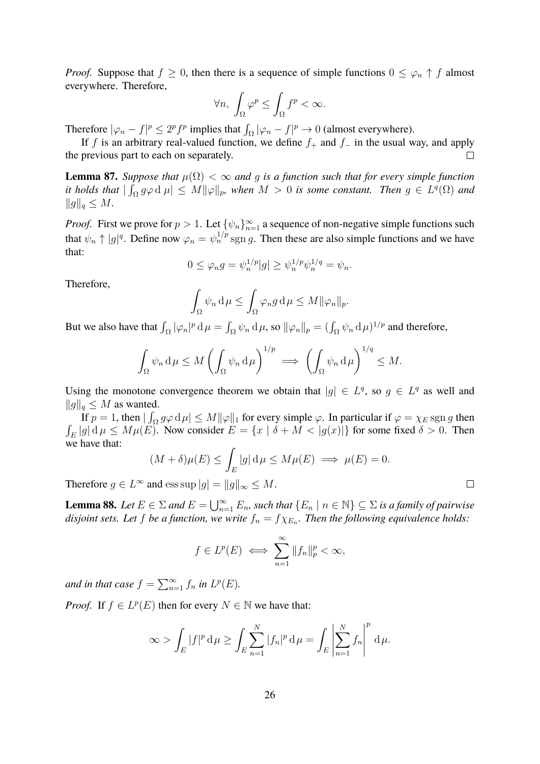*Proof.* Suppose that  $f \geq 0$ , then there is a sequence of simple functions  $0 \leq \varphi_n \uparrow f$  almost everywhere. Therefore,

$$
\forall n, \int_{\Omega} \varphi^p \le \int_{\Omega} f^p < \infty.
$$

Therefore  $|\varphi_n - f|^p \le 2^p f^p$  implies that  $\int_{\Omega} |\varphi_n - f|^p \to 0$  (almost everywhere).

If f is an arbitrary real-valued function, we define  $f_+$  and  $f_-$  in the usual way, and apply the previous part to each on separately.

**Lemma 87.** *Suppose that*  $\mu(\Omega) < \infty$  *and* g *is a function such that for every simple function it holds that*  $|\int_{\Omega} g\varphi \,d\,\mu| \leq M \|\varphi\|_{p}$ , when  $M > 0$  *is some constant. Then*  $g \in L^{q}(\Omega)$  and  $||g||_q \leq M$ .

*Proof.* First we prove for  $p > 1$ . Let  $\{\psi_n\}_{n=1}^{\infty}$  a sequence of non-negative simple functions such that  $\psi_n \uparrow |g|^q$ . Define now  $\varphi_n = \psi_n^{1/p}$  sgn g. Then these are also simple functions and we have that:

$$
0 \le \varphi_n g = \psi_n^{1/p} |g| \ge \psi_n^{1/p} \psi_n^{1/q} = \psi_n.
$$

Therefore,

$$
\int_{\Omega} \psi_n \, \mathrm{d}\mu \le \int_{\Omega} \varphi_n g \, \mathrm{d}\mu \le M \|\varphi_n\|_p.
$$

But we also have that  $\int_{\Omega} |\varphi_n|^p d\mu = \int_{\Omega} \psi_n d\mu$ , so  $\|\varphi_n\|_p = (\int_{\Omega} \psi_n d\mu)^{1/p}$  and therefore,

$$
\int_{\Omega} \psi_n \, \mathrm{d}\mu \le M \left( \int_{\Omega} \psi_n \, \mathrm{d}\mu \right)^{1/p} \implies \left( \int_{\Omega} \psi_n \, \mathrm{d}\mu \right)^{1/q} \le M.
$$

Using the monotone convergence theorem we obtain that  $|g| \in L^q$ , so  $g \in L^q$  as well and  $||g||_q \leq M$  as wanted.

If  $p = 1$ , then  $|\int_{\Omega} g \varphi \, d\mu| \leq M ||\varphi||_1$  for every simple  $\varphi$ . In particular if  $\varphi = \chi_E \operatorname{sgn} g$  then  $\int_E |g| \, d\mu \le M\mu(E)$ . Now consider  $E = \{x \mid \delta + M < |g(x)|\}$  for some fixed  $\delta > 0$ . Then we have that:

$$
(M+\delta)\mu(E) \le \int_E |g| \, \mathrm{d}\mu \le M\mu(E) \implies \mu(E) = 0.
$$

 $\Box$ 

Therefore  $g \in L^{\infty}$  and ess sup  $|g| = ||g||_{\infty} \leq M$ .

**Lemma 88.** *Let*  $E \in \Sigma$  *and*  $E = \bigcup_{n=1}^{\infty} E_n$ , such that  $\{E_n \mid n \in \mathbb{N}\} \subseteq \Sigma$  *is a family of pairwise*  $d$ *isjoint sets. Let*  $f$  *be a function, we write*  $f_n = f \chi_{E_n}$ . Then the following equivalence holds:

$$
f \in L^p(E) \iff \sum_{n=1}^{\infty} ||f_n||_p^p < \infty,
$$

*and in that case*  $f = \sum_{n=1}^{\infty} f_n$  *in*  $L^p(E)$ *.* 

*Proof.* If  $f \in L^p(E)$  then for every  $N \in \mathbb{N}$  we have that:

$$
\infty > \int_E |f|^p d\mu \ge \int_E \sum_{n=1}^N |f_n|^p d\mu = \int_E \left| \sum_{n=1}^N f_n \right|^p d\mu.
$$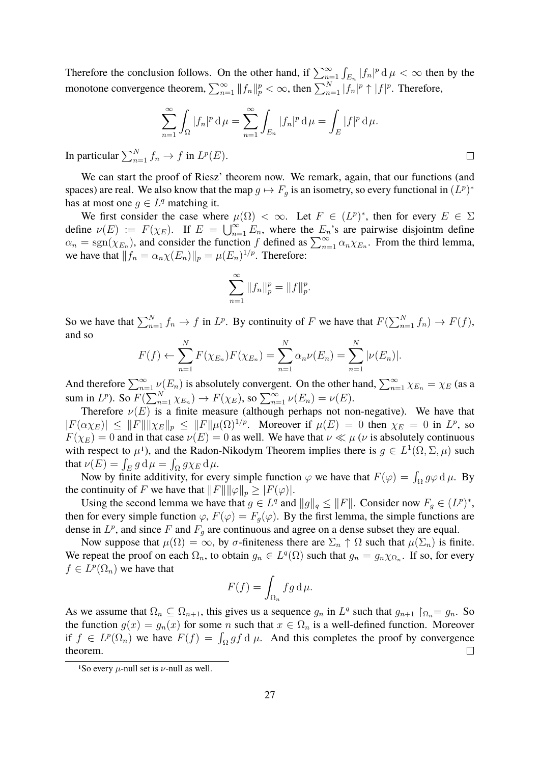Therefore the conclusion follows. On the other hand, if  $\sum_{n=1}^{\infty} \int_{E_n} |f_n|^p d\mu < \infty$  then by the monotone convergence theorem,  $\sum_{n=1}^{\infty} ||f_n||_p^p < \infty$ , then  $\sum_{n=1}^N |f_n|^p \uparrow |f|^p$ . Therefore,

$$
\sum_{n=1}^{\infty} \int_{\Omega} |f_n|^p \, \mathrm{d}\mu = \sum_{n=1}^{\infty} \int_{E_n} |f_n|^p \, \mathrm{d}\mu = \int_{E} |f|^p \, \mathrm{d}\mu.
$$

In particular  $\sum_{n=1}^{N} f_n \to f$  in  $L^p(E)$ .

We can start the proof of Riesz' theorem now. We remark, again, that our functions (and spaces) are real. We also know that the map  $g \mapsto F_g$  is an isometry, so every functional in  $(L^p)^*$ has at most one  $g \in L^q$  matching it.

We first consider the case where  $\mu(\Omega) < \infty$ . Let  $F \in (L^p)^*$ , then for every  $E \in \Sigma$ define  $\nu(E) := F(\chi_E)$ . If  $E = \bigcup_{n=1}^{\infty} E_n$ , where the  $E_n$ 's are pairwise disjointm define  $\alpha_n = \text{sgn}(\chi_{E_n})$ , and consider the function f defined as  $\sum_{n=1}^{\infty} \alpha_n \chi_{E_n}$ . From the third lemma, we have that  $|| f_n = \alpha_n \chi(E_n) ||_p = \mu(E_n)^{1/p}$ . Therefore:

$$
\sum_{n=1}^{\infty} \|f_n\|_p^p = \|f\|_p^p.
$$

So we have that  $\sum_{n=1}^{N} f_n \to f$  in  $L^p$ . By continuity of F we have that  $F(\sum_{n=1}^{N} f_n) \to F(f)$ , and so

$$
F(f) \leftarrow \sum_{n=1}^{N} F(\chi_{E_n}) F(\chi_{E_n}) = \sum_{n=1}^{N} \alpha_n \nu(E_n) = \sum_{n=1}^{N} |\nu(E_n)|.
$$

And therefore  $\sum_{n=1}^{\infty} \nu(E_n)$  is absolutely convergent. On the other hand,  $\sum_{n=1}^{\infty} \chi_{E_n} = \chi_E$  (as a sum in  $L^p$ ). So  $F(\sum_{n=1}^N \chi_{E_n}) \to F(\chi_E)$ , so  $\sum_{n=1}^\infty \nu(E_n) = \nu(E)$ .

Therefore  $\nu(E)$  is a finite measure (although perhaps not non-negative). We have that  $|F(\alpha \chi_E)| \leq ||F|| ||\chi_E||_p \leq ||F|| \mu(\Omega)^{1/p}$ . Moreover if  $\mu(E) = 0$  then  $\chi_E = 0$  in  $L^p$ , so  $F(\chi_E) = 0$  and in that case  $\nu(E) = 0$  as well. We have that  $\nu \ll \mu$  ( $\nu$  is absolutely continuous with respect to  $\mu^1$  $\mu^1$ ), and the Radon-Nikodym Theorem implies there is  $g \in L^1(\Omega, \Sigma, \mu)$  such that  $\nu(E) = \int_E g \, \mathrm{d}\mu = \int_{\Omega} g \chi_E \, \mathrm{d}\mu.$ 

Now by finite additivity, for every simple function  $\varphi$  we have that  $F(\varphi) = \int_{\Omega} g \varphi \, d\mu$ . By the continuity of F we have that  $||F|| ||\varphi||_p \geq |F(\varphi)|$ .

Using the second lemma we have that  $g \in L^q$  and  $||g||_q \le ||F||$ . Consider now  $F_g \in (L^p)^*$ , then for every simple function  $\varphi$ ,  $F(\varphi) = F_g(\varphi)$ . By the first lemma, the simple functions are dense in  $L^p$ , and since F and  $F_g$  are continuous and agree on a dense subset they are equal.

Now suppose that  $\mu(\Omega) = \infty$ , by  $\sigma$ -finiteness there are  $\Sigma_n \uparrow \Omega$  such that  $\mu(\Sigma_n)$  is finite. We repeat the proof on each  $\Omega_n$ , to obtain  $g_n \in L^q(\Omega)$  such that  $g_n = g_n \chi_{\Omega_n}$ . If so, for every  $f \in L^p(\Omega_n)$  we have that

$$
F(f) = \int_{\Omega_n} fg \, d\mu.
$$

As we assume that  $\Omega_n \subseteq \Omega_{n+1}$ , this gives us a sequence  $g_n$  in  $L^q$  such that  $g_{n+1} \upharpoonright_{\Omega_n} = g_n$ . So the function  $g(x) = g_n(x)$  for some n such that  $x \in \Omega_n$  is a well-defined function. Moreover if  $f \in L^p(\Omega_n)$  we have  $F(f) = \int_{\Omega} gf \, d\mu$ . And this completes the proof by convergence theorem.  $\Box$ 

<span id="page-26-0"></span><sup>&</sup>lt;sup>1</sup>So every  $\mu$ -null set is  $\nu$ -null as well.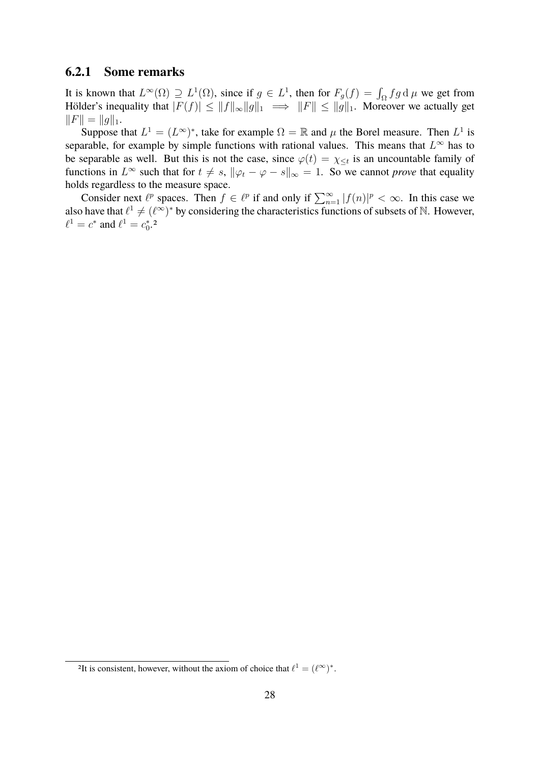#### <span id="page-27-0"></span>**6.2.1 Some remarks**

It is known that  $L^{\infty}(\Omega) \supseteq L^{1}(\Omega)$ , since if  $g \in L^{1}$ , then for  $F_g(f) = \int_{\Omega} fg d\mu$  we get from Hölder's inequality that  $|F(f)| \le ||f||_{\infty}||g||_1 \implies ||F|| \le ||g||_1$ . Moreover we actually get  $||F|| = ||g||_1.$ 

Suppose that  $L^1 = (L^{\infty})^*$ , take for example  $\Omega = \mathbb{R}$  and  $\mu$  the Borel measure. Then  $L^1$  is separable, for example by simple functions with rational values. This means that  $L^{\infty}$  has to be separable as well. But this is not the case, since  $\varphi(t) = \chi_{\leq t}$  is an uncountable family of functions in  $L^{\infty}$  such that for  $t \neq s$ ,  $\|\varphi_t - \varphi - s\|_{\infty} = 1$ . So we cannot *prove* that equality holds regardless to the measure space.

Consider next  $\ell^p$  spaces. Then  $f \in \ell^p$  if and only if  $\sum_{n=1}^{\infty} |f(n)|^p < \infty$ . In this case we also have that  $\ell^1 \neq (\ell^{\infty})^*$  by considering the characteristics functions of subsets of N. However,  $\ell^1 = c^*$  and  $\ell^1 = c_0^*$ .<sup>[2](#page-27-1)</sup>

<span id="page-27-1"></span><sup>&</sup>lt;sup>2</sup>It is consistent, however, without the axiom of choice that  $\ell^1 = (\ell^{\infty})^*$ .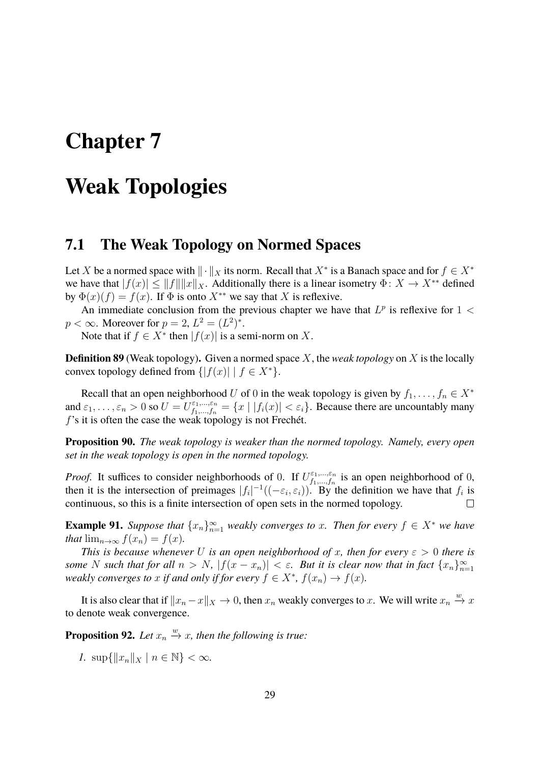## <span id="page-28-0"></span>**Chapter 7**

# **Weak Topologies**

### <span id="page-28-1"></span>**7.1 The Weak Topology on Normed Spaces**

Let X be a normed space with  $\|\cdot\|_X$  its norm. Recall that  $X^*$  is a Banach space and for  $f \in X^*$ we have that  $|f(x)| \le ||f|| ||x||_X$ . Additionally there is a linear isometry  $\Phi: X \to X^{**}$  defined by  $\Phi(x)(f) = f(x)$ . If  $\Phi$  is onto  $X^{**}$  we say that X is reflexive.

An immediate conclusion from the previous chapter we have that  $L^p$  is reflexive for  $1 <$  $p < \infty$ . Moreover for  $p = 2$ ,  $L^2 = (L^2)^*$ .

Note that if  $f \in X^*$  then  $|f(x)|$  is a semi-norm on X.

**Definition 89** (Weak topology)**.** Given a normed space X, the *weak topology* on X is the locally convex topology defined from  $\{|f(x)| | f \in X^*\}.$ 

Recall that an open neighborhood U of 0 in the weak topology is given by  $f_1, \ldots, f_n \in X^*$ and  $\varepsilon_1,\ldots,\varepsilon_n>0$  so  $U=U_{f_1,\ldots,f_n}^{\varepsilon_1,\ldots,\varepsilon_n}=\{x\mid |f_i(x)|<\varepsilon_i\}$ . Because there are uncountably many f's it is often the case the weak topology is not Frechét.

**Proposition 90.** *The weak topology is weaker than the normed topology. Namely, every open set in the weak topology is open in the normed topology.*

*Proof.* It suffices to consider neighborhoods of 0. If  $U_{f_1,...,f_n}^{\varepsilon_1,...,\varepsilon_n}$  $f_1, \ldots, f_n$  is an open neighborhood of 0, then it is the intersection of preimages  $|f_i|^{-1}((-\varepsilon_i, \varepsilon_i))$ . By the definition we have that  $f_i$  is continuous, so this is a finite intersection of open sets in the normed topology.  $\Box$ 

**Example 91.** Suppose that  $\{x_n\}_{n=1}^{\infty}$  weakly converges to x. Then for every  $f \in X^*$  we have *that*  $\lim_{n\to\infty} f(x_n) = f(x)$ *.* 

*This is because whenever* U *is an open neighborhood of x, then for every*  $\varepsilon > 0$  *there is some* N such that for all  $n > N$ ,  $|f(x - x_n)| < \varepsilon$ . But it is clear now that in fact  $\{x_n\}_{n=1}^{\infty}$ *weakly converges to* x *if and only if for every*  $f \in X^*$ ,  $f(x_n) \to f(x)$ *.* 

It is also clear that if  $||x_n - x||_X \to 0$ , then  $x_n$  weakly converges to x. We will write  $x_n \stackrel{w}{\to} x$ to denote weak convergence.

**Proposition 92.** *Let*  $x_n \stackrel{w}{\rightarrow} x$ *, then the following is true:* 

*1.* sup{ $||x_n||_X | n \in \mathbb{N}$ } <  $\infty$ *.*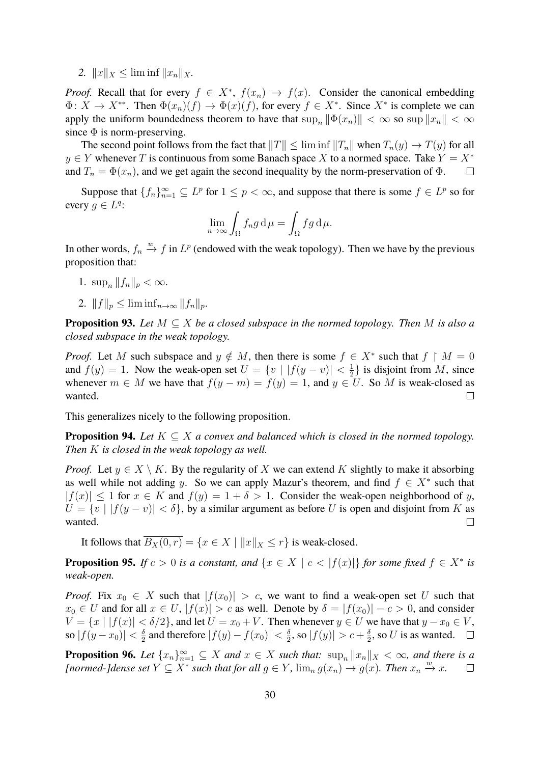2.  $||x||_X \le \liminf ||x_n||_X$ .

*Proof.* Recall that for every  $f \in X^*$ ,  $f(x_n) \to f(x)$ . Consider the canonical embedding  $\Phi: X \to X^{**}$ . Then  $\Phi(x_n)(f) \to \Phi(x)(f)$ , for every  $f \in X^*$ . Since  $X^*$  is complete we can apply the uniform boundedness theorem to have that  $\sup_n ||\Phi(x_n)|| < \infty$  so  $\sup ||x_n|| < \infty$ since  $\Phi$  is norm-preserving.

The second point follows from the fact that  $||T|| \leq \liminf ||T_n||$  when  $T_n(y) \to T(y)$  for all  $y \in Y$  whenever T is continuous from some Banach space X to a normed space. Take  $Y = X^*$ and  $T_n = \Phi(x_n)$ , and we get again the second inequality by the norm-preservation of  $\Phi$ .  $\Box$ 

Suppose that  $\{f_n\}_{n=1}^{\infty} \subseteq L^p$  for  $1 \leq p < \infty$ , and suppose that there is some  $f \in L^p$  so for every  $g \in L^q$ :

$$
\lim_{n \to \infty} \int_{\Omega} f_n g \, \mathrm{d}\mu = \int_{\Omega} f g \, \mathrm{d}\mu.
$$

In other words,  $f_n \stackrel{w}{\rightarrow} f$  in  $L^p$  (endowed with the weak topology). Then we have by the previous proposition that:

- 1.  $\sup_n ||f_n||_p < \infty$ .
- 2.  $||f||_p \leq \liminf_{n \to \infty} ||f_n||_p.$

**Proposition 93.** Let  $M \subseteq X$  be a closed subspace in the normed topology. Then M is also a *closed subspace in the weak topology.*

*Proof.* Let M such subspace and  $y \notin M$ , then there is some  $f \in X^*$  such that  $f \restriction M = 0$ and  $f(y) = 1$ . Now the weak-open set  $U = \{v \mid |f(y - v)| < \frac{1}{2}\}$  $\frac{1}{2}$ } is disjoint from M, since whenever  $m \in M$  we have that  $f(y - m) = f(y) = 1$ , and  $y \in U$ . So M is weak-closed as wanted.  $\Box$ 

This generalizes nicely to the following proposition.

**Proposition 94.** Let  $K \subseteq X$  a convex and balanced which is closed in the normed topology. *Then* K *is closed in the weak topology as well.*

*Proof.* Let  $y \in X \setminus K$ . By the regularity of X we can extend K slightly to make it absorbing as well while not adding y. So we can apply Mazur's theorem, and find  $f \in X^*$  such that  $|f(x)| \leq 1$  for  $x \in K$  and  $f(y) = 1 + \delta > 1$ . Consider the weak-open neighborhood of y,  $U = \{v \mid |f(y - v)| < \delta\}$ , by a similar argument as before U is open and disjoint from K as wanted.  $\Box$ 

It follows that  $\overline{B_X(0,r)} = \{x \in X \mid ||x||_X \leq r\}$  is weak-closed.

**Proposition 95.** *If*  $c > 0$  *is a constant, and*  $\{x \in X \mid c < |f(x)|\}$  *for some fixed*  $f \in X^*$  *is weak-open.*

*Proof.* Fix  $x_0 \in X$  such that  $|f(x_0)| > c$ , we want to find a weak-open set U such that  $x_0 \in U$  and for all  $x \in U$ ,  $|f(x)| > c$  as well. Denote by  $\delta = |f(x_0)| - c > 0$ , and consider  $V = \{x \mid |f(x)| < \delta/2\}$ , and let  $U = x_0 + V$ . Then whenever  $y \in U$  we have that  $y - x_0 \in V$ , so  $|f(y-x_0)| < \frac{\delta}{2}$  $\frac{\delta}{2}$  and therefore  $|f(y) - f(x_0)| < \frac{\delta}{2}$  $\frac{\delta}{2}$ , so  $|f(y)| > c + \frac{\delta}{2}$  $\frac{\delta}{2}$ , so U is as wanted.

**Proposition 96.** Let  $\{x_n\}_{n=1}^{\infty} \subseteq X$  and  $x \in X$  such that:  $\sup_n ||x_n||_X < \infty$ , and there is a *[normed-]dense set*  $Y \subseteq X^*$  *such that for all*  $g \in Y$ *,*  $\lim_{n} g(x_n) \to g(x)$ *. Then*  $x_n \xrightarrow{w} x$ *.*  $\Box$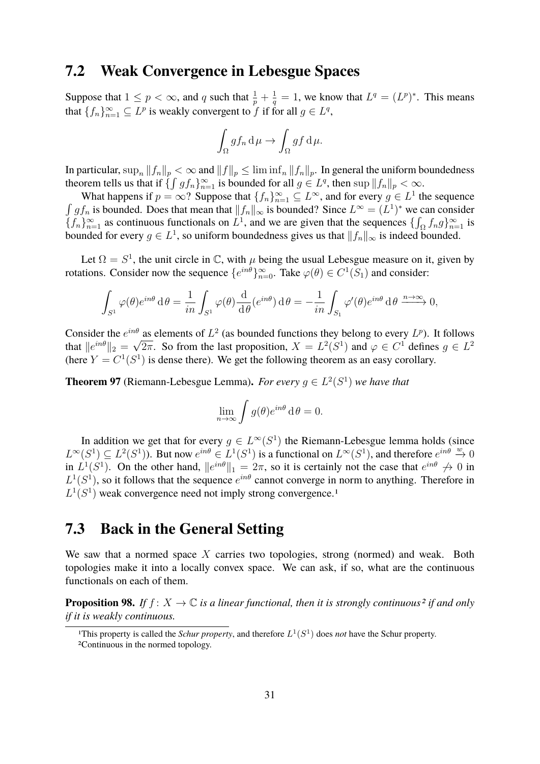### <span id="page-30-0"></span>**7.2 Weak Convergence in Lebesgue Spaces**

Suppose that  $1 \leq p < \infty$ , and q such that  $\frac{1}{p} + \frac{1}{q}$  $\frac{1}{q} = 1$ , we know that  $L^q = (L^p)^*$ . This means that  $\{f_n\}_{n=1}^{\infty} \subseteq L^p$  is weakly convergent to f if for all  $g \in L^q$ ,

$$
\int_{\Omega} gf_n \, \mathrm{d}\,\mu \to \int_{\Omega} gf \, \mathrm{d}\,\mu.
$$

In particular,  $\sup_n ||f_n||_p < \infty$  and  $||f||_p \leq \liminf_n ||f_n||_p$ . In general the uniform boundedness theorem tells us that if  $\{\int g f_n\}_{n=1}^{\infty}$  is bounded for all  $g \in L^q$ , then  $\sup \|f_n\|_p < \infty$ .

What happens if  $p = \infty$ ? Suppose that  $\{f_n\}_{n=1}^{\infty} \subseteq L^{\infty}$ , and for every  $g \in L^1$  the sequence  $\int gf_n$  is bounded. Does that mean that  $||f_n||_{\infty}$  is bounded? Since  $L^{\infty} = (L^1)^*$  we can consider  $\{f_n\}_{n=1}^{\infty}$  as continuous functionals on  $L^1$ , and we are given that the sequences  $\{\int_{\Omega} f_n g\}_{n=1}^{\infty}$  is bounded for every  $g \in L^1$ , so uniform boundedness gives us that  $||f_n||_{\infty}$  is indeed bounded.

Let  $\Omega = S^1$ , the unit circle in  $\mathbb{C}$ , with  $\mu$  being the usual Lebesgue measure on it, given by rotations. Consider now the sequence  $\{e^{in\theta}\}_{n=0}^{\infty}$ . Take  $\varphi(\theta) \in C^1(S_1)$  and consider:

$$
\int_{S^1} \varphi(\theta) e^{in\theta} d\theta = \frac{1}{in} \int_{S^1} \varphi(\theta) \frac{d}{d\theta} (e^{in\theta}) d\theta = -\frac{1}{in} \int_{S_1} \varphi'(\theta) e^{in\theta} d\theta \xrightarrow{n \to \infty} 0,
$$

Consider the  $e^{in\theta}$  as elements of  $L^2$  (as bounded functions they belong to every  $L^p$ ). It follows that  $||e^{in\theta}||_2 = \sqrt{2\pi}$ . So from the last proposition,  $X = L^2(S^1)$  and  $\varphi \in C^1$  defines  $g \in L^2$ (here  $Y = C^1(S^1)$  is dense there). We get the following theorem as an easy corollary.

**Theorem 97** (Riemann-Lebesgue Lemma). For every  $g \in L^2(S^1)$  we have that

$$
\lim_{n \to \infty} \int g(\theta) e^{in\theta} d\theta = 0.
$$

In addition we get that for every  $g \in L^{\infty}(S^1)$  the Riemann-Lebesgue lemma holds (since  $L^{\infty}(S^1) \subseteq L^2(S^1)$ . But now  $e^{in\theta} \in L^1(S^1)$  is a functional on  $L^{\infty}(S^1)$ , and therefore  $e^{in\theta} \stackrel{w}{\to} 0$ in  $L^1(S^1)$ . On the other hand,  $||e^{in\theta}||_1 = 2\pi$ , so it is certainly not the case that  $e^{in\theta} \nrightarrow 0$  in  $L^1(S^1)$ , so it follows that the sequence  $e^{in\theta}$  cannot converge in norm to anything. Therefore in  $L^1(S^1)$  $L^1(S^1)$  $L^1(S^1)$  weak convergence need not imply strong convergence.<sup>1</sup>

### <span id="page-30-1"></span>**7.3 Back in the General Setting**

We saw that a normed space  $X$  carries two topologies, strong (normed) and weak. Both topologies make it into a locally convex space. We can ask, if so, what are the continuous functionals on each of them.

**Proposition 98.** If  $f: X \to \mathbb{C}$  *is a linear functional, then it is strongly continuous<sup>[2](#page-30-3)</sup> <i>if and only if it is weakly continuous.*

<span id="page-30-3"></span><span id="page-30-2"></span><sup>&</sup>lt;sup>1</sup>This property is called the *Schur property*, and therefore  $L^1(S^1)$  does *not* have the Schur property. 2Continuous in the normed topology.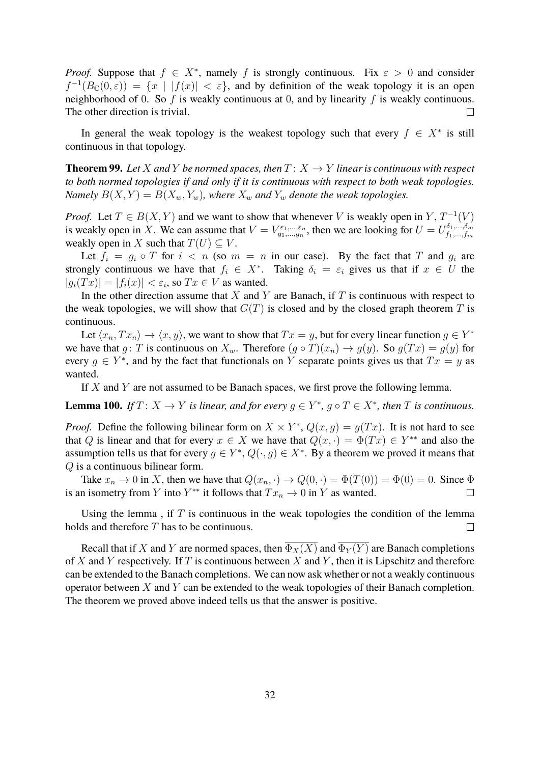*Proof.* Suppose that  $f \in X^*$ , namely f is strongly continuous. Fix  $\varepsilon > 0$  and consider  $f^{-1}(B_{\mathbb{C}}(0,\varepsilon)) = \{x \mid |f(x)| < \varepsilon\}$ , and by definition of the weak topology it is an open neighborhood of 0. So f is weakly continuous at 0, and by linearity f is weakly continuous. The other direction is trivial.

In general the weak topology is the weakest topology such that every  $f \in X^*$  is still continuous in that topology.

**Theorem 99.** Let X and Y be normed spaces, then  $T: X \rightarrow Y$  linear is continuous with respect *to both normed topologies if and only if it is continuous with respect to both weak topologies. Namely*  $B(X, Y) = B(X_w, Y_w)$ *, where*  $X_w$  *and*  $Y_w$  *denote the weak topologies.* 

*Proof.* Let  $T \in B(X, Y)$  and we want to show that whenever V is weakly open in Y,  $T^{-1}(V)$ is weakly open in X. We can assume that  $V = V_{g_1,...,g_n}^{\varepsilon_1,...,\varepsilon_n}$ , then we are looking for  $U = U_{f_1,...,f_m}^{\delta_1,...,\delta_m}$  $f_1,...,f_m$ weakly open in X such that  $T(U) \subseteq V$ .

Let  $f_i = g_i \circ T$  for  $i < n$  (so  $m = n$  in our case). By the fact that T and  $g_i$  are strongly continuous we have that  $f_i \in X^*$ . Taking  $\delta_i = \varepsilon_i$  gives us that if  $x \in U$  the  $|g_i(Tx)| = |f_i(x)| < \varepsilon_i$ , so  $Tx \in V$  as wanted.

In the other direction assume that  $X$  and  $Y$  are Banach, if  $T$  is continuous with respect to the weak topologies, we will show that  $G(T)$  is closed and by the closed graph theorem T is continuous.

Let  $\langle x_n, Tx_n \rangle \to \langle x, y \rangle$ , we want to show that  $Tx = y$ , but for every linear function  $g \in Y^*$ we have that g: T is continuous on  $X_w$ . Therefore  $(g \circ T)(x_n) \to g(y)$ . So  $g(Tx) = g(y)$  for every  $g \in Y^*$ , and by the fact that functionals on Y separate points gives us that  $Tx = y$  as wanted.

If  $X$  and  $Y$  are not assumed to be Banach spaces, we first prove the following lemma.

**Lemma 100.** *If*  $T: X \to Y$  *is linear, and for every*  $g \in Y^*$ ,  $g \circ T \in X^*$ , *then*  $T$  *is continuous.* 

*Proof.* Define the following bilinear form on  $X \times Y^*$ ,  $Q(x, g) = g(Tx)$ . It is not hard to see that Q is linear and that for every  $x \in X$  we have that  $Q(x, \cdot) = \Phi(Tx) \in Y^{**}$  and also the assumption tells us that for every  $g \in Y^*$ ,  $Q(\cdot, g) \in X^*$ . By a theorem we proved it means that Q is a continuous bilinear form.

Take  $x_n \to 0$  in X, then we have that  $Q(x_n, \cdot) \to Q(0, \cdot) = \Phi(T(0)) = \Phi(0) = 0$ . Since  $\Phi$ is an isometry from Y into  $Y^{**}$  it follows that  $Tx_n \to 0$  in Y as wanted.  $\Box$ 

Using the lemma, if  $T$  is continuous in the weak topologies the condition of the lemma holds and therefore T has to be continuous.  $\Box$ 

Recall that if X and Y are normed spaces, then  $\Phi_X(X)$  and  $\Phi_Y(Y)$  are Banach completions of X and Y respectively. If T is continuous between X and Y, then it is Lipschitz and therefore can be extended to the Banach completions. We can now ask whether or not a weakly continuous operator between  $X$  and  $Y$  can be extended to the weak topologies of their Banach completion. The theorem we proved above indeed tells us that the answer is positive.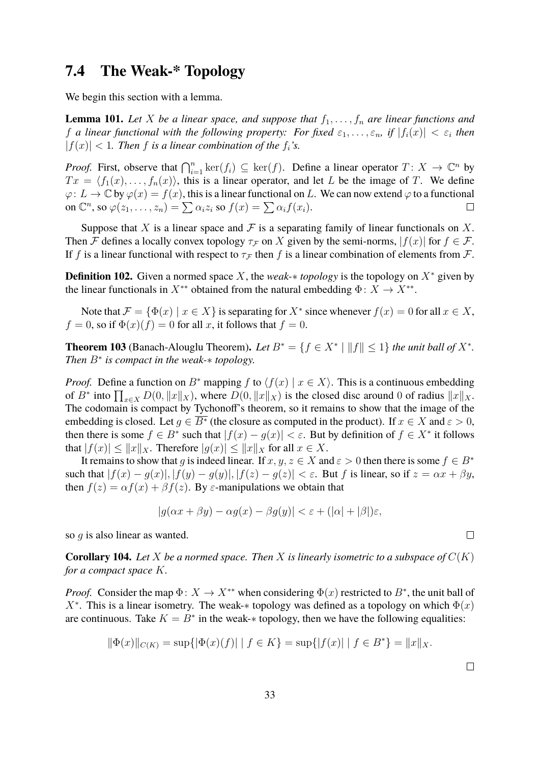### <span id="page-32-0"></span>**7.4 The Weak-\* Topology**

We begin this section with a lemma.

**Lemma 101.** Let X be a linear space, and suppose that  $f_1, \ldots, f_n$  are linear functions and f *a* linear functional with the following property: For fixed  $\varepsilon_1, \ldots, \varepsilon_n$ , if  $|f_i(x)| < \varepsilon_i$  then  $|f(x)| < 1$ . Then f is a linear combination of the  $f_i$ 's.

*Proof.* First, observe that  $\bigcap_{i=1}^n \ker(f_i) \subseteq \ker(f)$ . Define a linear operator  $T: X \to \mathbb{C}^n$  by  $Tx = \langle f_1(x), \ldots, f_n(x) \rangle$ , this is a linear operator, and let L be the image of T. We define  $\varphi: L \to \mathbb{C}$  by  $\varphi(x) = f(x)$ , this is a linear functional on L. We can now extend  $\varphi$  to a functional on  $\mathbb{C}^n$ , so  $\varphi(z_1,\ldots,z_n) = \sum \alpha_i z_i$  so  $f(x) = \sum \alpha_i f(x_i)$ .  $\Box$ 

Suppose that X is a linear space and F is a separating family of linear functionals on X. Then F defines a locally convex topology  $\tau_F$  on X given by the semi-norms,  $|f(x)|$  for  $f \in \mathcal{F}$ . If f is a linear functional with respect to  $\tau_F$  then f is a linear combination of elements from F.

**Definition 102.** Given a normed space X, the *weak-*∗ *topology* is the topology on X<sup>∗</sup> given by the linear functionals in  $X^{**}$  obtained from the natural embedding  $\Phi: X \to X^{**}$ .

Note that  $\mathcal{F} = \{ \Phi(x) \mid x \in X \}$  is separating for  $X^*$  since whenever  $f(x) = 0$  for all  $x \in X$ ,  $f = 0$ , so if  $\Phi(x)(f) = 0$  for all x, it follows that  $f = 0$ .

**Theorem 103** (Banach-Alouglu Theorem). Let  $B^* = \{f \in X^* \mid ||f|| \leq 1\}$  the unit ball of  $X^*$ . *Then* B<sup>∗</sup> *is compact in the weak-*∗ *topology.*

*Proof.* Define a function on B<sup>\*</sup> mapping f to  $\langle f(x) | x \in X \rangle$ . This is a continuous embedding of  $B^*$  into  $\prod_{x\in X} D(0, \|x\|_X)$ , where  $D(0, \|x\|_X)$  is the closed disc around 0 of radius  $\|x\|_X$ . The codomain is compact by Tychonoff's theorem, so it remains to show that the image of the embedding is closed. Let  $g \in \overline{B^*}$  (the closure as computed in the product). If  $x \in X$  and  $\varepsilon > 0$ , then there is some  $f \in B^*$  such that  $|f(x) - g(x)| < \varepsilon$ . But by definition of  $f \in X^*$  it follows that  $|f(x)| \le ||x||_X$ . Therefore  $|g(x)| \le ||x||_X$  for all  $x \in X$ .

It remains to show that g is indeed linear. If  $x, y, z \in X$  and  $\varepsilon > 0$  then there is some  $f \in B^*$ such that  $|f(x) - g(x)|, |f(y) - g(y)|, |f(z) - g(z)| < \varepsilon$ . But f is linear, so if  $z = \alpha x + \beta y$ , then  $f(z) = \alpha f(x) + \beta f(z)$ . By  $\varepsilon$ -manipulations we obtain that

$$
|g(\alpha x + \beta y) - \alpha g(x) - \beta g(y)| < \varepsilon + (|\alpha| + |\beta|)\varepsilon,
$$

so *g* is also linear as wanted.

**Corollary 104.** Let X be a normed space. Then X is linearly isometric to a subspace of  $C(K)$ *for a compact space* K*.*

*Proof.* Consider the map  $\Phi: X \to X^{**}$  when considering  $\Phi(x)$  restricted to  $B^*$ , the unit ball of X<sup>\*</sup>. This is a linear isometry. The weak-\* topology was defined as a topology on which  $\Phi(x)$ are continuous. Take  $K = B^*$  in the weak- $*$  topology, then we have the following equalities:

$$
\|\Phi(x)\|_{C(K)} = \sup\{|\Phi(x)(f)| \mid f \in K\} = \sup\{|f(x)| \mid f \in B^*\} = \|x\|_X.
$$

 $\Box$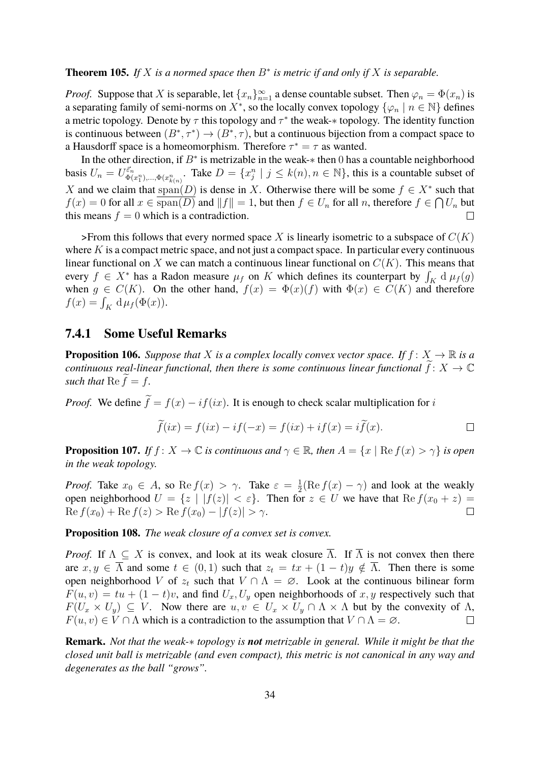#### **Theorem 105.** If X is a normed space then  $B^*$  is metric if and only if X is separable.

*Proof.* Suppose that X is separable, let  $\{x_n\}_{n=1}^{\infty}$  a dense countable subset. Then  $\varphi_n = \Phi(x_n)$  is a separating family of semi-norms on  $X^*$ , so the locally convex topology  $\{\varphi_n \mid n \in \mathbb{N}\}\$  defines a metric topology. Denote by  $\tau$  this topology and  $\tau^*$  the weak- $*$  topology. The identity function is continuous between  $(B^*, \tau^*) \to (B^*, \tau)$ , but a continuous bijection from a compact space to a Hausdorff space is a homeomorphism. Therefore  $\tau^* = \tau$  as wanted.

In the other direction, if  $B^*$  is metrizable in the weak- $*$  then 0 has a countable neighborhood  $\{\vec{\epsilon}_n\}_{\Phi(x_1^n),\dots,\Phi(x_{k(n)}^n)}$ . Take  $D = \{x_j^n \mid j \leq k(n), n \in \mathbb{N}\}$ , this is a countable subset of basis  $U_n = U_{\Phi}^{\vec{\varepsilon}_n}$ X and we claim that  $\text{span}(D)$  is dense in X. Otherwise there will be some  $f \in X^*$  such that  $f(x) = 0$  for all  $x \in \text{span}(D)$  and  $||f|| = 1$ , but then  $f \in U_n$  for all n, therefore  $f \in \bigcap U_n$  but this means  $f = 0$  which is a contradiction.  $\Box$ 

>From this follows that every normed space X is linearly isometric to a subspace of  $C(K)$ where  $K$  is a compact metric space, and not just a compact space. In particular every continuous linear functional on X we can match a continuous linear functional on  $C(K)$ . This means that every  $f \in X^*$  has a Radon measure  $\mu_f$  on K which defines its counterpart by  $\int_K d\mu_f(g)$ when  $g \in C(K)$ . On the other hand,  $f(x) = \Phi(x)(f)$  with  $\Phi(x) \in C(K)$  and therefore  $f(x) = \int_K d\mu_f(\Phi(x)).$ 

#### <span id="page-33-0"></span>**7.4.1 Some Useful Remarks**

**Proposition 106.** *Suppose that* X *is a complex locally convex vector space. If*  $f: X \to \mathbb{R}$  *is a continuous real-linear functional, then there is some continuous linear functional*  $f: X \to \mathbb{C}$ *such that*  $\text{Re } f = f$ .

*Proof.* We define  $\tilde{f} = f(x) - if(ix)$ . It is enough to check scalar multiplication for i

$$
\widetilde{f}(ix) = f(ix) - if(-x) = f(ix) + if(x) = i\widetilde{f}(x).
$$

**Proposition 107.** *If*  $f: X \to \mathbb{C}$  *is continuous and*  $\gamma \in \mathbb{R}$ *, then*  $A = \{x \mid \text{Re } f(x) > \gamma\}$  *is open in the weak topology.*

*Proof.* Take  $x_0 \in A$ , so  $\text{Re } f(x) > \gamma$ . Take  $\varepsilon = \frac{1}{2}$  $\frac{1}{2}(\text{Re } f(x) - \gamma)$  and look at the weakly open neighborhood  $U = \{z \mid |f(z)| < \varepsilon\}$ . Then for  $z \in U$  we have that  $\text{Re } f(x_0 + z) =$  $\text{Re } f(x_0) + \text{Re } f(z) > \text{Re } f(x_0) - |f(z)| > \gamma.$  $\Box$ 

**Proposition 108.** *The weak closure of a convex set is convex.*

*Proof.* If  $\Lambda \subseteq X$  is convex, and look at its weak closure  $\overline{\Lambda}$ . If  $\overline{\Lambda}$  is not convex then there are  $x, y \in \overline{\Lambda}$  and some  $t \in (0, 1)$  such that  $z_t = tx + (1 - t)y \notin \overline{\Lambda}$ . Then there is some open neighborhood V of  $z_t$  such that  $V \cap \Lambda = \emptyset$ . Look at the continuous bilinear form  $F(u, v) = tu + (1 - t)v$ , and find  $U_x, U_y$  open neighborhoods of x, y respectively such that  $F(U_x \times U_y) \subseteq V$ . Now there are  $u, v \in U_x \times U_y \cap \Lambda \times \Lambda$  but by the convexity of  $\Lambda$ ,  $F(u, v) \in V \cap \Lambda$  which is a contradiction to the assumption that  $V \cap \Lambda = \emptyset$ .

**Remark.** *Not that the weak-*∗ *topology is not metrizable in general. While it might be that the closed unit ball is metrizable (and even compact), this metric is not canonical in any way and degenerates as the ball "grows".*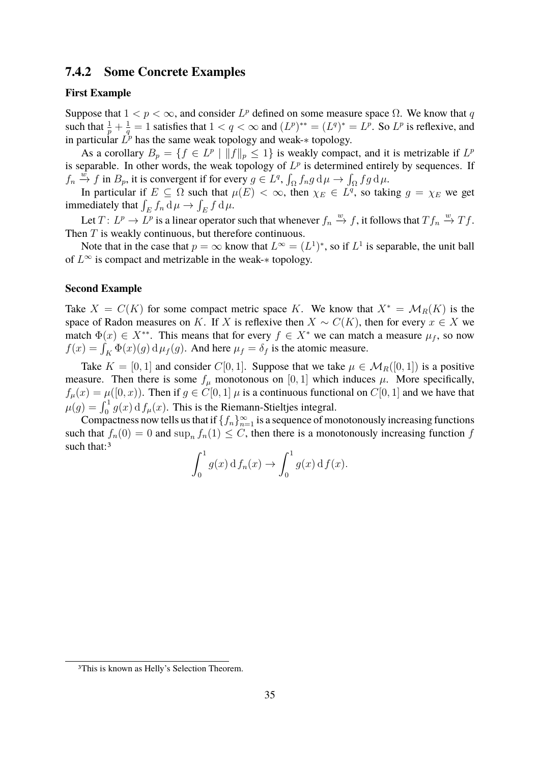#### <span id="page-34-0"></span>**7.4.2 Some Concrete Examples**

#### **First Example**

Suppose that  $1 < p < \infty$ , and consider  $L^p$  defined on some measure space  $\Omega$ . We know that q such that  $\frac{1}{p} + \frac{1}{q}$  $\frac{1}{q} = 1$  satisfies that  $1 < q < \infty$  and  $(L^p)^{**} = (L^q)^* = L^p$ . So  $L^p$  is reflexive, and in particular  $L^p$  has the same weak topology and weak- $*$  topology.

As a corollary  $B_p = \{ f \in L^p \mid ||f||_p \le 1 \}$  is weakly compact, and it is metrizable if  $L^p$ is separable. In other words, the weak topology of  $L^p$  is determined entirely by sequences. If  $f_n \stackrel{\tilde{w}}{\rightarrow} f$  in  $B_p$ , it is convergent if for every  $g \in L^q$ ,  $\int_{\Omega} f_n g \, d\mu \rightarrow \int_{\Omega} fg \, d\mu$ .

In particular if  $E \subseteq \Omega$  such that  $\mu(E) < \infty$ , then  $\chi_E \in L^q$ , so taking  $g = \chi_E$  we get immediately that  $\int_E f_n \, d\mu \to \int_E f \, d\mu$ .

Let  $T: L^p \to L^p$  is a linear operator such that whenever  $f_n \stackrel{w}{\to} f$ , it follows that  $Tf_n \stackrel{w}{\to} Tf$ . Then T is weakly continuous, but therefore continuous.

Note that in the case that  $p = \infty$  know that  $L^{\infty} = (L^{1})^{*}$ , so if  $L^{1}$  is separable, the unit ball of  $L^{\infty}$  is compact and metrizable in the weak- $*$  topology.

#### **Second Example**

Take  $X = C(K)$  for some compact metric space K. We know that  $X^* = \mathcal{M}_R(K)$  is the space of Radon measures on K. If X is reflexive then  $X \sim C(K)$ , then for every  $x \in X$  we match  $\Phi(x) \in X^{**}$ . This means that for every  $f \in X^*$  we can match a measure  $\mu_f$ , so now  $f(x) = \int_K \Phi(x)(g) d\mu_f(g)$ . And here  $\mu_f = \delta_f$  is the atomic measure.

Take  $K = [0, 1]$  and consider C[0, 1]. Suppose that we take  $\mu \in \mathcal{M}_R([0, 1])$  is a positive measure. Then there is some  $f_{\mu}$  monotonous on [0, 1] which induces  $\mu$ . More specifically,  $f_{\mu}(x) = \mu([0, x))$ . Then if  $g \in C[0, 1]$   $\mu$  is a continuous functional on  $C[0, 1]$  and we have that  $\mu(g) = \int_0^1 g(x) \, \mathrm{d} f_\mu(x)$ . This is the Riemann-Stieltjes integral.

Compactness now tells us that if  $\{f_n\}_{n=1}^{\infty}$  is a sequence of monotonously increasing functions such that  $f_n(0) = 0$  and  $\sup_n f_n(1) \leq C$ , then there is a monotonously increasing function f such that:<sup>[3](#page-34-1)</sup>

$$
\int_0^1 g(x) \, \mathrm{d} f_n(x) \to \int_0^1 g(x) \, \mathrm{d} f(x).
$$

<span id="page-34-1"></span><sup>3</sup>This is known as Helly's Selection Theorem.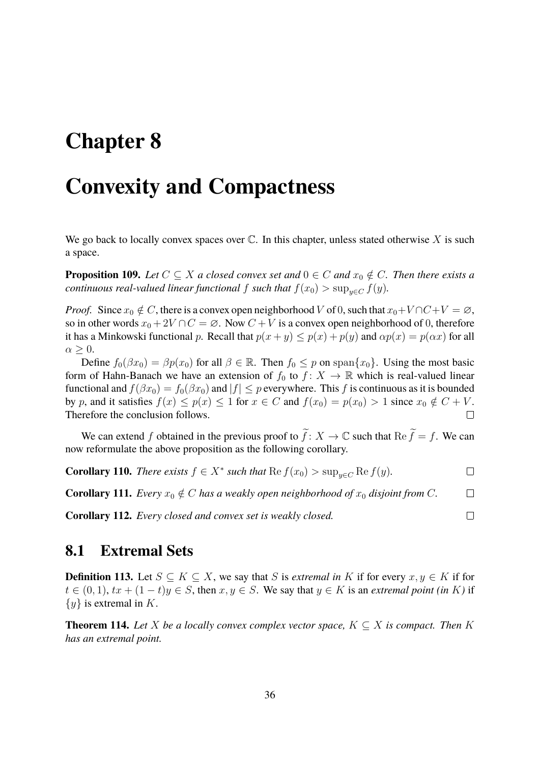# <span id="page-35-0"></span>**Chapter 8**

## **Convexity and Compactness**

We go back to locally convex spaces over  $\mathbb C$ . In this chapter, unless stated otherwise X is such a space.

**Proposition 109.** *Let*  $C \subseteq X$  *a closed convex set and*  $0 \in C$  *and*  $x_0 \notin C$ *. Then there exists a continuous real-valued linear functional* f *such that*  $f(x_0) > \sup_{u \in C} f(y)$ .

*Proof.* Since  $x_0 \notin C$ , there is a convex open neighborhood V of 0, such that  $x_0 + V \cap C + V = \emptyset$ , so in other words  $x_0 + 2V \cap C = \emptyset$ . Now  $C + V$  is a convex open neighborhood of 0, therefore it has a Minkowski functional p. Recall that  $p(x + y) \leq p(x) + p(y)$  and  $\alpha p(x) = p(\alpha x)$  for all  $\alpha \geq 0$ .

Define  $f_0(\beta x_0) = \beta p(x_0)$  for all  $\beta \in \mathbb{R}$ . Then  $f_0 \leq p$  on span $\{x_0\}$ . Using the most basic form of Hahn-Banach we have an extension of  $f_0$  to  $f : X \to \mathbb{R}$  which is real-valued linear functional and  $f(\beta x_0) = f_0(\beta x_0)$  and  $|f| \leq p$  everywhere. This f is continuous as it is bounded by p, and it satisfies  $f(x) \le p(x) \le 1$  for  $x \in C$  and  $f(x_0) = p(x_0) > 1$  since  $x_0 \notin C + V$ . Therefore the conclusion follows.  $\Box$ 

We can extend f obtained in the previous proof to  $\tilde{f}: X \to \mathbb{C}$  such that  $\text{Re } \tilde{f} = f$ . We can now reformulate the above proposition as the following corollary.

**Corollary 110.** *There exists*  $f \in X^*$  *such that*  $\text{Re } f(x_0) > \sup_{y \in C} \text{Re } f(y)$ *.*  $\Box$ 

**Corollary 111.** *Every*  $x_0 \notin C$  *has a weakly open neighborhood of*  $x_0$  *disjoint from* C.  $\Box$ 

 $\Box$ 

**Corollary 112.** *Every closed and convex set is weakly closed.*

#### <span id="page-35-1"></span>**8.1 Extremal Sets**

**Definition 113.** Let  $S \subseteq K \subseteq X$ , we say that S is *extremal in* K if for every  $x, y \in K$  if for  $t \in (0, 1), tx + (1 - t)y \in S$ , then  $x, y \in S$ . We say that  $y \in K$  is an *extremal point (in* K) if  $\{y\}$  is extremal in K.

**Theorem 114.** Let X be a locally convex complex vector space,  $K \subseteq X$  is compact. Then K *has an extremal point.*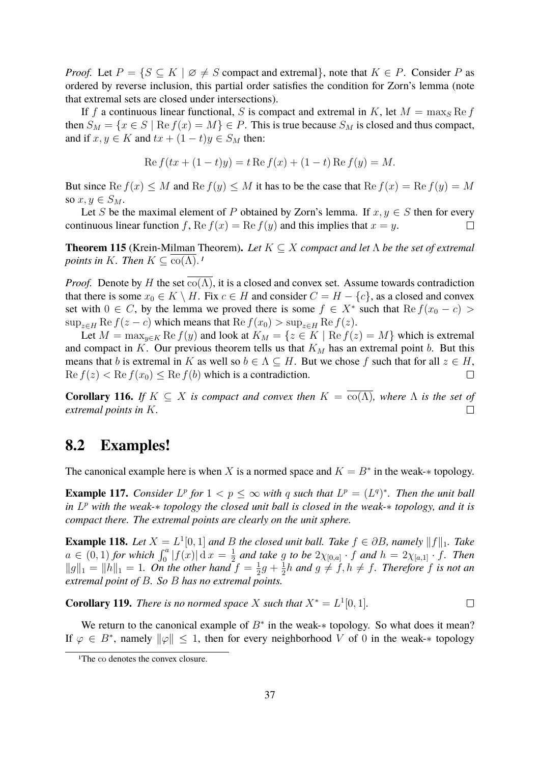*Proof.* Let  $P = \{S \subseteq K \mid \emptyset \neq S \text{ compact and extremal}\},\$  note that  $K \in P$ . Consider P as ordered by reverse inclusion, this partial order satisfies the condition for Zorn's lemma (note that extremal sets are closed under intersections).

If f a continuous linear functional, S is compact and extremal in K, let  $M = \max_{S} \text{Re } f$ then  $S_M = \{x \in S \mid \text{Re } f(x) = M\} \in P$ . This is true because  $S_M$  is closed and thus compact, and if  $x, y \in K$  and  $tx + (1-t)y \in S_M$  then:

$$
Re f(tx + (1-t)y) = t Re f(x) + (1-t) Re f(y) = M.
$$

But since  $\text{Re } f(x) \leq M$  and  $\text{Re } f(y) \leq M$  it has to be the case that  $\text{Re } f(x) = \text{Re } f(y) = M$ so  $x, y \in S_M$ .

Let S be the maximal element of P obtained by Zorn's lemma. If  $x, y \in S$  then for every continuous linear function f, Re  $f(x) = \text{Re } f(y)$  and this implies that  $x = y$ .  $\Box$ 

**Theorem 115** (Krein-Milman Theorem)**.** *Let* K ⊆ X *compact and let* Λ *be the set of extremal points in* K*. Then*  $K \subseteq \text{co}(\Lambda)$ .<sup>[1](#page-36-1)</sup>

*Proof.* Denote by H the set  $co(\Lambda)$ , it is a closed and convex set. Assume towards contradiction that there is some  $x_0 \in K \setminus H$ . Fix  $c \in H$  and consider  $C = H - \{c\}$ , as a closed and convex set with  $0 \in C$ , by the lemma we proved there is some  $f \in X^*$  such that  $\text{Re } f(x_0 - c)$  $\sup_{z \in H} \text{Re } f(z - c)$  which means that  $\text{Re } f(x_0) > \sup_{z \in H} \text{Re } f(z)$ .

Let  $M = \max_{y \in K} \text{Re } f(y)$  and look at  $K_M = \{z \in K \mid \text{Re } f(z) = M\}$  which is extremal and compact in K. Our previous theorem tells us that  $K_M$  has an extremal point b. But this means that b is extremal in K as well so  $b \in \Lambda \subseteq H$ . But we chose f such that for all  $z \in H$ ,  $\text{Re } f(z) < \text{Re } f(x_0) \leq \text{Re } f(b)$  which is a contradiction.  $\Box$ 

**Corollary 116.** *If*  $K \subseteq X$  *is compact and convex then*  $K = \overline{co(\Lambda)}$ *, where*  $\Lambda$  *is the set of extremal points in* K*.*  $\Box$ 

### <span id="page-36-0"></span>**8.2 Examples!**

The canonical example here is when X is a normed space and  $K = B^*$  in the weak- $*$  topology.

**Example 117.** *Consider*  $L^p$  *for*  $1 < p \le \infty$  *with* q *such that*  $L^p = (L^q)^*$ *. Then the unit ball in* L <sup>p</sup> *with the weak-*∗ *topology the closed unit ball is closed in the weak-*∗ *topology, and it is compact there. The extremal points are clearly on the unit sphere.*

**Example 118.** Let  $X = L^1[0,1]$  and B the closed unit ball. Take  $f \in \partial B$ , namely  $||f||_1$ . Take  $a \in (0,1)$  for which  $\int_0^a |f(x)| \,dx = \frac{1}{2}$  $\frac{1}{2}$  and take g to be  $2\chi_{[0,a]} \cdot f$  and  $h = 2\chi_{[a,1]} \cdot f$ *. Then*  $||g||_1 = ||h||_1 = 1$ . On the other hand  $f = \frac{1}{2}$  $rac{1}{2}g + \frac{1}{2}$  $\frac{1}{2}h$  and  $g \neq f, h \neq f$ . Therefore f is not an *extremal point of* B*. So* B *has no extremal points.*

**Corollary 119.** *There is no normed space* X *such that*  $X^* = L^1[0, 1]$ *.*  $\Box$ 

We return to the canonical example of  $B^*$  in the weak- $*$  topology. So what does it mean? If  $\varphi \in B^*$ , namely  $\|\varphi\| \leq 1$ , then for every neighborhood V of 0 in the weak-\* topology

<span id="page-36-1"></span><sup>&</sup>lt;sup>1</sup>The co denotes the convex closure.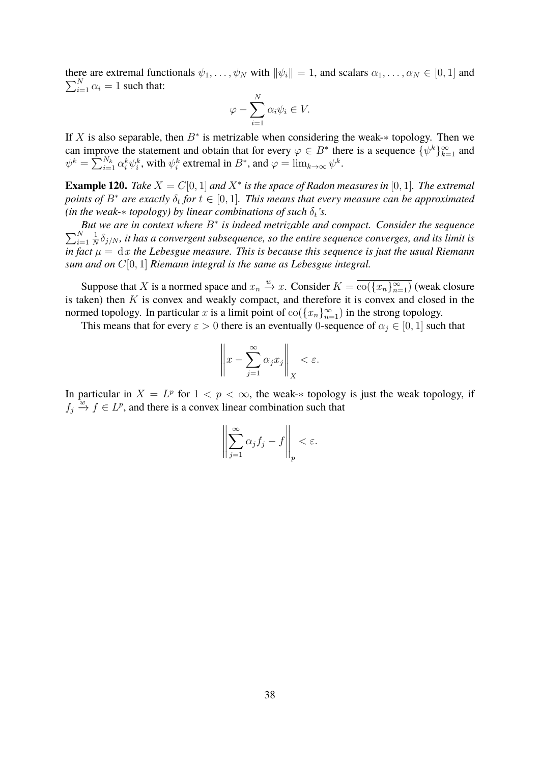$\sum_{i=1}^{N} \alpha_i = 1$  such that: there are extremal functionals  $\psi_1, \ldots, \psi_N$  with  $\|\psi_i\| = 1$ , and scalars  $\alpha_1, \ldots, \alpha_N \in [0, 1]$  and

$$
\varphi - \sum_{i=1}^{N} \alpha_i \psi_i \in V.
$$

If X is also separable, then  $B^*$  is metrizable when considering the weak- $*$  topology. Then we can improve the statement and obtain that for every  $\varphi \in B^*$  there is a sequence  $\{\psi^k\}_{k=1}^{\infty}$  and  $\psi^k = \sum_{i=1}^{N_k} \alpha_i^k \psi_i^k$ , with  $\psi_i^k$  extremal in  $B^*$ , and  $\varphi = \lim_{k \to \infty} \psi^k$ .

**Example 120.** *Take*  $X = C[0, 1]$  *and*  $X^*$  *is the space of Radon measures in* [0, 1]. *The extremal points of*  $B^*$  are exactly  $\delta_t$  for  $t \in [0, 1]$ . This means that every measure can be approximated *(in the weak-* $*$  *topology) by linear combinations of such*  $\delta_t$ *'s.* 

*But we are in context where* B<sup>∗</sup> *is indeed metrizable and compact. Consider the sequence*  $\sum_{i=1}^{N}$  $i=1$ 1  $\frac{1}{N}\delta_{j/N}$ , it has a convergent subsequence, so the entire sequence converges, and its limit is *in fact*  $\mu = dx$  *the Lebesgue measure. This is because this sequence is just the usual Riemann sum and on* C[0, 1] *Riemann integral is the same as Lebesgue integral.*

Suppose that X is a normed space and  $x_n \stackrel{w}{\to} x$ . Consider  $K = \overline{\text{co}(\{x_n\}_{n=1}^{\infty})}$  (weak closure is taken) then  $K$  is convex and weakly compact, and therefore it is convex and closed in the normed topology. In particular x is a limit point of  $\text{co}(\lbrace x_n \rbrace_{n=1}^{\infty})$  in the strong topology.

This means that for every  $\varepsilon > 0$  there is an eventually 0-sequence of  $\alpha_j \in [0, 1]$  such that

$$
\left\|x - \sum_{j=1}^{\infty} \alpha_j x_j\right\|_X < \varepsilon.
$$

In particular in  $X = L^p$  for  $1 < p < \infty$ , the weak-\* topology is just the weak topology, if  $f_j \overset{w}{\to} f \in L^p$ , and there is a convex linear combination such that

$$
\left\|\sum_{j=1}^{\infty}\alpha_jf_j-f\right\|_p<\varepsilon.
$$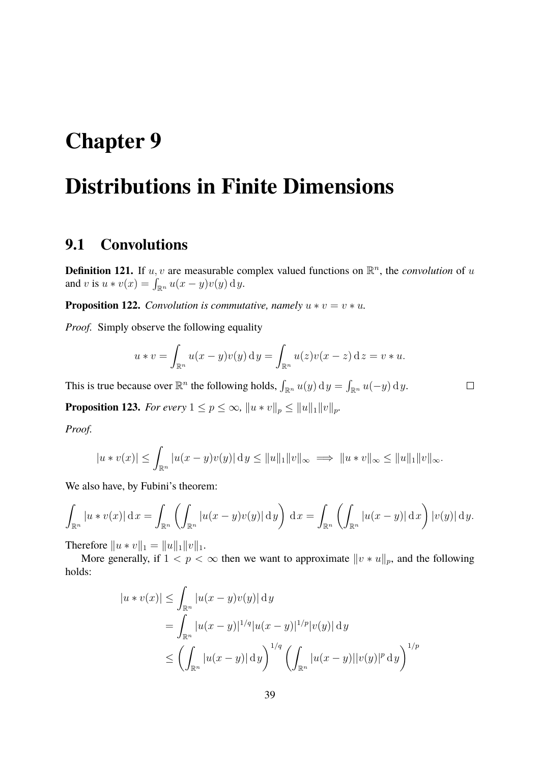## <span id="page-38-0"></span>**Chapter 9**

# **Distributions in Finite Dimensions**

#### <span id="page-38-1"></span>**9.1 Convolutions**

**Definition 121.** If  $u, v$  are measurable complex valued functions on  $\mathbb{R}^n$ , the *convolution* of u and v is  $u * v(x) = \int_{\mathbb{R}^n} u(x - y)v(y) dy$ .

**Proposition 122.** *Convolution is commutative, namely*  $u * v = v * u$ *.* 

*Proof.* Simply observe the following equality

$$
u * v = \int_{\mathbb{R}^n} u(x - y)v(y) dy = \int_{\mathbb{R}^n} u(z)v(x - z) dz = v * u.
$$

This is true because over  $\mathbb{R}^n$  the following holds,  $\int_{\mathbb{R}^n} u(y) \, dy = \int_{\mathbb{R}^n} u(-y) \, dy$ .

**Proposition 123.** *For every*  $1 \leq p \leq \infty$ ,  $\|u * v\|_p \leq \|u\|_1 \|v\|_p$ .

*Proof.*

$$
|u * v(x)| \leq \int_{\mathbb{R}^n} |u(x - y)v(y)| \, dy \leq ||u||_1 ||v||_{\infty} \implies ||u * v||_{\infty} \leq ||u||_1 ||v||_{\infty}.
$$

We also have, by Fubini's theorem:

$$
\int_{\mathbb{R}^n} |u * v(x)| \, \mathrm{d}x = \int_{\mathbb{R}^n} \left( \int_{\mathbb{R}^n} |u(x - y)v(y)| \, \mathrm{d}y \right) \, \mathrm{d}x = \int_{\mathbb{R}^n} \left( \int_{\mathbb{R}^n} |u(x - y)| \, \mathrm{d}x \right) |v(y)| \, \mathrm{d}y.
$$

Therefore  $||u * v||_1 = ||u||_1 ||v||_1$ .

More generally, if  $1 < p < \infty$  then we want to approximate  $||v * u||_p$ , and the following holds:

$$
|u * v(x)| \leq \int_{\mathbb{R}^n} |u(x - y)v(y)| \, dy
$$
  
= 
$$
\int_{\mathbb{R}^n} |u(x - y)|^{1/q} |u(x - y)|^{1/p} |v(y)| \, dy
$$
  

$$
\leq \left( \int_{\mathbb{R}^n} |u(x - y)| \, dy \right)^{1/q} \left( \int_{\mathbb{R}^n} |u(x - y)| |v(y)|^p \, dy \right)^{1/p}
$$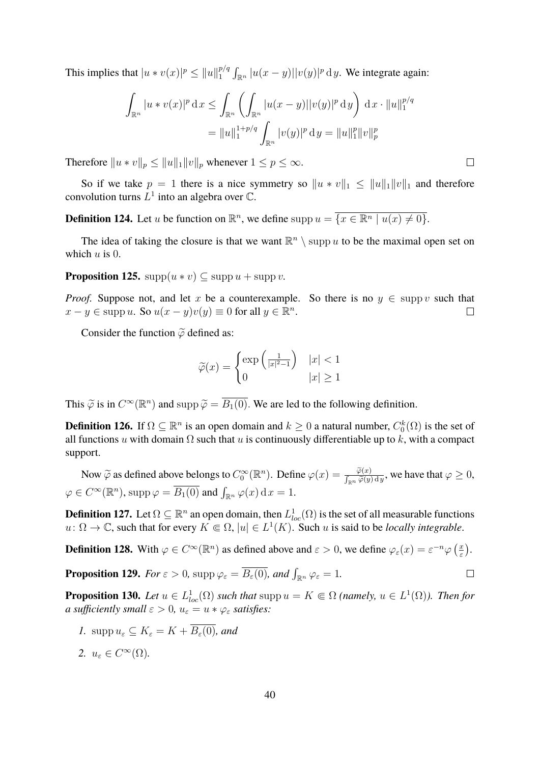This implies that  $|u * v(x)|^p \le ||u||_1^{p/q}$  $\int_1^{p/q} \int_{\mathbb{R}^n} |u(x-y)||v(y)|^p \, \mathrm{d}y$ . We integrate again:

$$
\int_{\mathbb{R}^n} |u * v(x)|^p dx \le \int_{\mathbb{R}^n} \left( \int_{\mathbb{R}^n} |u(x - y)| |v(y)|^p dy \right) dx \cdot ||u||_1^{p/q}
$$

$$
= ||u||_1^{1+p/q} \int_{\mathbb{R}^n} |v(y)|^p dy = ||u||_1^p ||v||_p^p
$$

Therefore  $||u * v||_p \le ||u||_1 ||v||_p$  whenever  $1 \le p \le \infty$ .

So if we take  $p = 1$  there is a nice symmetry so  $||u * v||_1 \le ||u||_1 ||v||_1$  and therefore convolution turns  $L^1$  into an algebra over  $\mathbb C$ .

**Definition 124.** Let u be function on  $\mathbb{R}^n$ , we define supp  $u = \{x \in \mathbb{R}^n \mid u(x) \neq 0\}.$ 

The idea of taking the closure is that we want  $\mathbb{R}^n \setminus \text{supp } u$  to be the maximal open set on which  $u$  is 0.

**Proposition 125.**  $\text{supp}(u * v) \subseteq \text{supp} u + \text{supp} v$ .

*Proof.* Suppose not, and let x be a counterexample. So there is no  $y \in \text{supp } v$  such that  $x - y \in \text{supp } u$ . So  $u(x - y)v(y) \equiv 0$  for all  $y \in \mathbb{R}^n$ .  $\Box$ 

Consider the function  $\tilde{\varphi}$  defined as:

$$
\widetilde{\varphi}(x) = \begin{cases} \exp\left(\frac{1}{|x|^2 - 1}\right) & |x| < 1\\ 0 & |x| \ge 1 \end{cases}
$$

This  $\tilde{\varphi}$  is in  $C^{\infty}(\mathbb{R}^n)$  and supp  $\tilde{\varphi} = \overline{B_1(0)}$ . We are led to the following definition.

**Definition 126.** If  $\Omega \subseteq \mathbb{R}^n$  is an open domain and  $k \geq 0$  a natural number,  $C_0^k(\Omega)$  is the set of all functions u with domain  $\Omega$  such that u is continuously differentiable up to k, with a compact support.

Now  $\tilde{\varphi}$  as defined above belongs to  $C_0^{\infty}(\mathbb{R}^n)$ . Define  $\varphi(x) = \frac{\tilde{\varphi}(x)}{\int_{\mathbb{R}^n} \tilde{\varphi}(y) dy}$ , we have that  $\varphi \ge 0$ ,  $\varphi \in C^{\infty}(\mathbb{R}^n)$ , supp  $\varphi = \overline{B_1(0)}$  and  $\int_{\mathbb{R}^n} \varphi(x) dx = 1$ .

**Definition 127.** Let  $\Omega \subseteq \mathbb{R}^n$  an open domain, then  $L^1_{loc}(\Omega)$  is the set of all measurable functions  $u: \Omega \to \mathbb{C}$ , such that for every  $K \in \Omega$ ,  $|u| \in L^1(K)$ . Such u is said to be *locally integrable*.

**Definition 128.** With  $\varphi \in C^{\infty}(\mathbb{R}^n)$  as defined above and  $\varepsilon > 0$ , we define  $\varphi_{\varepsilon}(x) = \varepsilon^{-n} \varphi\left(\frac{x}{\varepsilon}\right)$  $\frac{x}{\varepsilon}$ ).

**Proposition 129.** For 
$$
\varepsilon > 0
$$
,  $\text{supp } \varphi_{\varepsilon} = \overline{B_{\varepsilon}(0)}$ , and  $\int_{\mathbb{R}^n} \varphi_{\varepsilon} = 1$ .

**Proposition 130.** Let  $u \in L^1_{loc}(\Omega)$  such that  $\text{supp } u = K \Subset \Omega$  (namely,  $u \in L^1(\Omega)$ ). Then for *a sufficiently small*  $\varepsilon > 0$ ,  $u_{\varepsilon} = u * \varphi_{\varepsilon}$  *satisfies:* 

- *1.* supp  $u_{\varepsilon} \subset K_{\varepsilon} = K + \overline{B_{\varepsilon}(0)}$ , and
- 2.  $u_{\varepsilon} \in C^{\infty}(\Omega)$ .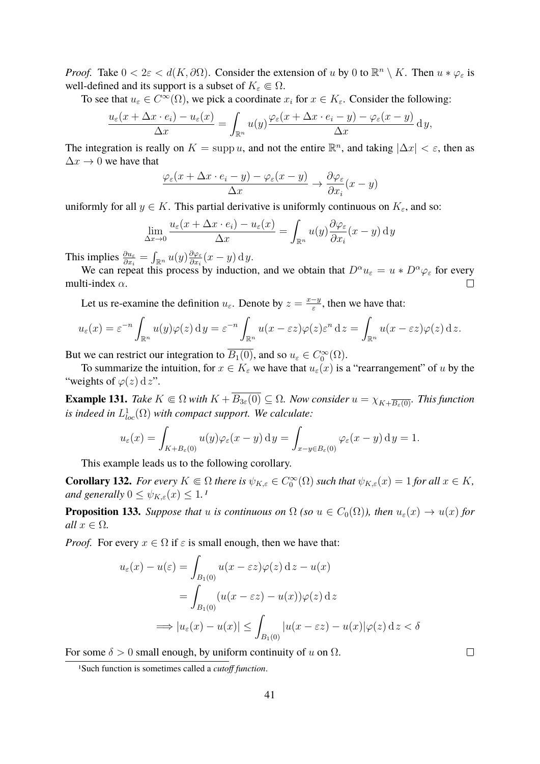*Proof.* Take  $0 < 2\varepsilon < d(K, \partial\Omega)$ . Consider the extension of u by 0 to  $\mathbb{R}^n \setminus K$ . Then  $u * \varphi_{\varepsilon}$  is well-defined and its support is a subset of  $K_{\varepsilon} \Subset \Omega$ .

To see that  $u_{\varepsilon} \in C^{\infty}(\Omega)$ , we pick a coordinate  $x_i$  for  $x \in K_{\varepsilon}$ . Consider the following:

$$
\frac{u_{\varepsilon}(x+\Delta x\cdot e_i)-u_{\varepsilon}(x)}{\Delta x}=\int_{\mathbb{R}^n}u(y)\frac{\varphi_{\varepsilon}(x+\Delta x\cdot e_i-y)-\varphi_{\varepsilon}(x-y)}{\Delta x}\,\mathrm{d}y,
$$

The integration is really on  $K = \text{supp } u$ , and not the entire  $\mathbb{R}^n$ , and taking  $|\Delta x| < \varepsilon$ , then as  $\Delta x \rightarrow 0$  we have that

$$
\frac{\varphi_{\varepsilon}(x + \Delta x \cdot e_i - y) - \varphi_{\varepsilon}(x - y)}{\Delta x} \to \frac{\partial \varphi_{\varepsilon}}{\partial x_i}(x - y)
$$

uniformly for all  $y \in K$ . This partial derivative is uniformly continuous on  $K_{\varepsilon}$ , and so:

$$
\lim_{\Delta x \to 0} \frac{u_{\varepsilon}(x + \Delta x \cdot e_i) - u_{\varepsilon}(x)}{\Delta x} = \int_{\mathbb{R}^n} u(y) \frac{\partial \varphi_{\varepsilon}}{\partial x_i}(x - y) \, \mathrm{d}y
$$

This implies  $\frac{\partial u_{\varepsilon}}{\partial x_i} = \int_{\mathbb{R}^n} u(y) \frac{\partial \varphi_{\varepsilon}}{\partial x_i}$  $\frac{\partial \varphi_\varepsilon}{\partial x_i}(x-y) \, \mathrm{d}\, y.$ 

We can repeat this process by induction, and we obtain that  $D^{\alpha}u_{\varepsilon} = u * D^{\alpha}\varphi_{\varepsilon}$  for every multi-index  $\alpha$ .  $\Box$ 

Let us re-examine the definition  $u_{\varepsilon}$ . Denote by  $z = \frac{x-y}{\varepsilon}$  $\frac{-y}{\varepsilon}$ , then we have that:

$$
u_{\varepsilon}(x) = \varepsilon^{-n} \int_{\mathbb{R}^n} u(y) \varphi(z) \, \mathrm{d}y = \varepsilon^{-n} \int_{\mathbb{R}^n} u(x - \varepsilon z) \varphi(z) \varepsilon^n \, \mathrm{d}z = \int_{\mathbb{R}^n} u(x - \varepsilon z) \varphi(z) \, \mathrm{d}z.
$$

But we can restrict our integration to  $\overline{B_1(0)}$ , and so  $u_{\varepsilon} \in C_0^{\infty}(\Omega)$ .

To summarize the intuition, for  $x \in K_{\varepsilon}$  we have that  $u_{\varepsilon}(x)$  is a "rearrangement" of u by the "weights of  $\varphi(z) \, \mathrm{d} z$ ".

**Example 131.** *Take*  $K \subseteq \Omega$  *with*  $K + \overline{B_{3\varepsilon}(0)} \subseteq \Omega$ *. Now consider*  $u = \chi_{K+\overline{B_{\varepsilon}(0)}}$ *. This function* is indeed in  $L^1_{loc}(\Omega)$  with compact support. We calculate:

$$
u_{\varepsilon}(x) = \int_{K+B_{\varepsilon}(0)} u(y)\varphi_{\varepsilon}(x-y) \, \mathrm{d}y = \int_{x-y \in B_{\varepsilon}(0)} \varphi_{\varepsilon}(x-y) \, \mathrm{d}y = 1.
$$

This example leads us to the following corollary.

**Corollary 132.** *For every*  $K \subseteq \Omega$  *there is*  $\psi_{K,\varepsilon} \in C_0^{\infty}(\Omega)$  *such that*  $\psi_{K,\varepsilon}(x) = 1$  *for all*  $x \in K$ *, and generally*  $0 \leq \psi_{K,\varepsilon}(x) \leq 1$  $0 \leq \psi_{K,\varepsilon}(x) \leq 1$ .

**Proposition 133.** *Suppose that* u *is continuous on*  $\Omega$  *(so*  $u \in C_0(\Omega)$ *), then*  $u_{\varepsilon}(x) \to u(x)$  *for all*  $x \in \Omega$ *.* 

*Proof.* For every  $x \in \Omega$  if  $\varepsilon$  is small enough, then we have that:

$$
u_{\varepsilon}(x) - u(\varepsilon) = \int_{B_1(0)} u(x - \varepsilon z) \varphi(z) dz - u(x)
$$
  
= 
$$
\int_{B_1(0)} (u(x - \varepsilon z) - u(x)) \varphi(z) dz
$$
  

$$
\implies |u_{\varepsilon}(x) - u(x)| \le \int_{B_1(0)} |u(x - \varepsilon z) - u(x)| \varphi(z) dz < \delta
$$

For some  $\delta > 0$  small enough, by uniform continuity of u on  $\Omega$ .

<span id="page-40-0"></span><sup>1</sup>Such function is sometimes called a *cutoff function*.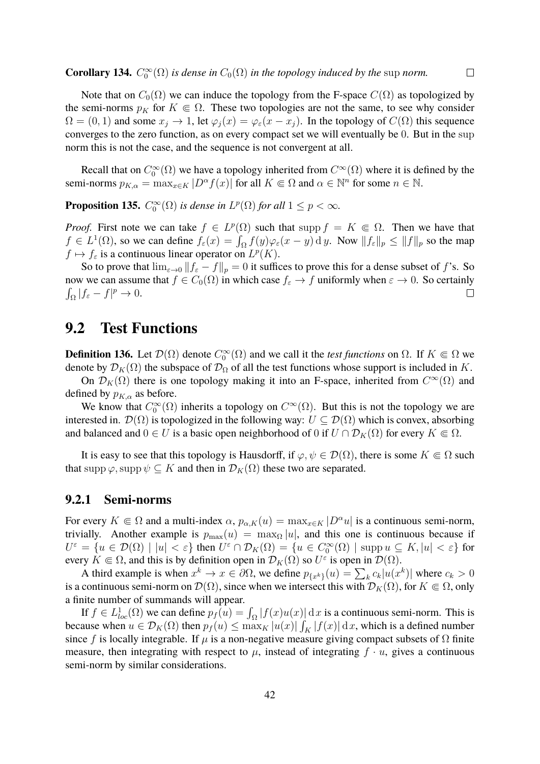Note that on  $C_0(\Omega)$  we can induce the topology from the F-space  $C(\Omega)$  as topologized by the semi-norms  $p_K$  for  $K \in \Omega$ . These two topologies are not the same, to see why consider  $\Omega = (0, 1)$  and some  $x_j \to 1$ , let  $\varphi_j(x) = \varphi_\varepsilon(x - x_j)$ . In the topology of  $C(\Omega)$  this sequence converges to the zero function, as on every compact set we will eventually be 0. But in the sup norm this is not the case, and the sequence is not convergent at all.

Recall that on  $C_0^{\infty}(\Omega)$  we have a topology inherited from  $C^{\infty}(\Omega)$  where it is defined by the semi-norms  $p_{K,\alpha} = \max_{x \in K} |D^{\alpha} f(x)|$  for all  $K \in \Omega$  and  $\alpha \in \mathbb{N}^n$  for some  $n \in \mathbb{N}$ .

**Proposition 135.**  $C_0^{\infty}(\Omega)$  *is dense in*  $L^p(\Omega)$  *for all*  $1 \leq p < \infty$ *.* 

*Proof.* First note we can take  $f \in L^p(\Omega)$  such that supp  $f = K \in \Omega$ . Then we have that  $f \in L^1(\Omega)$ , so we can define  $f_{\varepsilon}(x) = \int_{\Omega} f(y) \varphi_{\varepsilon}(x - y) \, \mathrm{d}y$ . Now  $||f_{\varepsilon}||_p \le ||f||_p$  so the map  $f \mapsto f_{\varepsilon}$  is a continuous linear operator on  $L^p(K)$ .

So to prove that  $\lim_{\varepsilon \to 0} ||f_{\varepsilon} - f||_p = 0$  it suffices to prove this for a dense subset of f's. So now we can assume that  $f \in C_0(\Omega)$  in which case  $f_\varepsilon \to f$  uniformly when  $\varepsilon \to 0$ . So certainly  $\int_{\Omega} |f_{\varepsilon} - f|^p \to 0.$ 

### <span id="page-41-0"></span>**9.2 Test Functions**

**Definition 136.** Let  $\mathcal{D}(\Omega)$  denote  $C_0^{\infty}(\Omega)$  and we call it the *test functions* on  $\Omega$ . If  $K \subseteq \Omega$  we denote by  $\mathcal{D}_K(\Omega)$  the subspace of  $\mathcal{D}_{\Omega}$  of all the test functions whose support is included in K.

On  $\mathcal{D}_K(\Omega)$  there is one topology making it into an F-space, inherited from  $C^{\infty}(\Omega)$  and defined by  $p_{K,\alpha}$  as before.

We know that  $C_0^{\infty}(\Omega)$  inherits a topology on  $C^{\infty}(\Omega)$ . But this is not the topology we are interested in.  $\mathcal{D}(\Omega)$  is topologized in the following way:  $U \subseteq \mathcal{D}(\Omega)$  which is convex, absorbing and balanced and  $0 \in U$  is a basic open neighborhood of 0 if  $U \cap \mathcal{D}_K(\Omega)$  for every  $K \in \Omega$ .

It is easy to see that this topology is Hausdorff, if  $\varphi, \psi \in \mathcal{D}(\Omega)$ , there is some  $K \in \Omega$  such that supp  $\varphi$ , supp  $\psi \subseteq K$  and then in  $\mathcal{D}_K(\Omega)$  these two are separated.

#### <span id="page-41-1"></span>**9.2.1 Semi-norms**

For every  $K \in \Omega$  and a multi-index  $\alpha$ ,  $p_{\alpha,K}(u) = \max_{x \in K} |D^{\alpha}u|$  is a continuous semi-norm, trivially. Another example is  $p_{\text{max}}(u) = \max_{\Omega} |u|$ , and this one is continuous because if  $U^{\varepsilon} = \{ u \in \mathcal{D}(\Omega) \mid |u| < \varepsilon \}$  then  $U^{\varepsilon} \cap \mathcal{D}_K(\Omega) = \{ u \in C_0^{\infty}(\Omega) \mid \operatorname{supp} u \subseteq K, |u| < \varepsilon \}$  for every  $K \in \Omega$ , and this is by definition open in  $\mathcal{D}_K(\Omega)$  so  $U^{\varepsilon}$  is open in  $\mathcal{D}(\Omega)$ .

A third example is when  $x^k \to x \in \partial\Omega$ , we define  $p_{\{x^k\}}(u) = \sum_k c_k |u(x^k)|$  where  $c_k > 0$ is a continuous semi-norm on  $\mathcal{D}(\Omega)$ , since when we intersect this with  $\mathcal{D}_K(\Omega)$ , for  $K \in \Omega$ , only a finite number of summands will appear.

If  $f \in L^1_{loc}(\Omega)$  we can define  $p_f(u) = \int_{\Omega} |f(x)u(x)| d x$  is a continuous semi-norm. This is because when  $u \in \mathcal{D}_K(\Omega)$  then  $p_f(u) \le \max_K |u(x)| \int_K |f(x)| \, dx$ , which is a defined number since f is locally integrable. If  $\mu$  is a non-negative measure giving compact subsets of  $\Omega$  finite measure, then integrating with respect to  $\mu$ , instead of integrating  $f \cdot u$ , gives a continuous semi-norm by similar considerations.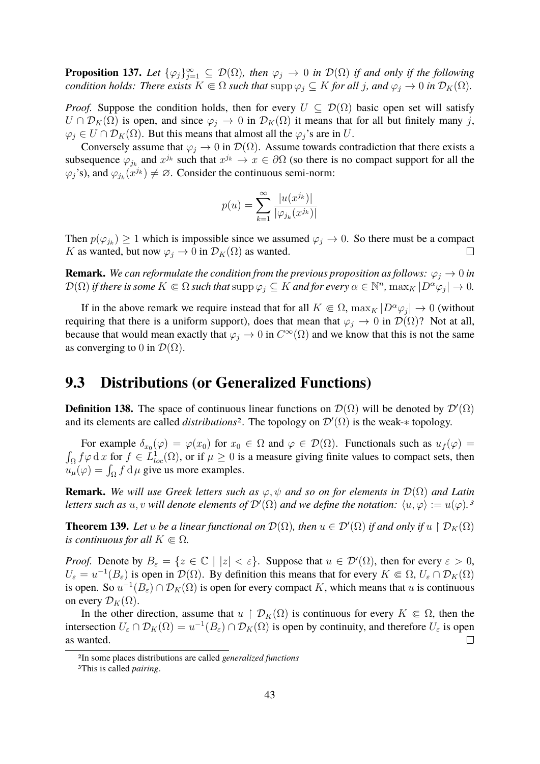**Proposition 137.** Let  $\{\varphi_j\}_{j=1}^{\infty} \subseteq \mathcal{D}(\Omega)$ , then  $\varphi_j \to 0$  in  $\mathcal{D}(\Omega)$  if and only if the following *condition holds: There exists*  $K \subseteq \Omega$  *such that*  $\text{supp }\varphi_j \subseteq K$  *for all* j*, and*  $\varphi_j \to 0$  *in*  $\mathcal{D}_K(\Omega)$ *.* 

*Proof.* Suppose the condition holds, then for every  $U \subseteq \mathcal{D}(\Omega)$  basic open set will satisfy  $U \cap \mathcal{D}_K(\Omega)$  is open, and since  $\varphi_j \to 0$  in  $\mathcal{D}_K(\Omega)$  it means that for all but finitely many j,  $\varphi_i \in U \cap \mathcal{D}_K(\Omega)$ . But this means that almost all the  $\varphi_i$ 's are in U.

Conversely assume that  $\varphi_i \to 0$  in  $\mathcal{D}(\Omega)$ . Assume towards contradiction that there exists a subsequence  $\varphi_{j_k}$  and  $x^{j_k}$  such that  $x^{j_k} \to x \in \partial\Omega$  (so there is no compact support for all the  $\varphi_j$ 's), and  $\varphi_{j_k}(x^{j_k}) \neq \emptyset$ . Consider the continuous semi-norm:

$$
p(u) = \sum_{k=1}^{\infty} \frac{|u(x^{j_k})|}{|\varphi_{j_k}(x^{j_k})|}
$$

Then  $p(\varphi_{j_k}) \geq 1$  which is impossible since we assumed  $\varphi_j \to 0$ . So there must be a compact K as wanted, but now  $\varphi_j \to 0$  in  $\mathcal{D}_K(\Omega)$  as wanted.  $\Box$ 

**Remark.** We can reformulate the condition from the previous proposition as follows:  $\varphi_i \to 0$  in  $\mathcal{D}(\Omega)$  *if there is some*  $K \subseteq \Omega$  *such that*  $\text{supp }\varphi_j \subseteq K$  *and for every*  $\alpha \in \mathbb{N}^n$ ,  $\text{max}_K |D^{\alpha}\varphi_j| \to 0$ .

If in the above remark we require instead that for all  $K \in \Omega$ ,  $\max_K |D^{\alpha}\varphi_j| \to 0$  (without requiring that there is a uniform support), does that mean that  $\varphi_j \to 0$  in  $\mathcal{D}(\Omega)$ ? Not at all, because that would mean exactly that  $\varphi_j \to 0$  in  $C^{\infty}(\Omega)$  and we know that this is not the same as converging to 0 in  $\mathcal{D}(\Omega)$ .

#### <span id="page-42-0"></span>**9.3 Distributions (or Generalized Functions)**

**Definition 138.** The space of continuous linear functions on  $\mathcal{D}(\Omega)$  will be denoted by  $\mathcal{D}'(\Omega)$ and its elements are called *distributions*<sup>[2](#page-42-1)</sup>. The topology on  $\mathcal{D}'(\Omega)$  is the weak-\* topology.

For example  $\delta_{x_0}(\varphi) = \varphi(x_0)$  for  $x_0 \in \Omega$  and  $\varphi \in \mathcal{D}(\Omega)$ . Functionals such as  $u_f(\varphi) =$  $\int_{\Omega} f \varphi \, dx$  for  $f \in L^1_{loc}(\Omega)$ , or if  $\mu \geq 0$  is a measure giving finite values to compact sets, then  $u_{\mu}(\varphi) = \int_{\Omega} f \, d\mu$  give us more examples.

**Remark.** We will use Greek letters such as  $\varphi, \psi$  and so on for elements in  $\mathcal{D}(\Omega)$  and Latin *letters such as*  $u, v$  *will denote elements of*  $\mathcal{D}'(\Omega)$  *and we define the notation:*  $\langle u, \varphi \rangle := u(\varphi)$ .<sup>[3](#page-42-2)</sup>

**Theorem 139.** Let u be a linear functional on  $\mathcal{D}(\Omega)$ , then  $u \in \mathcal{D}'(\Omega)$  if and only if  $u \restriction \mathcal{D}_K(\Omega)$ *is continuous for all*  $K \subseteq \Omega$ .

*Proof.* Denote by  $B_{\varepsilon} = \{z \in \mathbb{C} \mid |z| < \varepsilon\}$ . Suppose that  $u \in \mathcal{D}'(\Omega)$ , then for every  $\varepsilon > 0$ ,  $U_{\varepsilon} = u^{-1}(B_{\varepsilon})$  is open in  $\mathcal{D}(\Omega)$ . By definition this means that for every  $K \in \Omega$ ,  $U_{\varepsilon} \cap \mathcal{D}_K(\Omega)$ is open. So  $u^{-1}(B_\varepsilon) \cap \mathcal{D}_K(\Omega)$  is open for every compact K, which means that u is continuous on every  $\mathcal{D}_K(\Omega)$ .

In the other direction, assume that  $u \restriction \mathcal{D}_K(\Omega)$  is continuous for every  $K \in \Omega$ , then the intersection  $U_{\varepsilon} \cap \mathcal{D}_K(\Omega) = u^{-1}(B_{\varepsilon}) \cap \mathcal{D}_K(\Omega)$  is open by continuity, and therefore  $U_{\varepsilon}$  is open as wanted.  $\Box$ 

<span id="page-42-1"></span><sup>2</sup>In some places distributions are called *generalized functions*

<span id="page-42-2"></span><sup>3</sup>This is called *pairing*.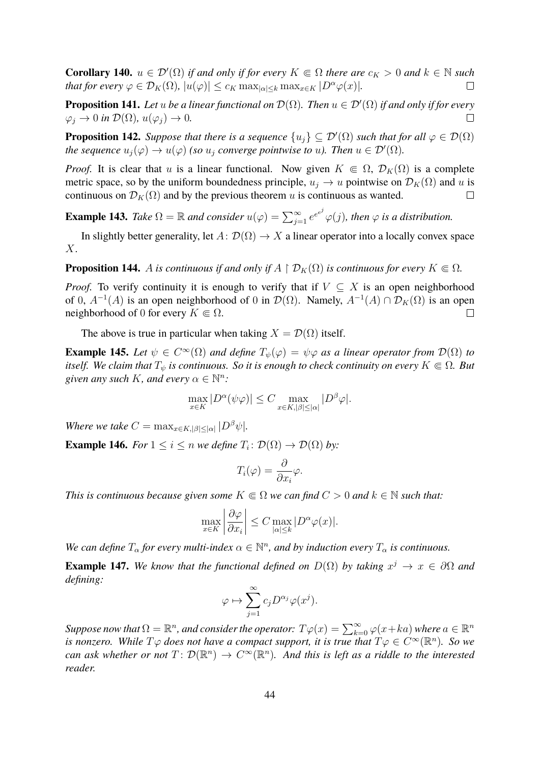**Corollary 140.**  $u \in \mathcal{D}'(\Omega)$  *if and only if for every*  $K \subseteq \Omega$  *there are*  $c_K > 0$  *and*  $k \in \mathbb{N}$  *such that for every*  $\varphi \in \mathcal{D}_K(\Omega)$ ,  $|u(\varphi)| \leq c_K \max_{|\alpha| \leq k} \max_{x \in K} |D^{\alpha} \varphi(x)|$ .  $\Box$ 

**Proposition 141.** Let u be a linear functional on  $\mathcal{D}(\Omega)$ . Then  $u \in \mathcal{D}'(\Omega)$  if and only if for every  $\varphi_i \to 0$  *in*  $\mathcal{D}(\Omega)$ ,  $u(\varphi_i) \to 0$ .  $\Box$ 

**Proposition 142.** *Suppose that there is a sequence*  $\{u_j\} \subseteq \mathcal{D}'(\Omega)$  *such that for all*  $\varphi \in \mathcal{D}(\Omega)$ *the sequence*  $u_j(\varphi) \to u(\varphi)$  *(so*  $u_j$  *converge pointwise to u). Then*  $u \in \mathcal{D}'(\Omega)$ *.* 

*Proof.* It is clear that u is a linear functional. Now given  $K \in \Omega$ ,  $\mathcal{D}_K(\Omega)$  is a complete metric space, so by the uniform boundedness principle,  $u_j \to u$  pointwise on  $\mathcal{D}_K(\Omega)$  and u is continuous on  $\mathcal{D}_K(\Omega)$  and by the previous theorem u is continuous as wanted.  $\Box$ 

**Example 143.** *Take*  $\Omega = \mathbb{R}$  *and consider*  $u(\varphi) = \sum_{j=1}^{\infty} e^{e^{i\theta}} \varphi(j)$ *, then*  $\varphi$  *is a distribution.* 

In slightly better generality, let  $A: \mathcal{D}(\Omega) \to X$  a linear operator into a locally convex space X.

**Proposition 144.** A *is continuous if and only if*  $A \restriction \mathcal{D}_K(\Omega)$  *is continuous for every*  $K \in \Omega$ *.* 

*Proof.* To verify continuity it is enough to verify that if  $V \subseteq X$  is an open neighborhood of 0,  $A^{-1}(A)$  is an open neighborhood of 0 in  $\mathcal{D}(\Omega)$ . Namely,  $A^{-1}(A) \cap \mathcal{D}_K(\Omega)$  is an open neighborhood of 0 for every  $K \in \Omega$ .  $\Box$ 

The above is true in particular when taking  $X = \mathcal{D}(\Omega)$  itself.

**Example 145.** Let  $\psi \in C^{\infty}(\Omega)$  and define  $T_{\psi}(\varphi) = \psi \varphi$  as a linear operator from  $\mathcal{D}(\Omega)$  to *itself.* We claim that  $T_{\psi}$  is continuous. So it is enough to check continuity on every  $K \in \Omega$ . But given any such K, and every  $\alpha \in \mathbb{N}^n$ :

$$
\max_{x \in K} |D^{\alpha}(\psi \varphi)| \le C \max_{x \in K, |\beta| \le |\alpha|} |D^{\beta} \varphi|.
$$

*Where we take*  $C = \max_{x \in K, |\beta| \leq |\alpha|} |D^{\beta}\psi|$ *.* 

**Example 146.** *For*  $1 \leq i \leq n$  *we define*  $T_i$ :  $\mathcal{D}(\Omega) \rightarrow \mathcal{D}(\Omega)$  *by:* 

$$
T_i(\varphi) = \frac{\partial}{\partial x_i} \varphi.
$$

*This is continuous because given some*  $K \subseteq \Omega$  *we can find*  $C > 0$  *and*  $k \in \mathbb{N}$  *such that:* 

$$
\max_{x \in K} \left| \frac{\partial \varphi}{\partial x_i} \right| \le C \max_{|\alpha| \le k} |D^{\alpha} \varphi(x)|.
$$

*We can define*  $T_{\alpha}$  *for every multi-index*  $\alpha \in \mathbb{N}^n$ *, and by induction every*  $T_{\alpha}$  *is continuous.* 

**Example 147.** We know that the functional defined on  $D(\Omega)$  by taking  $x^j \to x \in \partial\Omega$  and *defining:*

$$
\varphi \mapsto \sum_{j=1}^{\infty} c_j D^{\alpha_j} \varphi(x^j).
$$

*Suppose now that*  $\Omega = \mathbb{R}^n$ , and consider the operator:  $T\varphi(x) = \sum_{k=0}^\infty \varphi(x+ka)$  where  $a\in\mathbb{R}^n$ *is nonzero. While*  $T\varphi$  does not have a compact support, it is true that  $T\varphi \in C^{\infty}(\mathbb{R}^n)$ . So we can ask whether or not  $T\colon \mathcal{D}(\mathbb{R}^n) \to C^\infty(\mathbb{R}^n)$ . And this is left as a riddle to the interested *reader.*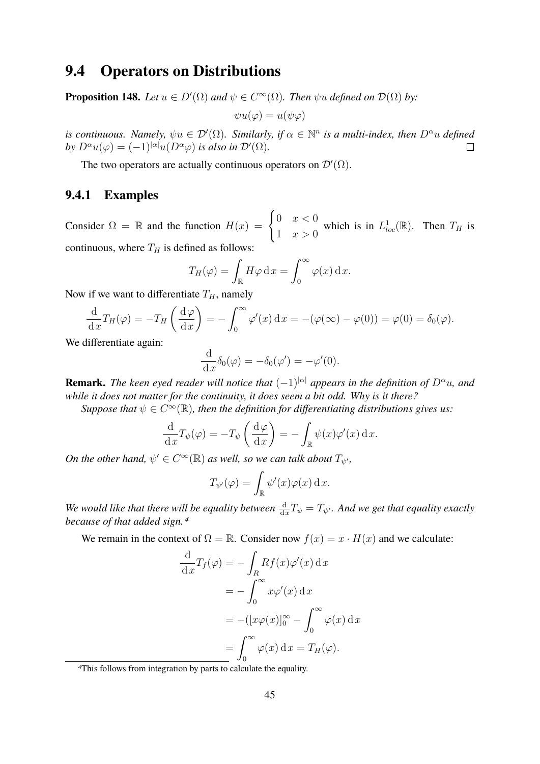### <span id="page-44-0"></span>**9.4 Operators on Distributions**

**Proposition 148.** *Let*  $u \in D'(\Omega)$  *and*  $\psi \in C^{\infty}(\Omega)$ *. Then*  $\psi u$  *defined on*  $\mathcal{D}(\Omega)$  *by:* 

$$
\psi u(\varphi) = u(\psi \varphi)
$$

*is continuous. Namely,*  $\psi u \in \mathcal{D}'(\Omega)$ . Similarly, if  $\alpha \in \mathbb{N}^n$  is a multi-index, then  $D^{\alpha}u$  defined *by*  $D^{\alpha}u(\varphi) = (-1)^{|\alpha|}u(D^{\alpha}\varphi)$  *is also in*  $\mathcal{D}'(\Omega)$ *.*  $\Box$ 

The two operators are actually continuous operators on  $\mathcal{D}'(\Omega)$ .

#### <span id="page-44-1"></span>**9.4.1 Examples**

Consider  $\Omega = \mathbb{R}$  and the function  $H(x) = \begin{cases} 0 & x < 0 \\ 1 & x \end{cases}$ 1  $x > 0$ which is in  $L^1_{loc}(\mathbb{R})$ . Then  $T_H$  is continuous, where  $T_H$  is defined as follows:

$$
T_H(\varphi) = \int_{\mathbb{R}} H\varphi \,dx = \int_0^\infty \varphi(x) \,dx.
$$

Now if we want to differentiate  $T_H$ , namely

$$
\frac{\mathrm{d}}{\mathrm{d}x}T_H(\varphi) = -T_H\left(\frac{\mathrm{d}\varphi}{\mathrm{d}x}\right) = -\int_0^\infty \varphi'(x)\,\mathrm{d}x = -(\varphi(\infty) - \varphi(0)) = \varphi(0) = \delta_0(\varphi).
$$

We differentiate again:

$$
\frac{\mathrm{d}}{\mathrm{d}x}\delta_0(\varphi) = -\delta_0(\varphi') = -\varphi'(0).
$$

**Remark.** *The keen eyed reader will notice that*  $(-1)^{|\alpha|}$  *appears in the definition of*  $D^{\alpha}u$ *, and while it does not matter for the continuity, it does seem a bit odd. Why is it there?*

Suppose that  $\psi \in C^\infty(\mathbb{R})$ , then the definition for differentiating distributions gives us:

$$
\frac{\mathrm{d}}{\mathrm{d}x}T_{\psi}(\varphi) = -T_{\psi}\left(\frac{\mathrm{d}\varphi}{\mathrm{d}x}\right) = -\int_{\mathbb{R}}\psi(x)\varphi'(x)\,\mathrm{d}x.
$$

*On the other hand,*  $\psi' \in C^{\infty}(\mathbb{R})$  *as well, so we can talk about*  $T_{\psi'}$ *,* 

$$
T_{\psi'}(\varphi) = \int_{\mathbb{R}} \psi'(x)\varphi(x) \,dx.
$$

*We would like that there will be equality between*  $\frac{d}{dx}T_{\psi} = T_{\psi'}$ . And we get that equality exactly *because of that added sign.[4](#page-44-2)*

We remain in the context of  $\Omega = \mathbb{R}$ . Consider now  $f(x) = x \cdot H(x)$  and we calculate:

$$
\frac{d}{dx}T_f(\varphi) = -\int_R Rf(x)\varphi'(x) dx
$$

$$
= -\int_0^\infty x\varphi'(x) dx
$$

$$
= -([x\varphi(x)]_0^\infty - \int_0^\infty \varphi(x) dx
$$

$$
= \int_0^\infty \varphi(x) dx = T_H(\varphi).
$$

<span id="page-44-2"></span><sup>4</sup>This follows from integration by parts to calculate the equality.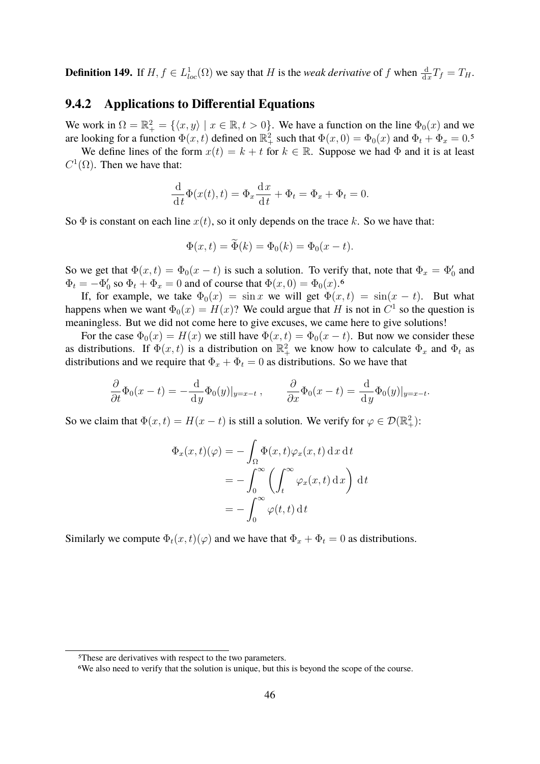**Definition 149.** If  $H, f \in L^1_{loc}(\Omega)$  we say that H is the *weak derivative* of f when  $\frac{d}{dx}T_f = T_H$ .

#### <span id="page-45-0"></span>**9.4.2 Applications to Differential Equations**

We work in  $\Omega = \mathbb{R}^2_+ = \{ \langle x, y \rangle \mid x \in \mathbb{R}, t > 0 \}.$  We have a function on the line  $\Phi_0(x)$  and we are looking for a function  $\Phi(x,t)$  defined on  $\mathbb{R}_+^2$  such that  $\Phi(x,0) = \Phi_0(x)$  and  $\Phi_t + \Phi_x = 0.5$  $\Phi_t + \Phi_x = 0.5$ 

We define lines of the form  $x(t) = k + t$  for  $k \in \mathbb{R}$ . Suppose we had  $\Phi$  and it is at least  $C^1(\Omega)$ . Then we have that:

$$
\frac{\mathrm{d}}{\mathrm{d}t}\Phi(x(t),t) = \Phi_x \frac{\mathrm{d}x}{\mathrm{d}t} + \Phi_t = \Phi_x + \Phi_t = 0.
$$

So  $\Phi$  is constant on each line  $x(t)$ , so it only depends on the trace k. So we have that:

$$
\Phi(x,t) = \Phi(k) = \Phi_0(k) = \Phi_0(x - t).
$$

So we get that  $\Phi(x,t) = \Phi_0(x-t)$  is such a solution. To verify that, note that  $\Phi_x = \Phi'_0$  and  $\Phi_t = -\Phi'_0$  so  $\Phi_t + \Phi_x = 0$  and of course that  $\Phi(x, 0) = \Phi_0(x)$ .

If, for example, we take  $\Phi_0(x) = \sin x$  we will get  $\Phi(x, t) = \sin(x - t)$ . But what happens when we want  $\Phi_0(x) = H(x)$ ? We could argue that H is not in  $C^1$  so the question is meaningless. But we did not come here to give excuses, we came here to give solutions!

For the case  $\Phi_0(x) = H(x)$  we still have  $\Phi(x,t) = \Phi_0(x-t)$ . But now we consider these as distributions. If  $\Phi(x,t)$  is a distribution on  $\mathbb{R}^2_+$  we know how to calculate  $\Phi_x$  and  $\Phi_t$  as distributions and we require that  $\Phi_x + \Phi_t = 0$  as distributions. So we have that

$$
\frac{\partial}{\partial t}\Phi_0(x-t) = -\frac{\mathrm{d}}{\mathrm{d}y}\Phi_0(y)|_{y=x-t}, \qquad \frac{\partial}{\partial x}\Phi_0(x-t) = \frac{\mathrm{d}}{\mathrm{d}y}\Phi_0(y)|_{y=x-t}.
$$

So we claim that  $\Phi(x,t) = H(x-t)$  is still a solution. We verify for  $\varphi \in \mathcal{D}(\mathbb{R}^2_+)$ :

$$
\Phi_x(x,t)(\varphi) = -\int_{\Omega} \Phi(x,t)\varphi_x(x,t) dx dt
$$

$$
= -\int_0^{\infty} \left(\int_t^{\infty} \varphi_x(x,t) dx\right) dt
$$

$$
= -\int_0^{\infty} \varphi(t,t) dt
$$

Similarly we compute  $\Phi_t(x, t)(\varphi)$  and we have that  $\Phi_x + \Phi_t = 0$  as distributions.

<span id="page-45-1"></span><sup>5</sup>These are derivatives with respect to the two parameters.

<span id="page-45-2"></span><sup>6</sup>We also need to verify that the solution is unique, but this is beyond the scope of the course.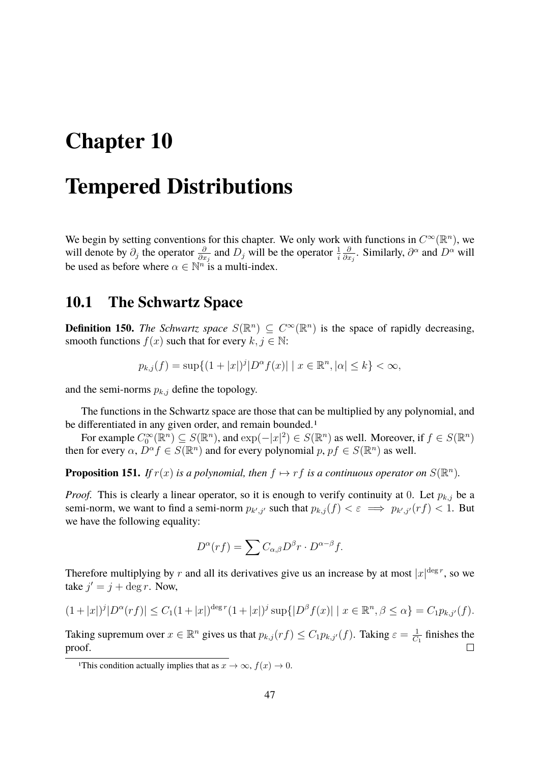# <span id="page-46-0"></span>**Chapter 10**

## **Tempered Distributions**

We begin by setting conventions for this chapter. We only work with functions in  $C^{\infty}(\mathbb{R}^n)$ , we will denote by  $\partial_j$  the operator  $\frac{\partial}{\partial x_j}$  and  $D_j$  will be the operator  $\frac{1}{i}$ ∂  $\frac{\partial}{\partial x_j}$ . Similarly,  $\partial^{\alpha}$  and  $D^{\alpha}$  will be used as before where  $\alpha \in \mathbb{N}^n$  is a multi-index.

#### <span id="page-46-1"></span>**10.1 The Schwartz Space**

**Definition 150.** *The Schwartz space*  $S(\mathbb{R}^n) \subseteq C^\infty(\mathbb{R}^n)$  is the space of rapidly decreasing, smooth functions  $f(x)$  such that for every  $k, j \in \mathbb{N}$ :

$$
p_{k,j}(f) = \sup\{(1+|x|)^j |D^{\alpha}f(x)| \mid x \in \mathbb{R}^n, |\alpha| \le k\} < \infty,
$$

and the semi-norms  $p_{k,j}$  define the topology.

The functions in the Schwartz space are those that can be multiplied by any polynomial, and be differentiated in any given order, and remain bounded.<sup>[1](#page-46-2)</sup>

For example  $C_0^{\infty}(\mathbb{R}^n) \subseteq S(\mathbb{R}^n)$ , and  $\exp(-|x|^2) \in S(\mathbb{R}^n)$  as well. Moreover, if  $f \in S(\mathbb{R}^n)$ then for every  $\alpha$ ,  $\tilde{D}^{\alpha} f \in S(\mathbb{R}^n)$  and for every polynomial  $p, pf \in S(\mathbb{R}^n)$  as well.

**Proposition 151.** If  $r(x)$  is a polynomial, then  $f \mapsto rf$  is a continuous operator on  $S(\mathbb{R}^n)$ .

*Proof.* This is clearly a linear operator, so it is enough to verify continuity at 0. Let  $p_{k,j}$  be a semi-norm, we want to find a semi-norm  $p_{k',j'}$  such that  $p_{k,j}(f) < \varepsilon \implies p_{k',j'}(rf) < 1$ . But we have the following equality:

$$
D^{\alpha}(rf) = \sum C_{\alpha,\beta} D^{\beta} r \cdot D^{\alpha-\beta} f.
$$

Therefore multiplying by r and all its derivatives give us an increase by at most  $|x|^{\deg r}$ , so we take  $j' = j + \deg r$ . Now,

$$
(1+|x|)^j|D^{\alpha}(rf)| \leq C_1(1+|x|)^{\deg r}(1+|x|)^j \sup\{|D^{\beta}f(x)| \mid x \in \mathbb{R}^n, \beta \leq \alpha\} = C_1 p_{k,j'}(f).
$$

Taking supremum over  $x \in \mathbb{R}^n$  gives us that  $p_{k,j}(rf) \leq C_1 p_{k,j'}(f)$ . Taking  $\varepsilon = \frac{1}{C}$  $\frac{1}{C_1}$  finishes the proof.  $\Box$ 

<span id="page-46-2"></span><sup>&</sup>lt;sup>1</sup>This condition actually implies that as  $x \to \infty$ ,  $f(x) \to 0$ .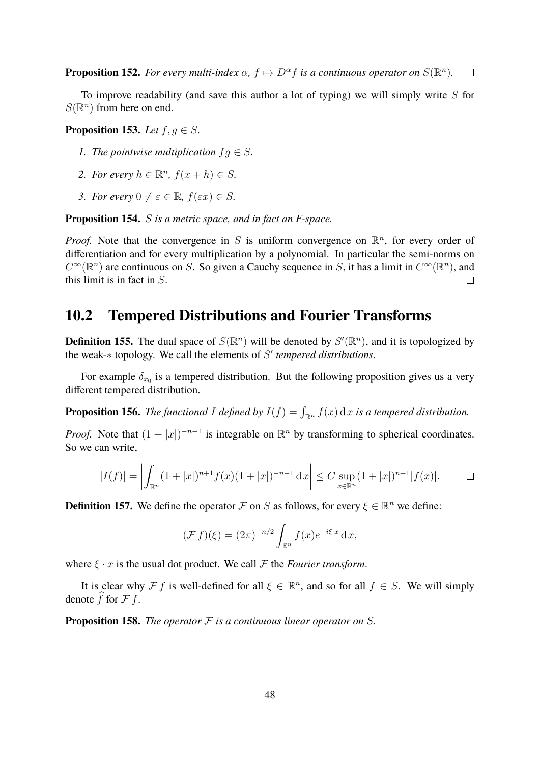**Proposition 152.** For every multi-index  $\alpha$ ,  $f \mapsto D^{\alpha}f$  is a continuous operator on  $S(\mathbb{R}^n)$ .  $\Box$ 

To improve readability (and save this author a lot of typing) we will simply write  $S$  for  $S(\mathbb{R}^n)$  from here on end.

**Proposition 153.** *Let*  $f, g \in S$ *.* 

- *1. The pointwise multiplication*  $f q \in S$ .
- 2. For every  $h \in \mathbb{R}^n$ ,  $f(x+h) \in S$ .
- *3. For every*  $0 \neq \varepsilon \in \mathbb{R}$ ,  $f(\varepsilon x) \in S$ .

**Proposition 154.** S *is a metric space, and in fact an F-space.*

*Proof.* Note that the convergence in S is uniform convergence on  $\mathbb{R}^n$ , for every order of differentiation and for every multiplication by a polynomial. In particular the semi-norms on  $C^{\infty}(\mathbb{R}^n)$  are continuous on S. So given a Cauchy sequence in S, it has a limit in  $C^{\infty}(\mathbb{R}^n)$ , and this limit is in fact in S.  $\Box$ 

### <span id="page-47-0"></span>**10.2 Tempered Distributions and Fourier Transforms**

**Definition 155.** The dual space of  $S(\mathbb{R}^n)$  will be denoted by  $S'(\mathbb{R}^n)$ , and it is topologized by the weak-∗ topology. We call the elements of S' tempered distributions.

For example  $\delta_{x_0}$  is a tempered distribution. But the following proposition gives us a very different tempered distribution.

**Proposition 156.** The functional I defined by  $I(f) = \int_{\mathbb{R}^n} f(x) dx$  is a tempered distribution.

*Proof.* Note that  $(1+|x|)^{-n-1}$  is integrable on  $\mathbb{R}^n$  by transforming to spherical coordinates. So we can write,

$$
|I(f)| = \left| \int_{\mathbb{R}^n} (1+|x|)^{n+1} f(x) (1+|x|)^{-n-1} dx \right| \le C \sup_{x \in \mathbb{R}^n} (1+|x|)^{n+1} |f(x)|.
$$

**Definition 157.** We define the operator  $\mathcal F$  on S as follows, for every  $\xi \in \mathbb R^n$  we define:

$$
(\mathcal{F} f)(\xi) = (2\pi)^{-n/2} \int_{\mathbb{R}^n} f(x) e^{-i\xi \cdot x} \, \mathrm{d}x,
$$

where  $\xi \cdot x$  is the usual dot product. We call  $\mathcal F$  the *Fourier transform*.

It is clear why  $\mathcal{F} f$  is well-defined for all  $\xi \in \mathbb{R}^n$ , and so for all  $f \in S$ . We will simply denote f for  $\mathcal F$  f.

**Proposition 158.** *The operator* F *is a continuous linear operator on* S*.*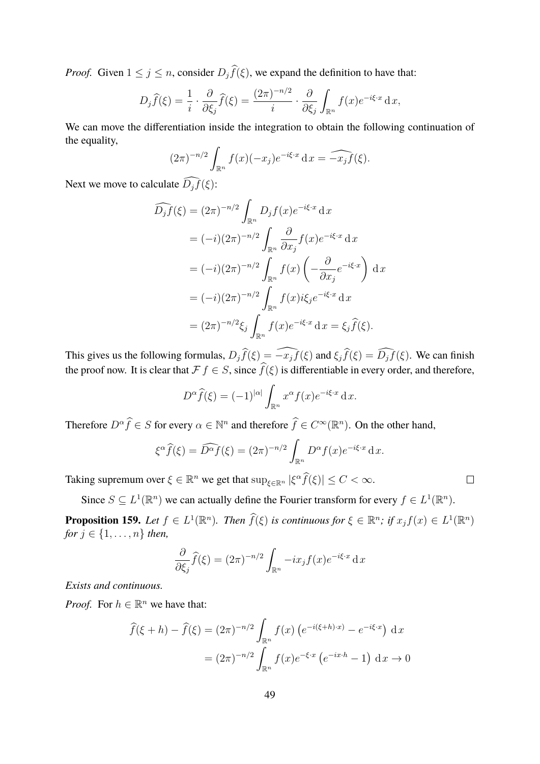*Proof.* Given  $1 \leq j \leq n$ , consider  $D_j \hat{f}(\xi)$ , we expand the definition to have that:

$$
D_j \widehat{f}(\xi) = \frac{1}{i} \cdot \frac{\partial}{\partial \xi_j} \widehat{f}(\xi) = \frac{(2\pi)^{-n/2}}{i} \cdot \frac{\partial}{\partial \xi_j} \int_{\mathbb{R}^n} f(x) e^{-i\xi \cdot x} dx,
$$

We can move the differentiation inside the integration to obtain the following continuation of the equality,

$$
(2\pi)^{-n/2} \int_{\mathbb{R}^n} f(x)(-x_j) e^{-i\xi \cdot x} dx = \widehat{-x_j f}(\xi).
$$

Next we move to calculate  $\widehat{D_j f}(\xi)$ :

$$
\widehat{D_j f}(\xi) = (2\pi)^{-n/2} \int_{\mathbb{R}^n} D_j f(x) e^{-i\xi \cdot x} dx
$$
  
\n
$$
= (-i)(2\pi)^{-n/2} \int_{\mathbb{R}^n} \frac{\partial}{\partial x_j} f(x) e^{-i\xi \cdot x} dx
$$
  
\n
$$
= (-i)(2\pi)^{-n/2} \int_{\mathbb{R}^n} f(x) \left( -\frac{\partial}{\partial x_j} e^{-i\xi \cdot x} \right) dx
$$
  
\n
$$
= (-i)(2\pi)^{-n/2} \int_{\mathbb{R}^n} f(x) i\xi_j e^{-i\xi \cdot x} dx
$$
  
\n
$$
= (2\pi)^{-n/2} \xi_j \int_{\mathbb{R}^n} f(x) e^{-i\xi \cdot x} dx = \xi_j \widehat{f}(\xi).
$$

This gives us the following formulas,  $D_j\hat{f}(\xi) = \widehat{-x_jf}(\xi)$  and  $\xi_j\hat{f}(\xi) = \widehat{D_jf}(\xi)$ . We can finish the proof now. It is clear that  $\mathcal{F} f \in S$ , since  $\widehat{f}(\xi)$  is differentiable in every order, and therefore,

$$
D^{\alpha}\widehat{f}(\xi) = (-1)^{|\alpha|} \int_{\mathbb{R}^n} x^{\alpha} f(x) e^{-i\xi \cdot x} dx.
$$

Therefore  $D^{\alpha}\widehat{f} \in S$  for every  $\alpha \in \mathbb{N}^n$  and therefore  $\widehat{f} \in C^{\infty}(\mathbb{R}^n)$ . On the other hand,

$$
\xi^{\alpha}\widehat{f}(\xi) = \widehat{D^{\alpha}f}(\xi) = (2\pi)^{-n/2} \int_{\mathbb{R}^n} D^{\alpha}f(x)e^{-i\xi \cdot x} dx.
$$

Taking supremum over  $\xi \in \mathbb{R}^n$  we get that  $\sup_{\xi \in \mathbb{R}^n} |\xi^{\alpha} \widehat{f}(\xi)| \le C < \infty$ .

Since  $S \subseteq L^1(\mathbb{R}^n)$  we can actually define the Fourier transform for every  $f \in L^1(\mathbb{R}^n)$ .

**Proposition 159.** Let  $f \in L^1(\mathbb{R}^n)$ . Then  $\widehat{f}(\xi)$  is continuous for  $\xi \in \mathbb{R}^n$ ; if  $x_j f(x) \in L^1(\mathbb{R}^n)$ *for*  $j \in \{1, ..., n\}$  *then,* 

$$
\frac{\partial}{\partial \xi_j} \widehat{f}(\xi) = (2\pi)^{-n/2} \int_{\mathbb{R}^n} -ix_j f(x) e^{-i\xi \cdot x} dx
$$

*Exists and continuous.*

*Proof.* For  $h \in \mathbb{R}^n$  we have that:

$$
\widehat{f}(\xi + h) - \widehat{f}(\xi) = (2\pi)^{-n/2} \int_{\mathbb{R}^n} f(x) \left( e^{-i(\xi + h) \cdot x} \right) - e^{-i\xi \cdot x} dx
$$

$$
= (2\pi)^{-n/2} \int_{\mathbb{R}^n} f(x) e^{-\xi \cdot x} \left( e^{-ix \cdot h} - 1 \right) dx \to 0
$$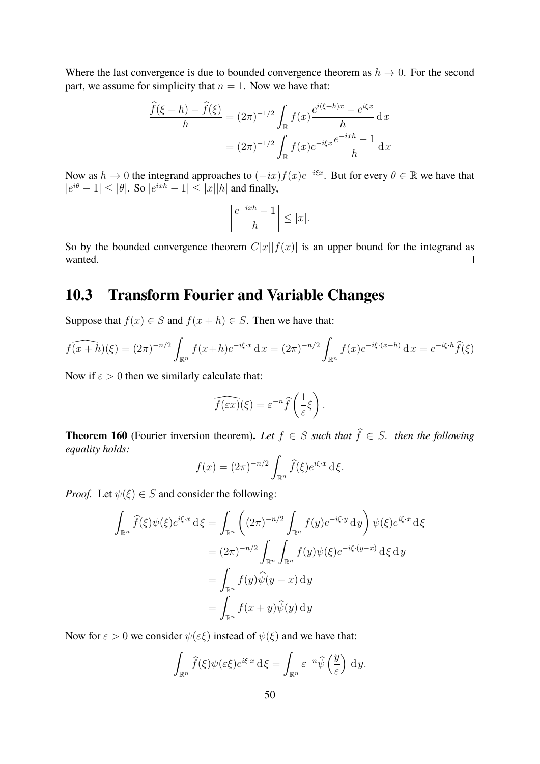Where the last convergence is due to bounded convergence theorem as  $h \to 0$ . For the second part, we assume for simplicity that  $n = 1$ . Now we have that:

$$
\frac{\widehat{f}(\xi+h) - \widehat{f}(\xi)}{h} = (2\pi)^{-1/2} \int_{\mathbb{R}} f(x) \frac{e^{i(\xi+h)x} - e^{i\xi x}}{h} dx
$$

$$
= (2\pi)^{-1/2} \int_{\mathbb{R}} f(x) e^{-i\xi x} \frac{e^{-ixh} - 1}{h} dx
$$

Now as  $h \to 0$  the integrand approaches to  $(-ix) f(x) e^{-i\xi x}$ . But for every  $\theta \in \mathbb{R}$  we have that  $|e^{i\theta} - 1| \leq |\theta|$ . So  $|e^{ixh} - 1| \leq |x||h|$  and finally,

$$
\left|\frac{e^{-ixh}-1}{h}\right| \leq |x|.
$$

So by the bounded convergence theorem  $C|x||f(x)|$  is an upper bound for the integrand as wanted.  $\Box$ 

### <span id="page-49-0"></span>**10.3 Transform Fourier and Variable Changes**

Suppose that  $f(x) \in S$  and  $f(x+h) \in S$ . Then we have that:

$$
\widehat{f(x+h)}(\xi) = (2\pi)^{-n/2} \int_{\mathbb{R}^n} f(x+h)e^{-i\xi \cdot x} dx = (2\pi)^{-n/2} \int_{\mathbb{R}^n} f(x)e^{-i\xi \cdot (x-h)} dx = e^{-i\xi \cdot h} \widehat{f}(\xi)
$$

Now if  $\varepsilon > 0$  then we similarly calculate that:

$$
\widehat{f(\varepsilon x)}(\xi) = \varepsilon^{-n} \widehat{f}\left(\frac{1}{\varepsilon}\xi\right).
$$

**Theorem 160** (Fourier inversion theorem). Let  $f \in S$  *such that*  $\hat{f} \in S$ *. then the following equality holds:*

$$
f(x) = (2\pi)^{-n/2} \int_{\mathbb{R}^n} \widehat{f}(\xi) e^{i\xi \cdot x} d\xi.
$$

*Proof.* Let  $\psi(\xi) \in S$  and consider the following:

$$
\int_{\mathbb{R}^n} \widehat{f}(\xi) \psi(\xi) e^{i\xi \cdot x} d\xi = \int_{\mathbb{R}^n} \left( (2\pi)^{-n/2} \int_{\mathbb{R}^n} f(y) e^{-i\xi \cdot y} dy \right) \psi(\xi) e^{i\xi \cdot x} d\xi
$$

$$
= (2\pi)^{-n/2} \int_{\mathbb{R}^n} \int_{\mathbb{R}^n} f(y) \psi(\xi) e^{-i\xi \cdot (y-x)} d\xi dy
$$

$$
= \int_{\mathbb{R}^n} f(y) \widehat{\psi}(y-x) dy
$$

$$
= \int_{\mathbb{R}^n} f(x+y) \widehat{\psi}(y) dy
$$

Now for  $\varepsilon > 0$  we consider  $\psi(\varepsilon \xi)$  instead of  $\psi(\xi)$  and we have that:

$$
\int_{\mathbb{R}^n} \widehat{f}(\xi) \psi(\varepsilon \xi) e^{i \xi \cdot x} \, \mathrm{d} \xi = \int_{\mathbb{R}^n} \varepsilon^{-n} \widehat{\psi} \left( \frac{y}{\varepsilon} \right) \, \mathrm{d} \, y.
$$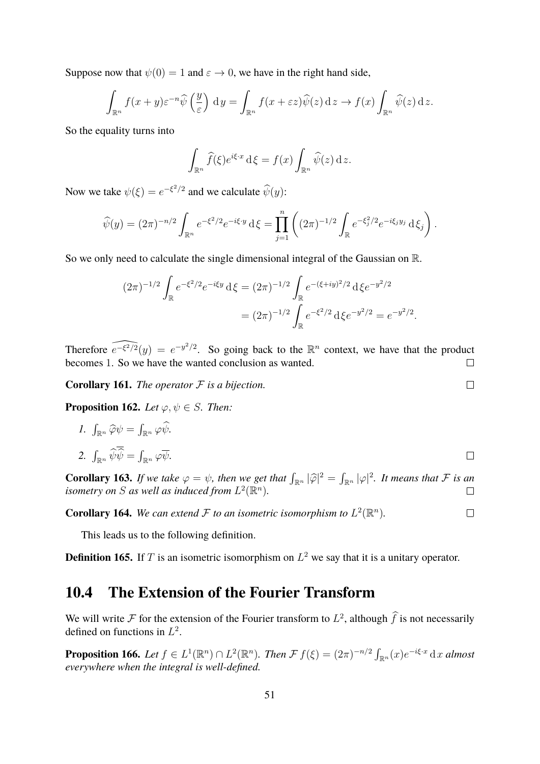Suppose now that  $\psi(0) = 1$  and  $\varepsilon \to 0$ , we have in the right hand side,

$$
\int_{\mathbb{R}^n} f(x+y)\varepsilon^{-n}\widehat{\psi}\left(\frac{y}{\varepsilon}\right) dy = \int_{\mathbb{R}^n} f(x+\varepsilon z)\widehat{\psi}(z) dz \to f(x) \int_{\mathbb{R}^n} \widehat{\psi}(z) dz.
$$

So the equality turns into

$$
\int_{\mathbb{R}^n} \widehat{f}(\xi) e^{i\xi \cdot x} \, \mathrm{d}\xi = f(x) \int_{\mathbb{R}^n} \widehat{\psi}(z) \, \mathrm{d}z.
$$

Now we take  $\psi(\xi) = e^{-\xi^2/2}$  and we calculate  $\widehat{\psi}(y)$ :

$$
\widehat{\psi}(y) = (2\pi)^{-n/2} \int_{\mathbb{R}^n} e^{-\xi^2/2} e^{-i\xi \cdot y} d\xi = \prod_{j=1}^n \left( (2\pi)^{-1/2} \int_{\mathbb{R}} e^{-\xi_j^2/2} e^{-i\xi_j y_j} d\xi_j \right).
$$

So we only need to calculate the single dimensional integral of the Gaussian on R.

$$
(2\pi)^{-1/2} \int_{\mathbb{R}} e^{-\xi^2/2} e^{-i\xi y} d\xi = (2\pi)^{-1/2} \int_{\mathbb{R}} e^{-(\xi + iy)^2/2} d\xi e^{-y^2/2}
$$

$$
= (2\pi)^{-1/2} \int_{\mathbb{R}} e^{-\xi^2/2} d\xi e^{-y^2/2} = e^{-y^2/2}.
$$

Therefore  $\widehat{e^{-\xi^2/2}}(y) = e^{-y^2/2}$ . So going back to the  $\mathbb{R}^n$  context, we have that the product becomes 1. So we have the wanted conclusion as wanted.  $\Box$ 

**Corollary 161.** *The operator* F *is a bijection.*

**Proposition 162.** *Let*  $\varphi, \psi \in S$ *. Then:* 

*1.*  $\int_{\mathbb{R}^n} \widehat{\varphi} \psi = \int_{\mathbb{R}^n} \varphi \widehat{\psi}.$ 2.  $\int_{\mathbb{R}^n} \psi \psi = \int_{\mathbb{R}^n} \varphi \overline{\psi}.$  $\Box$ 

**Corollary 163.** *If we take*  $\varphi = \psi$ *, then we get that*  $\int_{\mathbb{R}^n} |\widehat{\varphi}|^2 = \int_{\mathbb{R}^n} |\varphi|^2$ *. It means that*  $\mathcal F$  *is an isometry on*  $S$  *as well as induced from*  $L^2(\mathbb{R}^n)$ *isometry on S* as well as induced from  $L^2(\mathbb{R}^n)$ .

**Corollary 164.** We can extend  $\mathcal F$  to an isometric isomorphism to  $L^2(\mathbb R^n)$ .

This leads us to the following definition.

**Definition 165.** If T is an isometric isomorphism on  $L^2$  we say that it is a unitary operator.

### <span id="page-50-0"></span>**10.4 The Extension of the Fourier Transform**

We will write F for the extension of the Fourier transform to  $L^2$ , although  $\hat{f}$  is not necessarily defined on functions in  $L^2$ .

**Proposition 166.** Let  $f \in L^1(\mathbb{R}^n) \cap L^2(\mathbb{R}^n)$ . Then  $\mathcal{F} f(\xi) = (2\pi)^{-n/2} \int_{\mathbb{R}^n} (x) e^{-i\xi \cdot x} dx$  almost *everywhere when the integral is well-defined.*

 $\Box$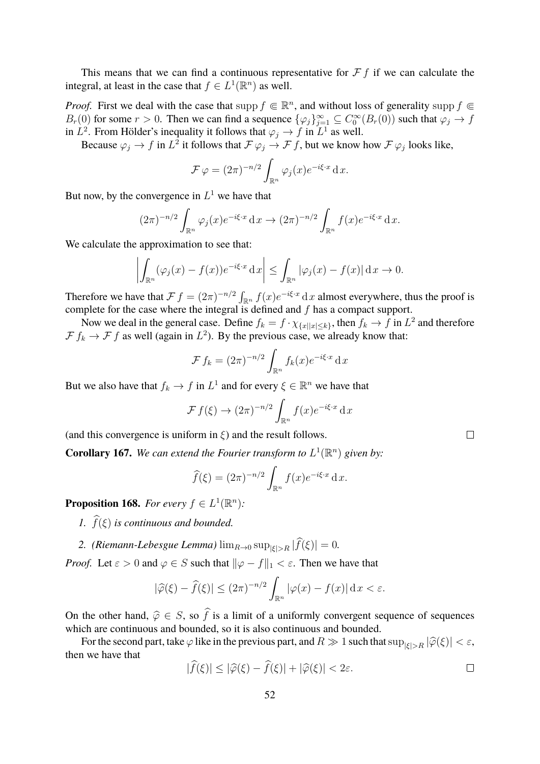This means that we can find a continuous representative for  $\mathcal F f$  if we can calculate the integral, at least in the case that  $f \in L^1(\mathbb{R}^n)$  as well.

*Proof.* First we deal with the case that supp  $f \in \mathbb{R}^n$ , and without loss of generality supp  $f \in$  $B_r(0)$  for some  $r > 0$ . Then we can find a sequence  $\{\varphi_j\}_{j=1}^{\infty} \subseteq C_0^{\infty}(B_r(0))$  such that  $\varphi_j \to f$ in  $L^2$ . From Hölder's inequality it follows that  $\varphi_j \to f$  in  $L^1$  as well.

Because  $\varphi_j \to f$  in  $L^2$  it follows that  $\mathcal{F} \varphi_j \to \mathcal{F} f$ , but we know how  $\mathcal{F} \varphi_j$  looks like,

$$
\mathcal{F}\varphi = (2\pi)^{-n/2} \int_{\mathbb{R}^n} \varphi_j(x) e^{-i\xi \cdot x} \, \mathrm{d}x.
$$

But now, by the convergence in  $L^1$  we have that

$$
(2\pi)^{-n/2} \int_{\mathbb{R}^n} \varphi_j(x) e^{-i\xi \cdot x} dx \to (2\pi)^{-n/2} \int_{\mathbb{R}^n} f(x) e^{-i\xi \cdot x} dx.
$$

We calculate the approximation to see that:

$$
\left| \int_{\mathbb{R}^n} (\varphi_j(x) - f(x)) e^{-i\xi \cdot x} dx \right| \leq \int_{\mathbb{R}^n} |\varphi_j(x) - f(x)| dx \to 0.
$$

Therefore we have that  $\mathcal{F} f = (2\pi)^{-n/2} \int_{\mathbb{R}^n} f(x) e^{-i\xi \cdot x} dx$  almost everywhere, thus the proof is complete for the case where the integral is defined and  $f$  has a compact support.

Now we deal in the general case. Define  $f_k = f \cdot \chi_{\{x \mid |x| \leq k\}}$ , then  $f_k \to f$  in  $L^2$  and therefore  $\mathcal{F} f_k \to \mathcal{F} f$  as well (again in  $L^2$ ). By the previous case, we already know that:

$$
\mathcal{F} f_k = (2\pi)^{-n/2} \int_{\mathbb{R}^n} f_k(x) e^{-i\xi \cdot x} \, \mathrm{d}x
$$

But we also have that  $f_k \to f$  in  $L^1$  and for every  $\xi \in \mathbb{R}^n$  we have that

$$
\mathcal{F} f(\xi) \to (2\pi)^{-n/2} \int_{\mathbb{R}^n} f(x) e^{-i\xi \cdot x} \, \mathrm{d}x
$$

(and this convergence is uniform in  $\xi$ ) and the result follows.

**Corollary 167.** We can extend the Fourier transform to  $L^1(\mathbb{R}^n)$  given by:

$$
\widehat{f}(\xi) = (2\pi)^{-n/2} \int_{\mathbb{R}^n} f(x) e^{-i\xi \cdot x} \, \mathrm{d}x.
$$

**Proposition 168.** *For every*  $f \in L^1(\mathbb{R}^n)$ *:* 

*1.*  $\widehat{f}(\xi)$  *is continuous and bounded.* 

2. (Riemann-Lebesgue Lemma)  $\lim_{R\to 0} \sup_{|\xi|>R} |\widehat{f}(\xi)| = 0$ .

*Proof.* Let  $\varepsilon > 0$  and  $\varphi \in S$  such that  $\|\varphi - f\|_1 < \varepsilon$ . Then we have that

$$
|\widehat{\varphi}(\xi) - \widehat{f}(\xi)| \le (2\pi)^{-n/2} \int_{\mathbb{R}^n} |\varphi(x) - f(x)| \, \mathrm{d}x < \varepsilon.
$$

On the other hand,  $\hat{\varphi} \in S$ , so  $\hat{f}$  is a limit of a uniformly convergent sequence of sequences which are continuous and bounded, so it is also continuous and bounded.

For the second part, take  $\varphi$  like in the previous part, and  $R \gg 1$  such that  $\sup_{|\xi|>R} |\widehat{\varphi}(\xi)| < \varepsilon$ , then we have that

$$
|\widehat{f}(\xi)| \le |\widehat{\varphi}(\xi) - \widehat{f}(\xi)| + |\widehat{\varphi}(\xi)| < 2\varepsilon. \Box
$$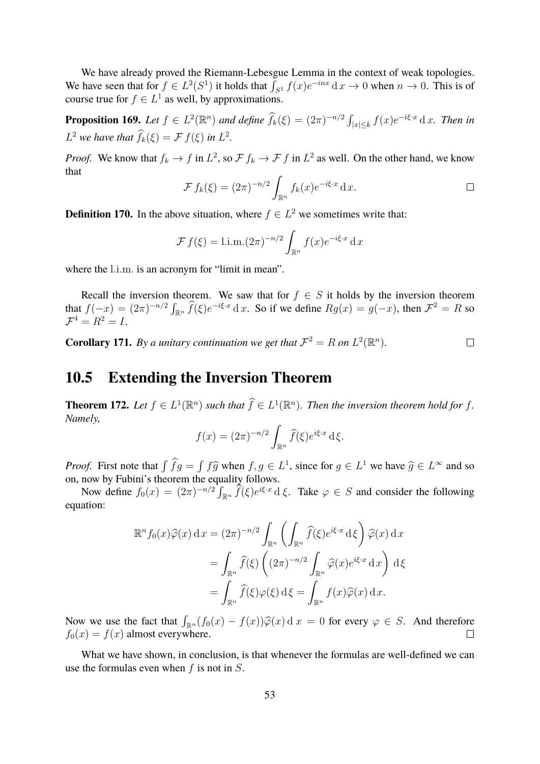We have already proved the Riemann-Lebesgue Lemma in the context of weak topologies. We have seen that for  $f \in L^2(S^1)$  it holds that  $\int_{S^1} f(x)e^{-inx} dx \to 0$  when  $n \to 0$ . This is of course true for  $f \in L^1$  as well, by approximations.

**Proposition 169.** Let  $f \in L^2(\mathbb{R}^n)$  and define  $\widehat{f}_k(\xi) = (2\pi)^{-n/2} \int_{|x| \leq k} f(x) e^{-i\xi \cdot x} dx$ . Then in  $L^2$  *we have that*  $\hat{f}_k(\xi) = \mathcal{F} f(\xi)$  *in*  $L^2$ *.* 

*Proof.* We know that  $f_k \to f$  in  $L^2$ , so  $\mathcal{F} f_k \to \mathcal{F} f$  in  $L^2$  as well. On the other hand, we know that

$$
\mathcal{F} f_k(\xi) = (2\pi)^{-n/2} \int_{\mathbb{R}^n} f_k(x) e^{-i\xi \cdot x} dx.
$$

**Definition 170.** In the above situation, where  $f \in L^2$  we sometimes write that:

$$
\mathcal{F} f(\xi) = \text{l.i.m.} (2\pi)^{-n/2} \int_{\mathbb{R}^n} f(x) e^{-i\xi \cdot x} dx
$$

where the l.i.m. is an acronym for "limit in mean".

Recall the inversion theorem. We saw that for  $f \in S$  it holds by the inversion theorem that  $f(-x) = (2\pi)^{-n/2} \int_{\mathbb{R}^n} \widehat{f}(\xi) e^{-i\xi \cdot x} dx$ . So if we define  $Rg(x) = g(-x)$ , then  $\mathcal{F}^2 = R$  so  $\mathcal{F}^4 = R^2 = I.$ 

**Corollary 171.** By a unitary continuation we get that  $\mathcal{F}^2 = R$  on  $L^2(\mathbb{R}^n)$ .  $\Box$ 

### <span id="page-52-0"></span>**10.5 Extending the Inversion Theorem**

**Theorem 172.** Let  $f \in L^1(\mathbb{R}^n)$  such that  $\widehat{f} \in L^1(\mathbb{R}^n)$ . Then the inversion theorem hold for f. *Namely,*

$$
f(x) = (2\pi)^{-n/2} \int_{\mathbb{R}^n} \widehat{f}(\xi) e^{i\xi \cdot x} d\xi.
$$

*Proof.* First note that  $\int \hat{f}g = \int f\hat{g}$  when  $f, g \in L^1$ , since for  $g \in L^1$  we have  $\hat{g} \in L^{\infty}$  and so on now by Fuhini's theorem the equality follows on, now by Fubini's theorem the equality follows.

Now define  $f_0(x) = (2\pi)^{-n/2} \int_{\mathbb{R}^n} \hat{f}(\xi) e^{i\xi \cdot x} d\xi$ . Take  $\varphi \in S$  and consider the following equation:

$$
\mathbb{R}^n f_0(x) \widehat{\varphi}(x) dx = (2\pi)^{-n/2} \int_{\mathbb{R}^n} \left( \int_{\mathbb{R}^n} \widehat{f}(\xi) e^{i\xi \cdot x} d\xi \right) \widehat{\varphi}(x) dx
$$
  

$$
= \int_{\mathbb{R}^n} \widehat{f}(\xi) \left( (2\pi)^{-n/2} \int_{\mathbb{R}^n} \widehat{\varphi}(x) e^{i\xi \cdot x} dx \right) d\xi
$$
  

$$
= \int_{\mathbb{R}^n} \widehat{f}(\xi) \varphi(\xi) d\xi = \int_{\mathbb{R}^n} f(x) \widehat{\varphi}(x) dx.
$$

Now we use the fact that  $\int_{\mathbb{R}^n} (f_0(x) - f(x)) \widehat{\varphi}(x) dx = 0$  for every  $\varphi \in S$ . And therefore  $f_0(x) = f(x)$  almost everywhere.

What we have shown, in conclusion, is that whenever the formulas are well-defined we can use the formulas even when  $f$  is not in  $S$ .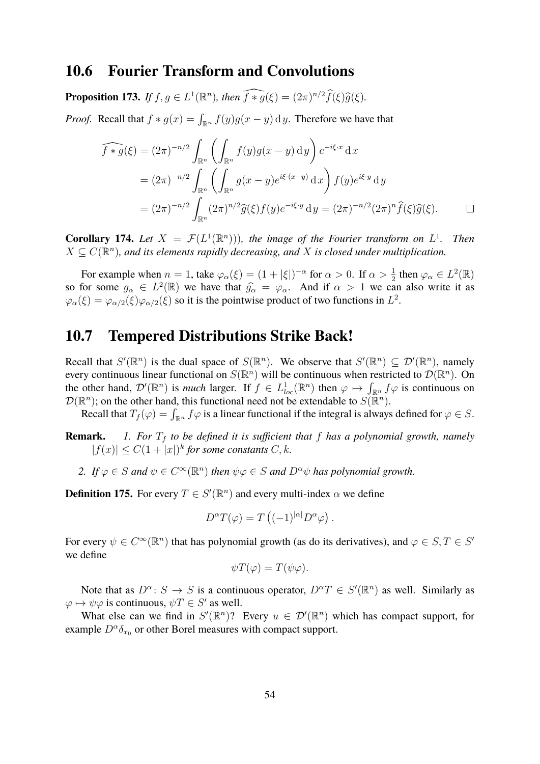#### <span id="page-53-0"></span>**10.6 Fourier Transform and Convolutions**

**Proposition 173.** *If*  $f, g \in L^1(\mathbb{R}^n)$ *, then*  $\widehat{f * g}(\xi) = (2\pi)^{n/2} \widehat{f}(\xi) \widehat{g}(\xi)$ *.* 

*Proof.* Recall that  $f * g(x) = \int_{\mathbb{R}^n} f(y)g(x - y) dy$ . Therefore we have that

$$
\widehat{f \ast g}(\xi) = (2\pi)^{-n/2} \int_{\mathbb{R}^n} \left( \int_{\mathbb{R}^n} f(y)g(x - y) \, dy \right) e^{-i\xi \cdot x} \, dx
$$
\n
$$
= (2\pi)^{-n/2} \int_{\mathbb{R}^n} \left( \int_{\mathbb{R}^n} g(x - y) e^{i\xi \cdot (x - y)} \, dx \right) f(y) e^{i\xi \cdot y} \, dy
$$
\n
$$
= (2\pi)^{-n/2} \int_{\mathbb{R}^n} (2\pi)^{n/2} \widehat{g}(\xi) f(y) e^{-i\xi \cdot y} \, dy = (2\pi)^{-n/2} (2\pi)^n \widehat{f}(\xi) \widehat{g}(\xi).
$$

**Corollary 174.** Let  $X = \mathcal{F}(L^1(\mathbb{R}^n))$ , the image of the Fourier transform on  $L^1$ . Then  $X \subseteq C(\mathbb{R}^n)$ , and its elements rapidly decreasing, and X is closed under multiplication.

For example when  $n = 1$ , take  $\varphi_{\alpha}(\xi) = (1 + |\xi|)^{-\alpha}$  for  $\alpha > 0$ . If  $\alpha > \frac{1}{2}$  then  $\varphi_{\alpha} \in L^2(\mathbb{R})$ so for some  $g_{\alpha} \in L^2(\mathbb{R})$  we have that  $\hat{g}_{\alpha} = \varphi_{\alpha}$ . And if  $\alpha > 1$  we can also write it as  $\varphi_{\alpha}(\xi) = \varphi_{\alpha/2}(\xi)\varphi_{\alpha/2}(\xi)$  so it is the pointwise product of two functions in  $L^2$ .

### <span id="page-53-1"></span>**10.7 Tempered Distributions Strike Back!**

Recall that  $S'(\mathbb{R}^n)$  is the dual space of  $S(\mathbb{R}^n)$ . We observe that  $S'(\mathbb{R}^n) \subseteq \mathcal{D}'(\mathbb{R}^n)$ , namely every continuous linear functional on  $S(\mathbb{R}^n)$  will be continuous when restricted to  $\mathcal{D}(\mathbb{R}^n)$ . On the other hand,  $\mathcal{D}'(\mathbb{R}^n)$  is *much* larger. If  $f \in L^1_{loc}(\mathbb{R}^n)$  then  $\varphi \mapsto \int_{\mathbb{R}^n} f\varphi$  is continuous on  $\mathcal{D}(\mathbb{R}^n)$ ; on the other hand, this functional need not be extendable to  $\widetilde{S(\mathbb{R}^n)}$ .

Recall that  $T_f(\varphi) = \int_{\mathbb{R}^n} f\varphi$  is a linear functional if the integral is always defined for  $\varphi \in S$ .

**Remark.** *1. For*  $T_f$  *to be defined it is sufficient that*  $f$  *has a polynomial growth, namely*  $|f(x)| \leq C(1+|x|)^k$  for some constants C, k.

2. If  $\varphi \in S$  and  $\psi \in C^{\infty}(\mathbb{R}^n)$  then  $\psi \varphi \in S$  and  $D^{\alpha} \psi$  has polynomial growth.

**Definition 175.** For every  $T \in S'(\mathbb{R}^n)$  and every multi-index  $\alpha$  we define

$$
D^{\alpha}T(\varphi) = T\left((-1)^{|\alpha|}D^{\alpha}\varphi\right).
$$

For every  $\psi \in C^{\infty}(\mathbb{R}^n)$  that has polynomial growth (as do its derivatives), and  $\varphi \in S, T \in S'$ we define

$$
\psi T(\varphi) = T(\psi \varphi).
$$

Note that as  $D^{\alpha}$ :  $S \to S$  is a continuous operator,  $D^{\alpha}T \in S'(\mathbb{R}^n)$  as well. Similarly as  $\varphi \mapsto \psi \varphi$  is continuous,  $\psi T \in S'$  as well.

What else can we find in  $S'(\mathbb{R}^n)$ ? Every  $u \in \mathcal{D}'(\mathbb{R}^n)$  which has compact support, for example  $D^{\alpha}\delta_{x_0}$  or other Borel measures with compact support.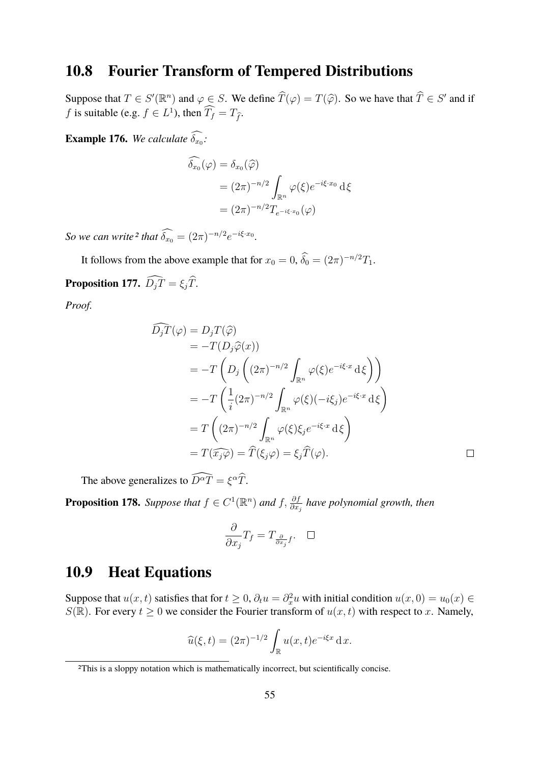### <span id="page-54-0"></span>**10.8 Fourier Transform of Tempered Distributions**

Suppose that  $T \in S'(\mathbb{R}^n)$  and  $\varphi \in S$ . We define  $\widehat{T}(\varphi) = T(\widehat{\varphi})$ . So we have that  $\widehat{T} \in S'$  and if *f* is suitable (e.g.  $f \in L^1$ ), then  $\widetilde{T_f} = T_{\widehat{f}}$ .

**Example 176.** We calculate  $\delta_{x_0}$ :

$$
\widehat{\delta_{x_0}}(\varphi) = \delta_{x_0}(\widehat{\varphi})
$$
  
=  $(2\pi)^{-n/2} \int_{\mathbb{R}^n} \varphi(\xi) e^{-i\xi \cdot x_0} d\xi$   
=  $(2\pi)^{-n/2} T_{e^{-i\xi \cdot x_0}}(\varphi)$ 

*So we can write*<sup>[2](#page-54-2)</sup> *that*  $\widehat{\delta_{x_0}} = (2\pi)^{-n/2} e^{-i\xi \cdot x_0}$ *.* 

It follows from the above example that for  $x_0 = 0$ ,  $\hat{\delta}_0 = (2\pi)^{-n/2}T_1$ .

**Proposition 177.**  $\widehat{D_j T} = \xi_j \widehat{T}$ .

*Proof.*

$$
\tilde{D}_{j}\tilde{T}(\varphi) = D_{j}T(\hat{\varphi})
$$
\n
$$
= -T(D_{j}\hat{\varphi}(x))
$$
\n
$$
= -T\left(D_{j}\left((2\pi)^{-n/2}\int_{\mathbb{R}^{n}}\varphi(\xi)e^{-i\xi \cdot x}d\xi\right)\right)
$$
\n
$$
= -T\left(\frac{1}{i}(2\pi)^{-n/2}\int_{\mathbb{R}^{n}}\varphi(\xi)(-i\xi_{j})e^{-i\xi \cdot x}d\xi\right)
$$
\n
$$
= T\left((2\pi)^{-n/2}\int_{\mathbb{R}^{n}}\varphi(\xi)\xi_{j}e^{-i\xi \cdot x}d\xi\right)
$$
\n
$$
= T(\widehat{x_{j}\varphi}) = \widehat{T}(\xi_{j}\varphi) = \xi_{j}\widehat{T}(\varphi).
$$

The above generalizes to  $\widehat{D^{\alpha}T} = \xi^{\alpha}\widehat{T}$ .

**Proposition 178.** Suppose that  $f \in C^1(\mathbb{R}^n)$  and  $f$ ,  $\frac{\partial f}{\partial x_j}$  have polynomial growth, then

$$
\frac{\partial}{\partial x_j}T_f = T_{\frac{\partial}{\partial x_j}f}.\quad \Box
$$

### <span id="page-54-1"></span>**10.9 Heat Equations**

Suppose that  $u(x, t)$  satisfies that for  $t \geq 0$ ,  $\partial_t u = \partial_x^2 u$  with initial condition  $u(x, 0) = u_0(x) \in$  $S(\mathbb{R})$ . For every  $t \geq 0$  we consider the Fourier transform of  $u(x, t)$  with respect to x. Namely,

$$
\widehat{u}(\xi, t) = (2\pi)^{-1/2} \int_{\mathbb{R}} u(x, t) e^{-i\xi x} \, \mathrm{d}x.
$$

<span id="page-54-2"></span><sup>2</sup>This is a sloppy notation which is mathematically incorrect, but scientifically concise.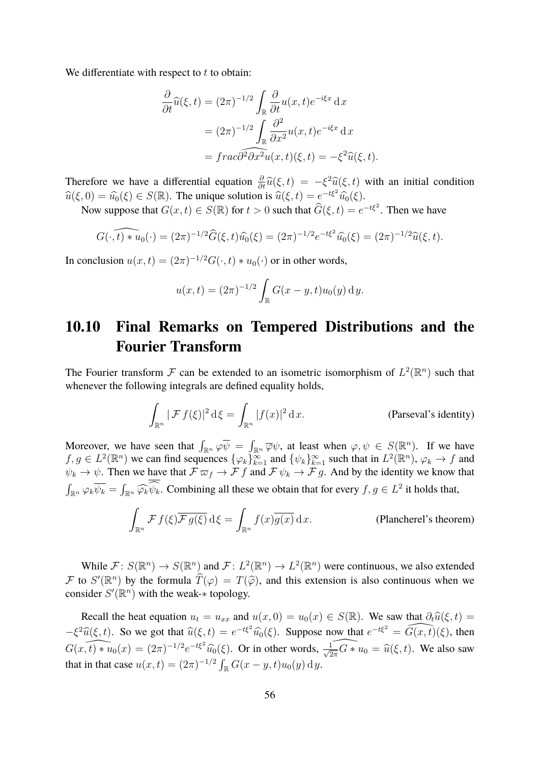We differentiate with respect to  $t$  to obtain:

$$
\frac{\partial}{\partial t}\widehat{u}(\xi, t) = (2\pi)^{-1/2} \int_{\mathbb{R}} \frac{\partial}{\partial t} u(x, t) e^{-i\xi x} dx
$$

$$
= (2\pi)^{-1/2} \int_{\mathbb{R}} \frac{\partial^2}{\partial x^2} u(x, t) e^{-i\xi x} dx
$$

$$
= \widehat{frac}{\partial^2 \partial x^2} u(x, t) (\xi, t) = -\xi^2 \widehat{u}(\xi, t).
$$

Therefore we have a differential equation  $\frac{\partial}{\partial t}\hat{u}(\xi, t) = -\xi^2\hat{u}(\xi, t)$  with an initial condition  $\hat{\phi}(\xi, 0) = \hat{u}(\xi, 0)$ .  $\widehat{u}(\xi, 0) = \widehat{u_0}(\xi) \in S(\mathbb{R})$ . The unique solution is  $\widehat{u}(\xi, t) = e^{-t\xi^2} \widehat{u_0}(\xi)$ .

Now suppose that  $G(x, t) \in S(\mathbb{R})$  for  $t > 0$  such that  $\widehat{G}(\xi, t) = e^{-t\xi^2}$ . Then we have

$$
G(\cdot,\widehat{t}) * u_0(\cdot) = (2\pi)^{-1/2} \widehat{G}(\xi,t) \widehat{u_0}(\xi) = (2\pi)^{-1/2} e^{-t\xi^2} \widehat{u_0}(\xi) = (2\pi)^{-1/2} \widehat{u}(\xi,t).
$$

In conclusion  $u(x,t) = (2\pi)^{-1/2} G(\cdot, t) * u_0(\cdot)$  or in other words,

$$
u(x,t) = (2\pi)^{-1/2} \int_{\mathbb{R}} G(x - y, t) u_0(y) \, dy.
$$

### <span id="page-55-0"></span>**10.10 Final Remarks on Tempered Distributions and the Fourier Transform**

The Fourier transform F can be extended to an isometric isomorphism of  $L^2(\mathbb{R}^n)$  such that whenever the following integrals are defined equality holds,

$$
\int_{\mathbb{R}^n} |\mathcal{F} f(\xi)|^2 d\xi = \int_{\mathbb{R}^n} |f(x)|^2 dx.
$$
 (Parseval's identity)

Moreover, we have seen that  $\int_{\mathbb{R}^n} \varphi \overline{\psi} = \int_{\mathbb{R}^n} \overline{\varphi} \psi$ , at least when  $\varphi, \psi \in S(\mathbb{R}^n)$ . If we have  $f, g \in L^2(\mathbb{R}^n)$  we can find sequences  $\{\varphi_k\}_{k=1}^{\infty}$  and  $\{\psi_k\}_{k=1}^{\infty}$  such that in  $L^2(\mathbb{R}^n)$ ,  $\varphi_k \to f$  and  $\psi_k \to \psi$ . Then we have that  $\mathcal{F} \varpi_f \to \mathcal{F} f$  and  $\mathcal{F} \psi_k \to \mathcal{F} g$ . And by the identity we know that  $\int_{\mathbb{R}^n} \varphi_k \overline{\psi_k} = \int_{\mathbb{R}^n} \widehat{\varphi_k} \psi_k$ . Combining all these we obtain that for every  $f, g \in L^2$  it holds that,

$$
\int_{\mathbb{R}^n} \mathcal{F} f(\xi) \overline{\mathcal{F} g(\xi)} d\xi = \int_{\mathbb{R}^n} f(x) \overline{g(x)} dx.
$$
 (Plancherel's theorem)

While  $\mathcal{F}: S(\mathbb{R}^n) \to S(\mathbb{R}^n)$  and  $\mathcal{F}: L^2(\mathbb{R}^n) \to L^2(\mathbb{R}^n)$  were continuous, we also extended F to  $S'(\mathbb{R}^n)$  by the formula  $\widehat{T}(\varphi) = T(\widehat{\varphi})$ , and this extension is also continuous when we consider  $S'(\mathbb{R}^n)$  with the weak- $*$  topology.

Recall the heat equation  $u_t = u_{xx}$  and  $u(x, 0) = u_0(x) \in S(\mathbb{R})$ . We saw that  $\partial_t \hat{u}(\xi, t) =$  $-\xi^2 \widehat{u}(\xi, t)$ . So we got that  $\widehat{u}(\xi, t) = e^{-t\xi^2} \widehat{u_0}(\xi)$ . Suppose now that  $e^{-t\xi^2} = \widehat{G(x, t)}(\xi)$ , then  $G(x, t) * u_0(x) = (2\pi)^{-1/2} e^{-t\xi^2} \widehat{u_0}(\xi)$ . Or in other words,  $\widehat{\frac{1}{\sqrt{2\pi}} G * u_0} = \widehat{u}(\xi, t)$ . We also saw that in that case  $u(x,t) = (2\pi)^{-1/2} \int_{\mathbb{R}} G(x - y, t) u_0(y) \, dy$ .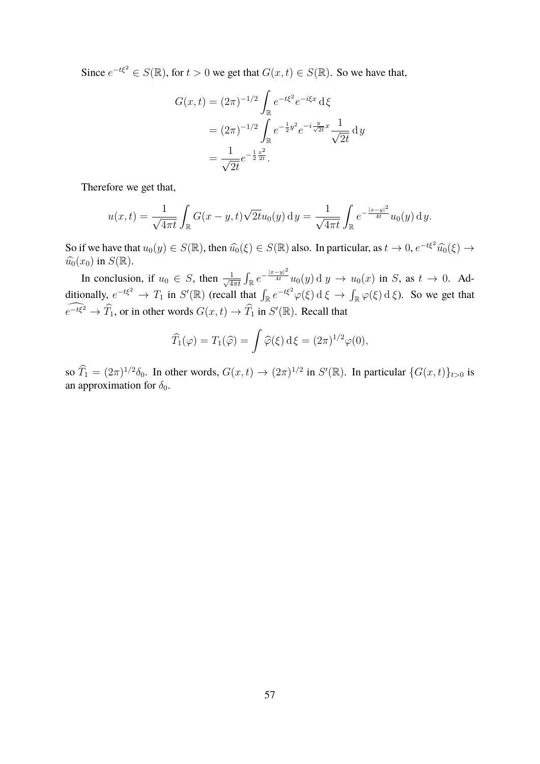Since  $e^{-t\xi^2} \in S(\mathbb{R})$ , for  $t > 0$  we get that  $G(x, t) \in S(\mathbb{R})$ . So we have that,

$$
G(x,t) = (2\pi)^{-1/2} \int_{\mathbb{R}} e^{-t\xi^2} e^{-i\xi x} d\xi
$$
  
=  $(2\pi)^{-1/2} \int_{\mathbb{R}} e^{-\frac{1}{2}y^2} e^{-i\frac{y}{\sqrt{2t}}x} \frac{1}{\sqrt{2t}} dy$   
=  $\frac{1}{\sqrt{2t}} e^{-\frac{1}{2}\frac{x^2}{2t}}.$ 

Therefore we get that,

$$
u(x,t) = \frac{1}{\sqrt{4\pi t}} \int_{\mathbb{R}} G(x-y,t) \sqrt{2t} u_0(y) dy = \frac{1}{\sqrt{4\pi t}} \int_{\mathbb{R}} e^{-\frac{|x-y|^2}{4t}} u_0(y) dy.
$$

So if we have that  $u_0(y) \in S(\mathbb{R})$ , then  $\widehat{u_0}(\xi) \in S(\mathbb{R})$  also. In particular, as  $t \to 0$ ,  $e^{-t\xi^2} \widehat{u_0}(\xi) \to \widehat{u_0}(x)$  in  $S(\mathbb{R})$  $\widehat{u_0}(x_0)$  in  $S(\mathbb{R})$ .

In conclusion, if  $u_0 \in S$ , then  $\frac{1}{\sqrt{4}}$  $\frac{1}{4\pi t}\int_{\mathbb{R}}e^{-\frac{|x-y|^2}{4t}}u_0(y)\,\mathrm{d}\; y\,\to\,u_0(x)$  in  $S$ , as  $t\,\to\,0$ . Additionally,  $e^{-t\xi^2} \to T_1$  in  $S'(\mathbb{R})$  (recall that  $\int_{\mathbb{R}} e^{-t\xi^2} \varphi(\xi) d\xi \to \int_{\mathbb{R}} \varphi(\xi) d\xi$ ). So we get that  $e^{-t\xi^2} \to \widehat{T}_1$ , or in other words  $G(x, t) \to \widehat{T}_1$  in  $S'(\mathbb{R})$ . Recall that

$$
\widehat{T}_1(\varphi) = T_1(\widehat{\varphi}) = \int \widehat{\varphi}(\xi) \,\mathrm{d}\xi = (2\pi)^{1/2} \varphi(0),
$$

so  $\widehat{T}_1 = (2\pi)^{1/2} \delta_0$ . In other words,  $G(x,t) \to (2\pi)^{1/2}$  in  $S'(\mathbb{R})$ . In particular  $\{G(x,t)\}_{t>0}$  is an approximation for  $\delta_0$ .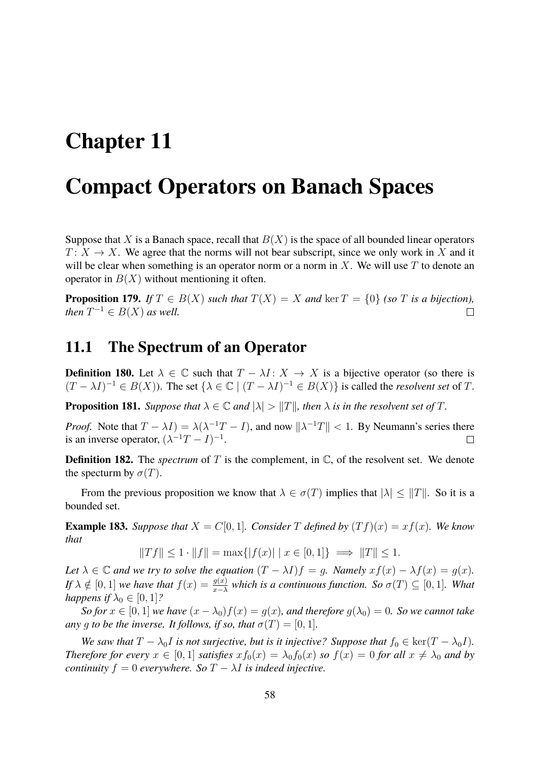## <span id="page-57-0"></span>**Chapter 11**

## **Compact Operators on Banach Spaces**

Suppose that X is a Banach space, recall that  $B(X)$  is the space of all bounded linear operators  $T: X \to X$ . We agree that the norms will not bear subscript, since we only work in X and it will be clear when something is an operator norm or a norm in X. We will use  $T$  to denote an operator in  $B(X)$  without mentioning it often.

**Proposition 179.** *If*  $T \in B(X)$  *such that*  $T(X) = X$  *and* ker  $T = \{0\}$  *(so* T *is a bijection), then*  $T^{-1} \in B(X)$  *as well.*  $\Box$ 

#### <span id="page-57-1"></span>**11.1 The Spectrum of an Operator**

**Definition 180.** Let  $\lambda \in \mathbb{C}$  such that  $T - \lambda I : X \to X$  is a bijective operator (so there is  $(T - \lambda I)^{-1} \in B(X)$ ). The set  $\{\lambda \in \mathbb{C} \mid (T - \lambda I)^{-1} \in B(X)\}$  is called the *resolvent set* of T.

**Proposition 181.** *Suppose that*  $\lambda \in \mathbb{C}$  *and*  $|\lambda| > ||T||$ *, then*  $\lambda$  *is in the resolvent set of* T*.* 

*Proof.* Note that  $T - \lambda I$ ) =  $\lambda(\lambda^{-1}T - I)$ , and now  $\|\lambda^{-1}T\| < 1$ . By Neumann's series there is an inverse operator,  $(\lambda^{-1}T - I)^{-1}$ .  $\Box$ 

**Definition 182.** The *spectrum* of T is the complement, in  $\mathbb{C}$ , of the resolvent set. We denote the specturm by  $\sigma(T)$ .

From the previous proposition we know that  $\lambda \in \sigma(T)$  implies that  $|\lambda| \leq ||T||$ . So it is a bounded set.

**Example 183.** Suppose that  $X = C[0, 1]$ *. Consider* T defined by  $(Tf)(x) = xf(x)$ *. We know that*

$$
||Tf|| \le 1 \cdot ||f|| = \max\{|f(x)| \mid x \in [0,1]\} \implies ||T|| \le 1.
$$

*Let*  $\lambda \in \mathbb{C}$  *and we try to solve the equation*  $(T - \lambda I)f = g$ *. Namely*  $xf(x) - \lambda f(x) = g(x)$ *. If*  $\lambda \notin [0,1]$  *we have that*  $f(x) = \frac{g(x)}{x-\lambda}$  *which is a continuous function. So*  $\sigma(T) \subseteq [0,1]$ *. What happens if*  $\lambda_0 \in [0, 1]$ ?

*So for*  $x \in [0, 1]$  *we have*  $(x - \lambda_0)f(x) = g(x)$ *, and therefore*  $g(\lambda_0) = 0$ *. So we cannot take any* q *to be the inverse. It follows, if so, that*  $\sigma(T) = [0, 1]$ *.* 

*We saw that*  $T - \lambda_0 I$  *is not surjective, but is it injective? Suppose that*  $f_0 \in \text{ker}(T - \lambda_0 I)$ *. Therefore for every*  $x \in [0,1]$  *satisfies*  $xf_0(x) = \lambda_0 f_0(x)$  *so*  $f(x) = 0$  *for all*  $x \neq \lambda_0$  *and by continuity*  $f = 0$  *everywhere.* So  $T - \lambda I$  *is indeed injective.*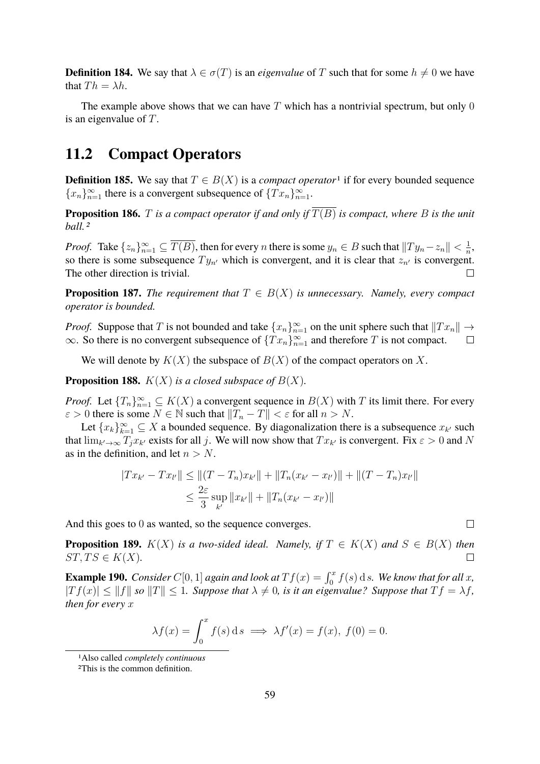**Definition 184.** We say that  $\lambda \in \sigma(T)$  is an *eigenvalue* of T such that for some  $h \neq 0$  we have that  $Th = \lambda h$ .

The example above shows that we can have  $T$  which has a nontrivial spectrum, but only 0 is an eigenvalue of T.

### <span id="page-58-0"></span>**11.2 Compact Operators**

**Definition [1](#page-58-1)85.** We say that  $T \in B(X)$  is a *compact operator*<sup>1</sup> if for every bounded sequence  ${x_n}_{n=1}^{\infty}$  there is a convergent subsequence of  ${Tx_n}_{n=1}^{\infty}$ .

**Proposition 186.** T *is a compact operator if and only if*  $\overline{T(B)}$  *is compact, where* B *is the unit ball.[2](#page-58-2)*

*Proof.* Take  $\{z_n\}_{n=1}^{\infty} \subseteq \overline{T(B)}$ , then for every n there is some  $y_n \in B$  such that  $\|Ty_n - z_n\| < \frac{1}{n}$  $\frac{1}{n}$ , so there is some subsequence  $Ty_{n'}$  which is convergent, and it is clear that  $z_{n'}$  is convergent. The other direction is trivial.  $\Box$ 

**Proposition 187.** *The requirement that*  $T \in B(X)$  *is unnecessary. Namely, every compact operator is bounded.*

*Proof.* Suppose that T is not bounded and take  $\{x_n\}_{n=1}^{\infty}$  on the unit sphere such that  $||Tx_n|| \rightarrow$  $\infty$ . So there is no convergent subsequence of  ${Tx_n}_{n=1}^{\infty}$  and therefore T is not compact.  $\Box$ 

We will denote by  $K(X)$  the subspace of  $B(X)$  of the compact operators on X.

**Proposition 188.**  $K(X)$  *is a closed subspace of*  $B(X)$ *.* 

*Proof.* Let  ${T_n}_{n=1}^{\infty} \subseteq K(X)$  a convergent sequence in  $B(X)$  with T its limit there. For every  $\varepsilon > 0$  there is some  $N \in \mathbb{N}$  such that  $||T_n - T|| < \varepsilon$  for all  $n > N$ .

Let  $\{x_k\}_{k=1}^{\infty} \subseteq X$  a bounded sequence. By diagonalization there is a subsequence  $x_{k'}$  such that  $\lim_{k'\to\infty} T_j x_{k'}$  exists for all j. We will now show that  $Tx_{k'}$  is convergent. Fix  $\varepsilon > 0$  and N as in the definition, and let  $n > N$ .

$$
|Tx_{k'} - Tx_{l'}|| \le ||(T - T_n)x_{k'}|| + ||T_n(x_{k'} - x_{l'})|| + ||(T - T_n)x_{l'}||
$$
  

$$
\le \frac{2\varepsilon}{3} \sup_{k'} ||x_{k'}|| + ||T_n(x_{k'} - x_{l'})||
$$

And this goes to 0 as wanted, so the sequence converges.

**Proposition 189.**  $K(X)$  *is a two-sided ideal. Namely, if*  $T \in K(X)$  *and*  $S \in B(X)$  *then*  $ST, TS \in K(X)$ .  $\Box$ 

**Example 190.** *Consider*  $C[0, 1]$  *again and look at*  $Tf(x) = \int_0^x f(s) ds$ *. We know that for all x,*  $|Tf(x)| \leq ||f||$  so  $||T|| \leq 1$ . Suppose that  $\lambda \neq 0$ , is it an eigenvalue? Suppose that  $Tf = \lambda f$ , *then for every* x

$$
\lambda f(x) = \int_0^x f(s) \, \mathrm{d} s \implies \lambda f'(x) = f(x), \ f(0) = 0.
$$

<span id="page-58-1"></span><sup>1</sup>Also called *completely continuous*

<span id="page-58-2"></span><sup>2</sup>This is the common definition.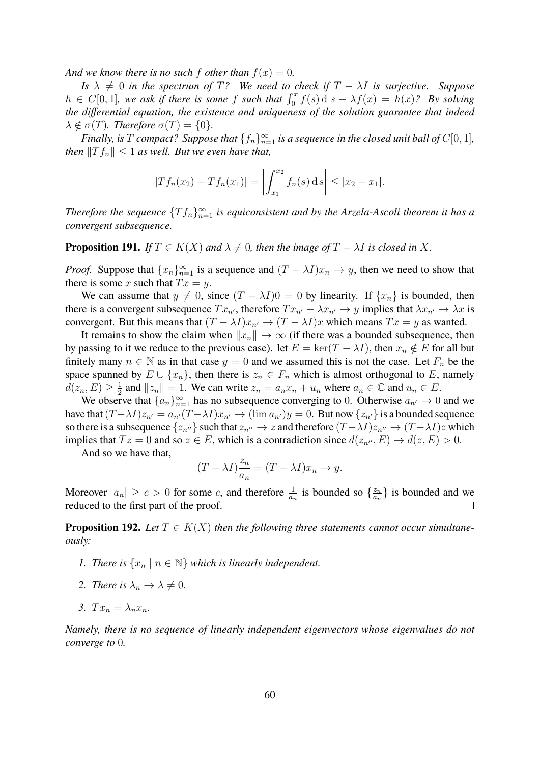*And we know there is no such f other than*  $f(x) = 0$ *.* 

*Is*  $\lambda \neq 0$  *in the spectrum of* T? We need to check if  $T - \lambda I$  *is surjective. Suppose*  $h \in C[0,1]$ , we ask if there is some f such that  $\int_0^x f(s) ds - \lambda f(x) = h(x)$ ? By solving *the differential equation, the existence and uniqueness of the solution guarantee that indeed*  $\lambda \notin \sigma(T)$ *. Therefore*  $\sigma(T) = \{0\}$ *.* 

*Finally, is*  $T$  *compact?* Suppose that  $\{f_n\}_{n=1}^{\infty}$  is a sequence in the closed unit ball of  $C[0,1]$ *, then*  $||T f_n|| \leq 1$  *as well. But we even have that,* 

$$
|Tf_n(x_2) - Tf_n(x_1)| = \left| \int_{x_1}^{x_2} f_n(s) \, ds \right| \leq |x_2 - x_1|.
$$

*Therefore the sequence*  ${Tf_n}_{n=1}^{\infty}$  *is equiconsistent and by the Arzela-Ascoli theorem it has a convergent subsequence.*

**Proposition 191.** *If*  $T \in K(X)$  *and*  $\lambda \neq 0$ *, then the image of*  $T - \lambda I$  *is closed in* X.

*Proof.* Suppose that  $\{x_n\}_{n=1}^{\infty}$  is a sequence and  $(T - \lambda I)x_n \to y$ , then we need to show that there is some x such that  $Tx = y$ .

We can assume that  $y \neq 0$ , since  $(T - \lambda I)0 = 0$  by linearity. If  $\{x_n\}$  is bounded, then there is a convergent subsequence  $Tx_{n'}$ , therefore  $Tx_{n'} - \lambda x_{n'} \rightarrow y$  implies that  $\lambda x_{n'} \rightarrow \lambda x$  is convergent. But this means that  $(T - \lambda I)x_{n'} \to (T - \lambda I)x$  which means  $Tx = y$  as wanted.

It remains to show the claim when  $||x_n|| \to \infty$  (if there was a bounded subsequence, then by passing to it we reduce to the previous case). let  $E = \ker(T - \lambda I)$ , then  $x_n \notin E$  for all but finitely many  $n \in \mathbb{N}$  as in that case  $y = 0$  and we assumed this is not the case. Let  $F_n$  be the space spanned by  $E \cup \{x_n\}$ , then there is  $z_n \in F_n$  which is almost orthogonal to E, namely  $d(z_n,E) \geq \frac{1}{2}$  $\frac{1}{2}$  and  $||z_n|| = 1$ . We can write  $z_n = a_n x_n + u_n$  where  $a_n \in \mathbb{C}$  and  $u_n \in E$ .

We observe that  ${a_n}_{n=1}^{\infty}$  has no subsequence converging to 0. Otherwise  $a_{n'} \to 0$  and we have that  $(T - \lambda I)z_{n'} = a_{n'}(T - \lambda I)x_{n'} \rightarrow (\lim a_{n'})y = 0$ . But now  $\{z_{n'}\}$  is a bounded sequence so there is a subsequence  $\{z_{n}a_0\}$  such that  $z_{n}a_0\to z$  and therefore  $(T-\lambda I)z_{n}a_0\to (T-\lambda I)z$  which implies that  $Tz = 0$  and so  $z \in E$ , which is a contradiction since  $d(z_{n''}, E) \to d(z, E) > 0$ .

And so we have that,

$$
(T - \lambda I) \frac{z_n}{a_n} = (T - \lambda I)x_n \to y.
$$

Moreover  $|a_n| \ge c > 0$  for some c, and therefore  $\frac{1}{a_n}$  is bounded so  $\{\frac{z_n}{a_n}\}$  $\left\{\frac{z_n}{a_n}\right\}$  is bounded and we reduced to the first part of the proof.  $\Box$ 

**Proposition 192.** Let  $T \in K(X)$  then the following three statements cannot occur simultane*ously:*

- *1. There is*  $\{x_n \mid n \in \mathbb{N}\}\$  *which is linearly independent.*
- 2. There is  $\lambda_n \to \lambda \neq 0$ .
- *3.*  $Tx_n = \lambda_n x_n$ .

*Namely, there is no sequence of linearly independent eigenvectors whose eigenvalues do not converge to* 0*.*